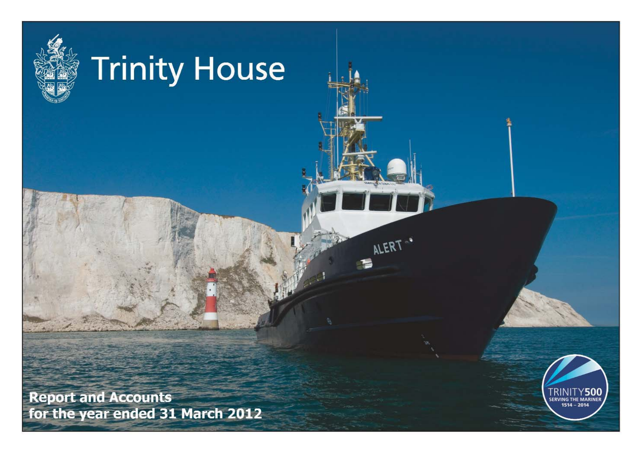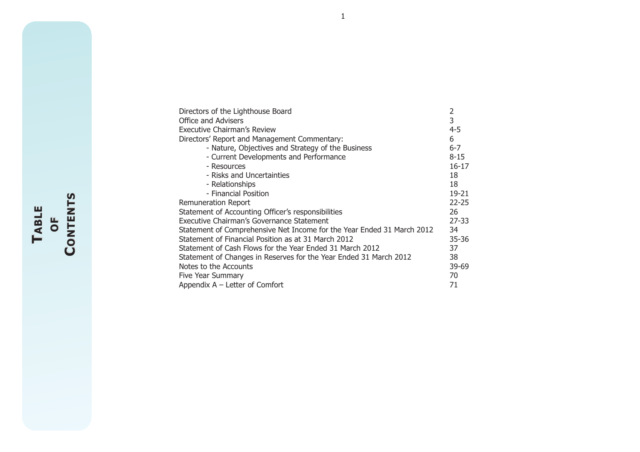| Directors of the Lighthouse Board                                      | 2         |
|------------------------------------------------------------------------|-----------|
| Office and Advisers                                                    | 3         |
| Executive Chairman's Review                                            | 4-5       |
| Directors' Report and Management Commentary:                           | 6         |
| - Nature, Objectives and Strategy of the Business                      | $6 - 7$   |
| - Current Developments and Performance                                 | $8 - 15$  |
| - Resources                                                            | $16 - 17$ |
| - Risks and Uncertainties                                              | 18        |
| - Relationships                                                        | 18        |
| - Financial Position                                                   | 19-21     |
| Remuneration Report                                                    | $22 - 25$ |
| Statement of Accounting Officer's responsibilities                     | 26        |
| Executive Chairman's Governance Statement                              | $27 - 33$ |
| Statement of Comprehensive Net Income for the Year Ended 31 March 2012 | 34        |
| Statement of Financial Position as at 31 March 2012                    | $35 - 36$ |
| Statement of Cash Flows for the Year Ended 31 March 2012               | 37        |
| Statement of Changes in Reserves for the Year Ended 31 March 2012      | 38        |
| Notes to the Accounts                                                  | 39-69     |
| Five Year Summary                                                      | 70        |
| Appendix A - Letter of Comfort                                         | 71        |

**TABLE OF OF CONTENTS ONTENTS**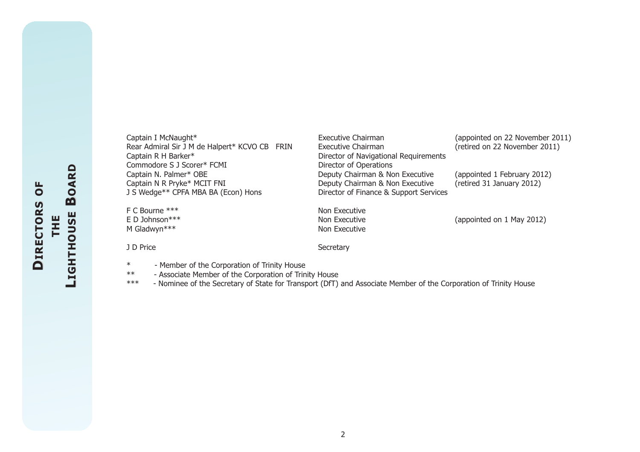| Captain I McNaught*                           | Executive Chairman                     | (appointed on 22 November 2011) |
|-----------------------------------------------|----------------------------------------|---------------------------------|
| Rear Admiral Sir J M de Halpert* KCVO CB FRIN | Executive Chairman                     | (retired on 22 November 2011)   |
| Captain R H Barker*                           | Director of Navigational Requirements  |                                 |
| Commodore S J Scorer* FCMI                    | Director of Operations                 |                                 |
| Captain N. Palmer* OBE                        | Deputy Chairman & Non Executive        | (appointed 1 February 2012)     |
| Captain N R Pryke* MCIT FNI                   | Deputy Chairman & Non Executive        | (retired 31 January 2012)       |
| J S Wedge** CPFA MBA BA (Econ) Hons           | Director of Finance & Support Services |                                 |
| F C Bourne ***                                | Non Executive                          |                                 |
| E D Johnson***                                | Non Executive                          | (appointed on 1 May 2012)       |
| M Gladwyn***                                  | Non Executive                          |                                 |
| J D Price                                     | Secretary                              |                                 |

- \* Member of the Corporation of Trinity House
- \*\* Associate Member of the Corporation of Trinity House
- \*\*\* Nominee of the Secretary of State for Transport (DfT) and Associate Member of the Corporation of Trinity House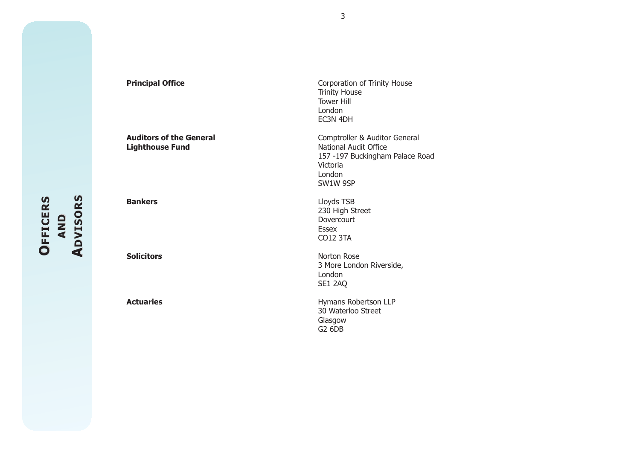ADVISORS **DVISORS OFFICERS ADVISORS OFFICERS FFICERS AND**

**Principal Office** Corporation of Trinity House Trinity House Tower HillLondon EC3N 4DH **Auditors of the General** *Lighthouse* Fund **Comptroller & Auditor General Lighthouse Fund Lighthouse Fund** 157 -197 Buckingham Palace Road VictoriaLondon SW1W 9SP **Bankers** Lloyds TSB 230 High Street Dovercourt Essex CO12 3TA **Solicitors** Norton Rose3 More London Riverside, London SE1 2AQ **Actuaries Actuaries Hymans Robertson LLP** 30 Waterloo StreetGlasgow G2 6DB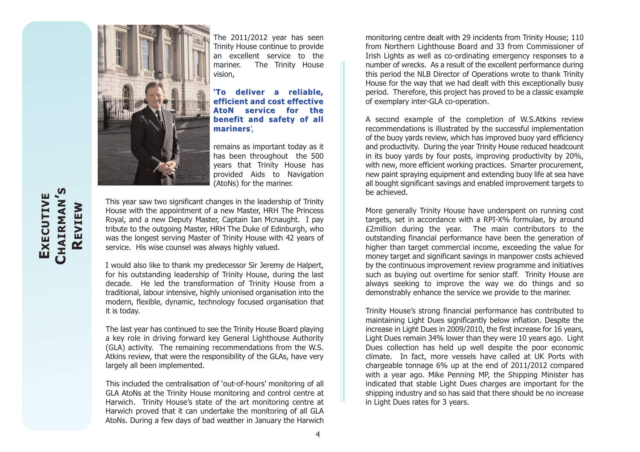

The 2011/2012 year has seen Trinity House continue to provide an excellent service to themariner. The Trinity House vision,

**'To deliver a reliable, 'To deliver a reliable, efficient and cost effectiveAtoN service for thebenefit and safety of all benefit and safety of all mariners mariners**',

remains as important today as it has been throughout the 500 years that Trinity House has provided Aids to Navigation (AtoNs) for the mariner.

This year saw two significant changes in the leadership of Trinity House with the appointment of a new Master, HRH The Princess Royal, and a new Deputy Master, Captain Ian Mcnaught. I pay tribute to the outgoing Master, HRH The Duke of Edinburgh, who was the longest serving Master of Trinity House with 42 years of service. His wise counsel was always highly valued.

I would also like to thank my predecessor Sir Jeremy de Halpert, for his outstanding leadership of Trinity House, during the last decade. He led the transformation of Trinity House from a traditional, labour intensive, highly unionised organisation into the modern, flexible, dynamic, technology focused organisation that it is today.

The last year has continued to see the Trinity House Board playing a key role in driving forward key General Lighthouse Authority (GLA) activity. The remaining recommendations from the W.S. Atkins review, that were the responsibility of the GLAs, have very largely all been implemented.

This included the centralisation of 'out-of-hours' monitoring of all GLA AtoNs at the Trinity House monitoring and control centre at Harwich. Trinity House's state of the art monitoring centre at Harwich proved that it can undertake the monitoring of all GLA AtoNs. During a few days of bad weather in January the Harwich

monitoring centre dealt with 29 incidents from Trinity House; 110 from Northern Lighthouse Board and 33 from Commissioner of Irish Lights as well as co-ordinating emergency responses to a number of wrecks. As a result of the excellent performance during this period the NLB Director of Operations wrote to thank Trinity House for the way that we had dealt with this exceptionally busy period. Therefore, this project has proved to be a classic example of exemplary inter-GLA co-operation.

A second example of the completion of W.S.Atkins review recommendations is illustrated by the successful implementation of the buoy yards review, which has improved buoy yard efficiency and productivity. During the year Trinity House reduced headcount in its buoy yards by four posts, improving productivity by 20%, with new, more efficient working practices. Smarter procurement, new paint spraying equipment and extending buoy life at sea have all bought significant savings and enabled improvement targets to be achieved.

More generally Trinity House have underspent on running cost targets, set in accordance with a RPI-X% formulae, by around £2million during the year. The main contributors to the outstanding financial performance have been the generation of higher than target commercial income, exceeding the value for money target and significant savings in manpower costs achieved by the continuous improvement review programme and initiatives such as buying out overtime for senior staff. Trinity House are always seeking to improve the way we do things and so demonstrably enhance the service we provide to the mariner.

Trinity House's strong financial performance has contributed to maintaining Light Dues significantly below inflation. Despite the increase in Light Dues in 2009/2010, the first increase for 16 years, Light Dues remain 34% lower than they were 10 years ago. Light Dues collection has held up well despite the poor economic climate. In fact, more vessels have called at UK Ports with chargeable tonnage 6% up at the end of 2011/2012 compared with a year ago. Mike Penning MP, the Shipping Minister has indicated that stable Light Dues charges are important for the shipping industry and so has said that there should be no increase in Light Dues rates for 3 years.

# **CHAIRMAN'S** EXECUTIVE **EXECUTIVE XECUTIVE** CHAIRMAN **REVIEW**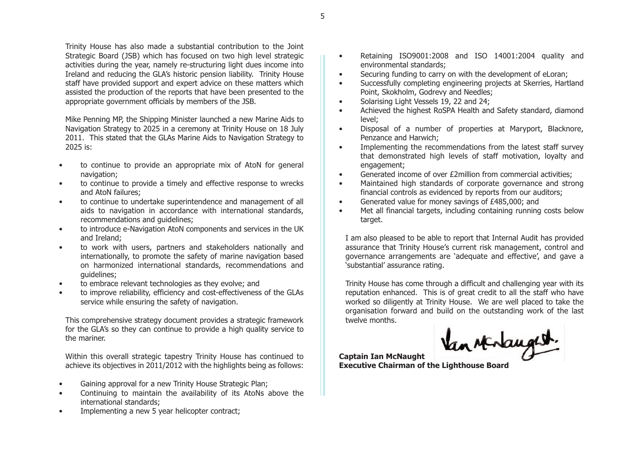Trinity House has also made a substantial contribution to the Joint Strategic Board (JSB) which has focused on two high level strategic activities during the year, namely re-structuring light dues income into Ireland and reducing the GLA's historic pension liability. Trinity House staff have provided support and expert advice on these matters which assisted the production of the reports that have been presented to the appropriate government officials by members of the JSB.

Mike Penning MP, the Shipping Minister launched a new Marine Aids to Navigation Strategy to 2025 in a ceremony at Trinity House on 18 July 2011. This stated that the GLAs Marine Aids to Navigation Strategy to 2025 is:

- • to continue to provide an appropriate mix of AtoN for general navigation;
- $\bullet$  to continue to provide a timely and effective response to wrecks and AtoN failures;
- $\bullet$  to continue to undertake superintendence and management of all aids to navigation in accordance with international standards, recommendations and guidelines;
- • to introduce e-Navigation AtoN components and services in the UK and Ireland;
- $\bullet$  to work with users, partners and stakeholders nationally and internationally, to promote the safety of marine navigation based on harmonized international standards, recommendations and guidelines;
- $\bullet$ to embrace relevant technologies as they evolve; and
- • to improve reliability, efficiency and cost-effectiveness of the GLAs service while ensuring the safety of navigation.

This comprehensive strategy document provides a strategic framework for the GLA's so they can continue to provide a high quality service to the mariner.

Within this overall strategic tapestry Trinity House has continued to achieve its objectives in 2011/2012 with the highlights being as follows:

- •Gaining approval for a new Trinity House Strategic Plan;
- • Continuing to maintain the availability of its AtoNs above the international standards;
- •Implementing a new 5 year helicopter contract;
- • Retaining ISO9001:2008 and ISO 14001:2004 quality and environmental standards;
- •Securing funding to carry on with the development of eLoran;
- • Successfully completing engineering projects at Skerries, Hartland Point, Skokholm, Godrevy and Needles;
- •Solarising Light Vessels 19, 22 and 24;
- • Achieved the highest RoSPA Health and Safety standard, diamond level;
- • Disposal of a number of properties at Maryport, Blacknore, Penzance and Harwich;
- • Implementing the recommendations from the latest staff survey that demonstrated high levels of staff motivation, loyalty and engagement:
- •Generated income of over £2million from commercial activities;
- • Maintained high standards of corporate governance and strong financial controls as evidenced by reports from our auditors;
- •Generated value for money savings of £485,000; and
- • Met all financial targets, including containing running costs below target.

I am also pleased to be able to report that Internal Audit has provided assurance that Trinity House's current risk management, control and governance arrangements are 'adequate and effective', and gave a 'substantial' assurance rating.

Trinity House has come through a difficult and challenging year with its reputation enhanced. This is of great credit to all the staff who have worked so diligently at Trinity House. We are well placed to take the organisation forward and build on the outstanding work of the last twelve months.

Van sterlangest.

**Captain Ian McNaught Executive Chairman of the Lighthouse Board**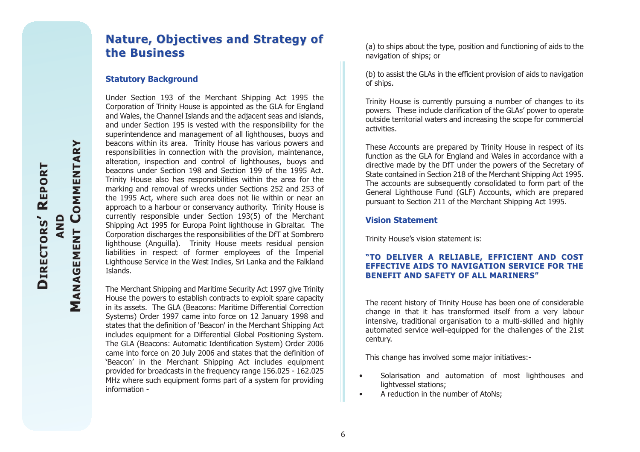# **the Business the Business**

#### **Statutory Background**

**Nature, Objectives and Strategy of**<br> **Comments of the Susiness**<br> **Statutory Background**<br>
Under Section 193 of the Merchant Shipping Act 1995 the<br>
Corporation of Trinity House is appointed as the GLA for England<br>
and Wales Under Section 193 of the Merchant Shipping Act 1995 the Corporation of Trinity House is appointed as the GLA for England and Wales, the Channel Islands and the adjacent seas and islands, and under Section 195 is vested with the responsibility for the superintendence and management of all lighthouses, buoys and beacons within its area. Trinity House has various powers and responsibilities in connection with the provision, maintenance, alteration, inspection and control of lighthouses, buoys and beacons under Section 198 and Section 199 of the 1995 Act.Trinity House also has responsibilities within the area for the marking and removal of wrecks under Sections 252 and 253 of the 1995 Act, where such area does not lie within or near an approach to a harbour or conservancy authority. Trinity House is currently responsible under Section 193(5) of the Merchant Shipping Act 1995 for Europa Point lighthouse in Gibraltar. The Corporation discharges the responsibilities of the DfT at Sombrero lighthouse (Anguilla). Trinity House meets residual pension liabilities in respect of former employees of the Imperial Lighthouse Service in the West Indies, Sri Lanka and the Falkland Islands.

> The Merchant Shipping and Maritime Security Act 1997 give Trinity House the powers to establish contracts to exploit spare capacity in its assets. The GLA (Beacons: Maritime Differential Correction Systems) Order 1997 came into force on 12 January 1998 and states that the definition of 'Beacon' in the Merchant Shipping Act includes equipment for a Differential Global Positioning System. The GLA (Beacons: Automatic Identification System) Order 2006 came into force on 20 July 2006 and states that the definition of 'Beacon' in the Merchant Shipping Act includes equipment provided for broadcasts in the frequency range 156.025 - 162.025 MHz where such equipment forms part of a system for providing information -

(a) to ships about the type, position and functioning of aids to the navigation of ships; or

(b) to assist the GLAs in the efficient provision of aids to navigation of ships.

Trinity House is currently pursuing a number of changes to its powers. These include clarification of the GLAs' power to operate outside territorial waters and increasing the scope for commercial activities.

These Accounts are prepared by Trinity House in respect of its function as the GLA for England and Wales in accordance with a directive made by the DfT under the powers of the Secretary of State contained in Section 218 of the Merchant Shipping Act 1995. The accounts are subsequently consolidated to form part of the General Lighthouse Fund (GLF) Accounts, which are prepared pursuant to Section 211 of the Merchant Shipping Act 1995.

#### **Vision Statement**

Trinity House's vision statement is:

#### **"TO DELIVER A RELIABLE, EFFICIENT AND COST EFFECTIVE AIDS TO NAVIGATION SERVICE FOR THEBENEFIT AND SAFETY OF ALL MARINERS" BENEFIT AND SAFETY OF ALL MARINERS"**

The recent history of Trinity House has been one of considerable change in that it has transformed itself from a very labour intensive, traditional organisation to a multi-skilled and highly automated service well-equipped for the challenges of the 21st century.

This change has involved some major initiatives:-

- • Solarisation and automation of most lighthouses and lightvessel stations;
- •A reduction in the number of AtoNs;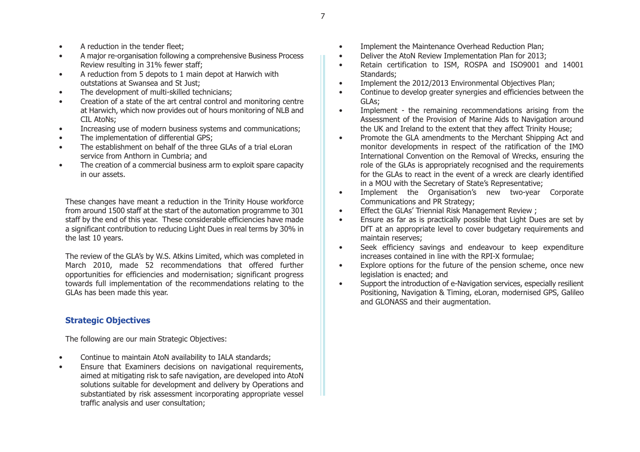- •A reduction in the tender fleet;
- • A major re-organisation following a comprehensive Business Process Review resulting in 31% fewer staff;
- • A reduction from 5 depots to 1 main depot at Harwich with outstations at Swansea and St Just;
- •The development of multi-skilled technicians;
- • Creation of a state of the art central control and monitoring centre at Harwich, which now provides out of hours monitoring of NLB and CIL AtoNs;
- •Increasing use of modern business systems and communications;
- •The implementation of differential GPS;
- • The establishment on behalf of the three GLAs of a trial eLoran service from Anthorn in Cumbria; and
- • The creation of a commercial business arm to exploit spare capacity in our assets.

These changes have meant a reduction in the Trinity House workforce from around 1500 staff at the start of the automation programme to 301 staff by the end of this year. These considerable efficiencies have made a significant contribution to reducing Light Dues in real terms by 30% in the last 10 years.

The review of the GLA's by W.S. Atkins Limited, which was completed in March 2010, made 52 recommendations that offered further opportunities for efficiencies and modernisation; significant progress towards full implementation of the recommendations relating to the GLAs has been made this year.

# **Strategic Objectives**

The following are our main Strategic Objectives:

- •Continue to maintain AtoN availability to IALA standards;
- • Ensure that Examiners decisions on navigational requirements, aimed at mitigating risk to safe navigation, are developed into AtoN solutions suitable for development and delivery by Operations and substantiated by risk assessment incorporating appropriate vessel traffic analysis and user consultation;
- •Implement the Maintenance Overhead Reduction Plan;
- •Deliver the AtoN Review Implementation Plan for 2013;
- • Retain certification to ISM, ROSPA and ISO9001 and 14001 Standards;
- •Implement the 2012/2013 Environmental Objectives Plan;
- • Continue to develop greater synergies and efficiencies between the GLAs;
- • Implement - the remaining recommendations arising from the Assessment of the Provision of Marine Aids to Navigation around the UK and Ireland to the extent that they affect Trinity House;
- • Promote the GLA amendments to the Merchant Shipping Act and monitor developments in respect of the ratification of the IMO International Convention on the Removal of Wrecks, ensuring the role of the GLAs is appropriately recognised and the requirements for the GLAs to react in the event of a wreck are clearly identified in a MOU with the Secretary of State's Representative;
- • Implement the Organisation's new two-year Corporate Communications and PR Strategy;
- •Effect the GLAs' Triennial Risk Management Review ;
- • Ensure as far as is practically possible that Light Dues are set by DfT at an appropriate level to cover budgetary requirements and maintain reserves;
- • Seek efficiency savings and endeavour to keep expenditure increases contained in line with the RPI-X formulae;
- • Explore options for the future of the pension scheme, once new legislation is enacted; and
- • Support the introduction of e-Navigation services, especially resilient Positioning, Navigation & Timing, eLoran, modernised GPS, Galileo and GLONASS and their augmentation.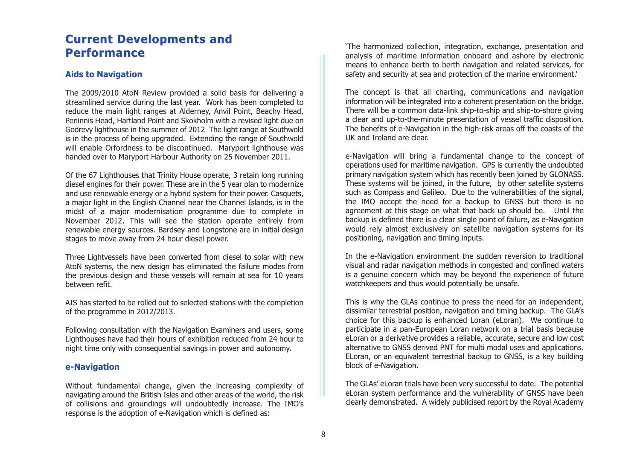# **Current Developments and Performance**

# **Aids to Navigation**

The 2009/2010 AtoN Review provided a solid basis for delivering a streamlined service during the last year. Work has been completed to reduce the main light ranges at Alderney, Anvil Point, Beachy Head, Peninnis Head, Hartland Point and Skokholm with a revised light due on Godrevy lighthouse in the summer of 2012 The light range at Southwold is in the process of being upgraded. Extending the range of Southwold will enable Orfordness to be discontinued. Maryport lighthouse was handed over to Maryport Harbour Authority on 25 November 2011.

Of the 67 Lighthouses that Trinity House operate, 3 retain long running diesel engines for their power. These are in the 5 year plan to modernize and use renewable energy or a hybrid system for their power. Casquets, a major light in the English Channel near the Channel Islands, is in the midst of a major modernisation programme due to complete in November 2012. This will see the station operate entirely from renewable energy sources. Bardsey and Longstone are in initial design stages to move away from 24 hour diesel power.

Three Lightvessels have been converted from diesel to solar with new AtoN systems, the new design has eliminated the failure modes from the previous design and these vessels will remain at sea for 10 years between refit.

AIS has started to be rolled out to selected stations with the completion of the programme in 2012/2013.

Following consultation with the Navigation Examiners and users, some Lighthouses have had their hours of exhibition reduced from 24 hour to night time only with consequential savings in power and autonomy.

# **e-Navigation**

Without fundamental change, given the increasing complexity of navigating around the British Isles and other areas of the world, the risk of collisions and groundings will undoubtedly increase. The IMO's response is the adoption of e-Navigation which is defined as:

'The harmonized collection, integration, exchange, presentation and analysis of maritime information onboard and ashore by electronic means to enhance berth to berth navigation and related services, for safety and security at sea and protection of the marine environment.'

The concept is that all charting, communications and navigation information will be integrated into a coherent presentation on the bridge. There will be a common data-link ship-to-ship and ship-to-shore giving a clear and up-to-the-minute presentation of vessel traffic disposition. The benefits of e-Navigation in the high-risk areas off the coasts of the UK and Ireland are clear.

e-Navigation will bring a fundamental change to the concept of operations used for maritime navigation. GPS is currently the undoubted primary navigation system which has recently been joined by GLONASS. These systems will be joined, in the future, by other satellite systems such as Compass and Galileo. Due to the vulnerabilities of the signal, the IMO accept the need for a backup to GNSS but there is no agreement at this stage on what that back up should be. Until the backup is defined there is a clear single point of failure, as e-Navigation would rely almost exclusively on satellite navigation systems for its positioning, navigation and timing inputs.

In the e-Navigation environment the sudden reversion to traditional visual and radar navigation methods in congested and confined waters is a genuine concern which may be beyond the experience of future watchkeepers and thus would potentially be unsafe.

This is why the GLAs continue to press the need for an independent, dissimilar terrestrial position, navigation and timing backup. The GLA's choice for this backup is enhanced Loran (eLoran). We continue to participate in a pan-European Loran network on a trial basis because eLoran or a derivative provides a reliable, accurate, secure and low cost alternative to GNSS derived PNT for multi modal uses and applications. ELoran, or an equivalent terrestrial backup to GNSS, is a key building block of e-Navigation.

The GLAs' eLoran trials have been very successful to date. The potential eLoran system performance and the vulnerability of GNSS have been clearly demonstrated. A widely publicised report by the Royal Academy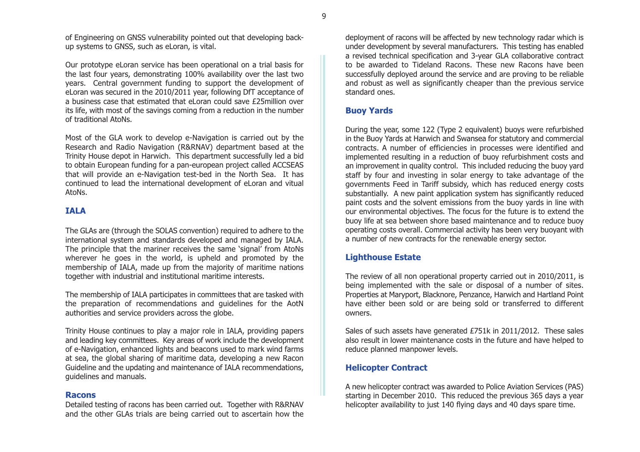of Engineering on GNSS vulnerability pointed out that developing backup systems to GNSS, such as eLoran, is vital.

Our prototype eLoran service has been operational on a trial basis for the last four years, demonstrating 100% availability over the last two years. Central government funding to support the development of eLoran was secured in the 2010/2011 year, following DfT acceptance of a business case that estimated that eLoran could save £25million overits life, with most of the savings coming from a reduction in the number of traditional AtoNs.

Most of the GLA work to develop e-Navigation is carried out by the Research and Radio Navigation (R&RNAV) department based at the Trinity House depot in Harwich. This department successfully led a bid to obtain European funding for a pan-european project called ACCSEAS that will provide an e-Navigation test-bed in the North Sea. It has continued to lead the international development of eLoran and vitual AtoNs.

#### **IALA**

The GLAs are (through the SOLAS convention) required to adhere to the international system and standards developed and managed by IALA. The principle that the mariner receives the same 'signal' from AtoNs wherever he goes in the world, is upheld and promoted by the membership of IALA, made up from the majority of maritime nations together with industrial and institutional maritime interests.

The membership of IALA participates in committees that are tasked with the preparation of recommendations and guidelines for the AotN authorities and service providers across the globe.

Trinity House continues to play a major role in IALA, providing papers and leading key committees. Key areas of work include the development of e-Navigation, enhanced lights and beacons used to mark wind farms at sea, the global sharing of maritime data, developing a new Racon Guideline and the updating and maintenance of IALA recommendations, guidelines and manuals.

#### **Racons**

Detailed testing of racons has been carried out. Together with R&RNAV and the other GLAs trials are being carried out to ascertain how the deployment of racons will be affected by new technology radar which is under development by several manufacturers. This testing has enabled a revised technical specification and 3-year GLA collaborative contract to be awarded to Tideland Racons. These new Racons have beensuccessfully deployed around the service and are proving to be reliable and robust as well as significantly cheaper than the previous service standard ones.

# **Buoy Yards**

During the year, some 122 (Type 2 equivalent) buoys were refurbished in the Buoy Yards at Harwich and Swansea for statutory and commercial contracts. A number of efficiencies in processes were identified and implemented resulting in a reduction of buoy refurbishment costs and an improvement in quality control. This included reducing the buoy yard staff by four and investing in solar energy to take advantage of the governments Feed in Tariff subsidy, which has reduced energy costs substantially. A new paint application system has significantly reduced paint costs and the solvent emissions from the buoy yards in line with our environmental objectives. The focus for the future is to extend the buoy life at sea between shore based maintenance and to reduce buoy operating costs overall. Commercial activity has been very buoyant with a number of new contracts for the renewable energy sector.

#### **Lighthouse Estate**

The review of all non operational property carried out in 2010/2011, is being implemented with the sale or disposal of a number of sites. Properties at Maryport, Blacknore, Penzance, Harwich and Hartland Point have either been sold or are being sold or transferred to different owners.

Sales of such assets have generated £751k in 2011/2012. These sales also result in lower maintenance costs in the future and have helped to reduce planned manpower levels.

# **Helicopter Contract**

A new helicopter contract was awarded to Police Aviation Services (PAS) starting in December 2010. This reduced the previous 365 days a year helicopter availability to just 140 flying days and 40 days spare time.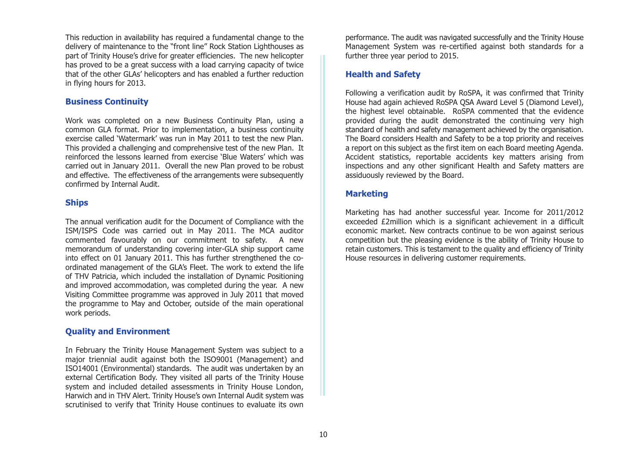This reduction in availability has required a fundamental change to the delivery of maintenance to the "front line" Rock Station Lighthouses as part of Trinity House's drive for greater efficiencies. The new helicopter has proved to be a great success with a load carrying capacity of twice that of the other GLAs' helicopters and has enabled a further reduction in flying hours for 2013.

#### **Business Continuity**

Work was completed on a new Business Continuity Plan, using a common GLA format. Prior to implementation, a business continuity exercise called 'Watermark' was run in May 2011 to test the new Plan. This provided a challenging and comprehensive test of the new Plan. It reinforced the lessons learned from exercise 'Blue Waters' which wascarried out in January 2011. Overall the new Plan proved to be robust and effective. The effectiveness of the arrangements were subsequently confirmed by Internal Audit.

#### **Ships**

The annual verification audit for the Document of Compliance with the ISM/ISPS Code was carried out in May 2011. The MCA auditor commented favourably on our commitment to safety. A new memorandum of understanding covering inter-GLA ship support came into effect on 01 January 2011. This has further strengthened the coordinated management of the GLA's Fleet. The work to extend the life of THV Patricia, which included the installation of Dynamic Positioning and improved accommodation, was completed during the year. A new Visiting Committee programme was approved in July 2011 that moved the programme to May and October, outside of the main operational work periods.

# **Quality and Environment**

In February the Trinity House Management System was subject to a major triennial audit against both the ISO9001 (Management) and ISO14001 (Environmental) standards. The audit was undertaken by an external Certification Body. They visited all parts of the Trinity House system and included detailed assessments in Trinity House London, Harwich and in THV Alert. Trinity House's own Internal Audit system was scrutinised to verify that Trinity House continues to evaluate its own

performance. The audit was navigated successfully and the Trinity House Management System was re-certified against both standards for a further three year period to 2015.

#### **Health and Safety**

Following a verification audit by RoSPA, it was confirmed that Trinity House had again achieved RoSPA OSA Award Level 5 (Diamond Level), the highest level obtainable. RoSPA commented that the evidence provided during the audit demonstrated the continuing very high standard of health and safety management achieved by the organisation. The Board considers Health and Safety to be a top priority and receives a report on this subject as the first item on each Board meeting Agenda. Accident statistics, reportable accidents key matters arising from inspections and any other significant Health and Safety matters are assiduously reviewed by the Board.

#### **Marketing**

Marketing has had another successful year. Income for 2011/2012 exceeded £2million which is a significant achievement in a difficult economic market. New contracts continue to be won against serious competition but the pleasing evidence is the ability of Trinity House to retain customers. This is testament to the quality and efficiency of Trinity House resources in delivering customer requirements.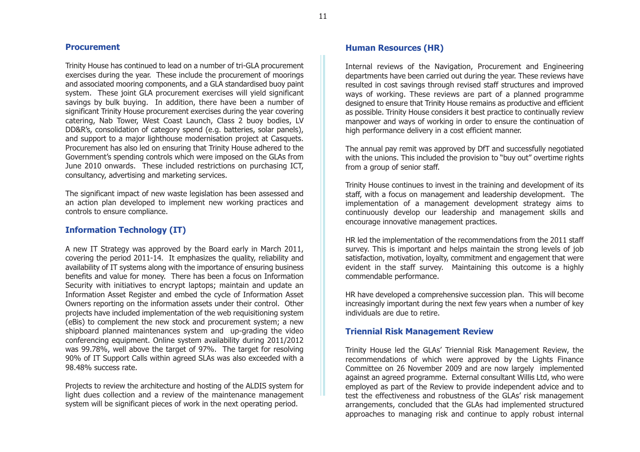11

#### **Procurement**

Trinity House has continued to lead on a number of tri-GLA procurement exercises during the year. These include the procurement of moorings and associated mooring components, and a GLA standardised buoy paint system. These joint GLA procurement exercises will yield significant savings by bulk buying. In addition, there have been a number of significant Trinity House procurement exercises during the year covering catering, Nab Tower, West Coast Launch, Class 2 buoy bodies, LV DD&R's, consolidation of category spend (e.g. batteries, solar panels), and support to a major lighthouse modernisation project at Casquets. Procurement has also led on ensuring that Trinity House adhered to the Government's spending controls which were imposed on the GLAs from June 2010 onwards. These included restrictions on purchasing ICT, consultancy, advertising and marketing services.

The significant impact of new waste legislation has been assessed and an action plan developed to implement new working practices and controls to ensure compliance.

# **Information Technology (IT)**

A new IT Strategy was approved by the Board early in March 2011, covering the period 2011-14. It emphasizes the quality, reliability and availability of IT systems along with the importance of ensuring business benefits and value for money. There has been a focus on Information Security with initiatives to encrypt laptops; maintain and update an Information Asset Register and embed the cycle of Information Asset Owners reporting on the information assets under their control. Other projects have included implementation of the web requisitioning system (eBis) to complement the new stock and procurement system; a new shipboard planned maintenances system and up-grading the video conferencing equipment. Online system availability during 2011/2012 was 99.78%, well above the target of 97%. The target for resolving 90% of IT Support Calls within agreed SLAs was also exceeded with a 98.48% success rate.

Projects to review the architecture and hosting of the ALDIS system for light dues collection and a review of the maintenance management system will be significant pieces of work in the next operating period.

# **Human Resources (HR)**

Internal reviews of the Navigation, Procurement and Engineering departments have been carried out during the year. These reviews have resulted in cost savings through revised staff structures and improved ways of working. These reviews are part of a planned programme designed to ensure that Trinity House remains as productive and efficient as possible. Trinity House considers it best practice to continually review manpower and ways of working in order to ensure the continuation of high performance delivery in a cost efficient manner.

The annual pay remit was approved by DfT and successfully negotiated with the unions. This included the provision to "buy out" overtime rights from a group of senior staff.

Trinity House continues to invest in the training and development of its staff, with a focus on management and leadership development. The implementation of a management development strategy aims to continuously develop our leadership and management skills and encourage innovative management practices.

HR led the implementation of the recommendations from the 2011 staff survey. This is important and helps maintain the strong levels of job satisfaction, motivation, loyalty, commitment and engagement that were evident in the staff survey. Maintaining this outcome is a highly commendable performance.

HR have developed a comprehensive succession plan. This will become increasingly important during the next few years when a number of key individuals are due to retire.

# **Triennial Risk Management Review**

Trinity House led the GLAs' Triennial Risk Management Review, the recommendations of which were approved by the Lights Finance Committee on 26 November 2009 and are now largely implemented against an agreed programme. External consultant Willis Ltd, who were employed as part of the Review to provide independent advice and to test the effectiveness and robustness of the GLAs' risk management arrangements, concluded that the GLAs had implemented structured approaches to managing risk and continue to apply robust internal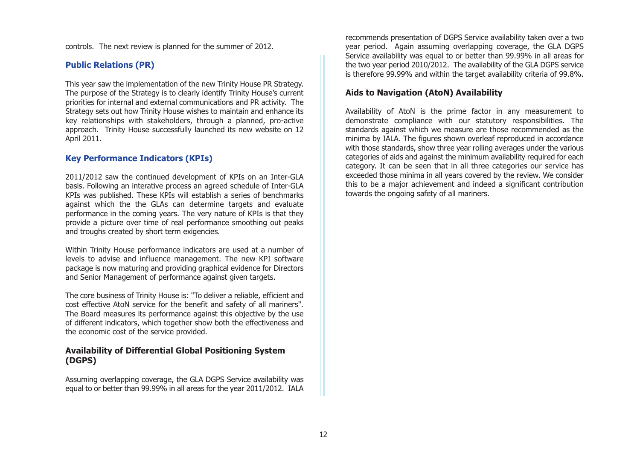controls. The next review is planned for the summer of 2012.

# **Public Relations (PR)**

This year saw the implementation of the new Trinity House PR Strategy. The purpose of the Strategy is to clearly identify Trinity House's current priorities for internal and external communications and PR activity. The Strategy sets out how Trinity House wishes to maintain and enhance its key relationships with stakeholders, through a planned, pro-active approach. Trinity House successfully launched its new website on 12 April 2011.

# **Key Performance Indicators (KPIs)**

2011/2012 saw the continued development of KPIs on an Inter-GLA basis. Following an interative process an agreed schedule of Inter-GLA KPIs was published. These KPIs will establish a series of benchmarks against which the the GLAs can determine targets and evaluate performance in the coming years. The very nature of KPIs is that they provide a picture over time of real performance smoothing out peaks and troughs created by short term exigencies.

Within Trinity House performance indicators are used at a number of levels to advise and influence management. The new KPI software package is now maturing and providing graphical evidence for Directors and Senior Management of performance against given targets.

The core business of Trinity House is: "To deliver a reliable, efficient and cost effective AtoN service for the benefit and safety of all mariners". The Board measures its performance against this objective by the use of different indicators, which together show both the effectiveness and the economic cost of the service provided.

# **Availability of Differential Global Positioning System (DGPS)**

Assuming overlapping coverage, the GLA DGPS Service availability was equal to or better than 99.99% in all areas for the year 2011/2012. IALA

recommends presentation of DGPS Service availability taken over a two year period. Again assuming overlapping coverage, the GLA DGPS Service availability was equal to or better than 99.99% in all areas for the two year period 2010/2012. The availability of the GLA DGPS service is therefore 99.99% and within the target availability criteria of 99.8%.

# **Aids to Navigation (AtoN) Availability**

Availability of AtoN is the prime factor in any measurement to demonstrate compliance with our statutory responsibilities. The standards against which we measure are those recommended as the minima by IALA. The figures shown overleaf reproduced in accordance with those standards, show three year rolling averages under the various categories of aids and against the minimum availability required for each category. It can be seen that in all three categories our service has exceeded those minima in all years covered by the review. We consider this to be a major achievement and indeed a significant contribution towards the ongoing safety of all mariners.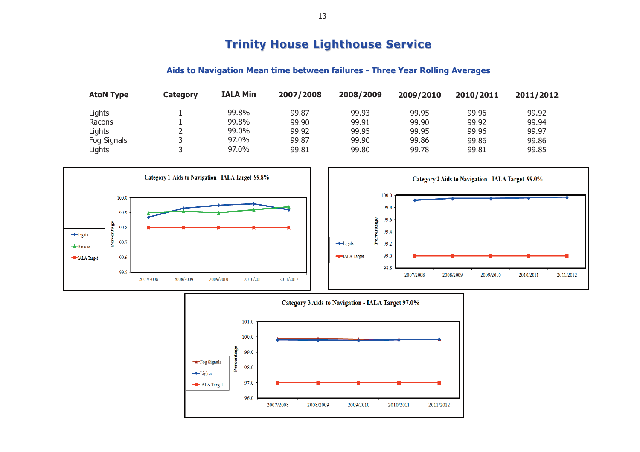# **Trinity House Lighthouse Service Trinity House Lighthouse Service**

# **Aids to Navigation Mean time between failures - Three Year Rolling Averages**

| <b>AtoN Type</b> | Category | <b>IALA Min</b> | 2007/2008 | 2008/2009 | 2009/2010 | 2010/2011 | 2011/2012 |
|------------------|----------|-----------------|-----------|-----------|-----------|-----------|-----------|
| Lights           |          | 99.8%           | 99.87     | 99.93     | 99.95     | 99.96     | 99.92     |
| Racons           |          | 99.8%           | 99.90     | 99.91     | 99.90     | 99.92     | 99.94     |
| Lights           |          | 99.0%           | 99.92     | 99.95     | 99.95     | 99.96     | 99.97     |
| Fog Signals      |          | 97.0%           | 99.87     | 99.90     | 99.86     | 99.86     | 99.86     |
| Lights           |          | 97.0%           | 99.81     | 99.80     | 99.78     | 99.81     | 99.85     |

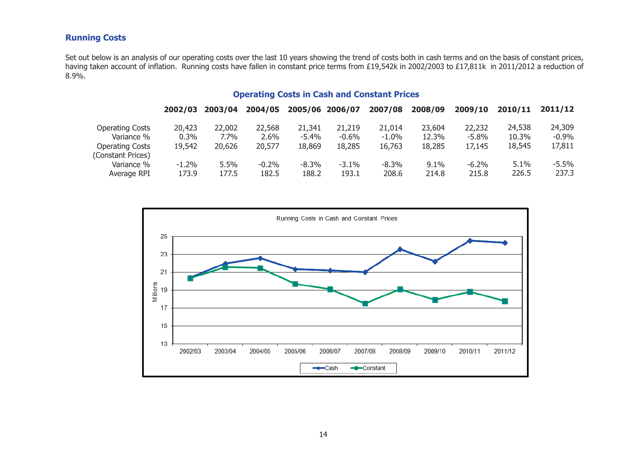# **Running Costs**

Set out below is an analysis of our operating costs over the last 10 years showing the trend of costs both in cash terms and on the basis of constant prices, having taken account of inflation. Running costs have fallen in constant price terms from £19,542k in 2002/2003 to £17,811k in 2011/2012 a reduction of 8.9%.

# **Operating Costs in Cash and Constant Prices**

| 2002/03  | 2003/04 | 2004/05 |          |          | 2007/08         | 2008/09 | 2009/10  | 2010/11 | 2011/12 |
|----------|---------|---------|----------|----------|-----------------|---------|----------|---------|---------|
| 20,423   | 22,002  | 22,568  | 21,341   | 21,219   | 21,014          | 23,604  | 22,232   | 24,538  | 24,309  |
| $0.3\%$  | $7.7\%$ | $2.6\%$ | $-5.4\%$ | $-0.6\%$ | $-1.0%$         | 12.3%   | $-5.8\%$ | 10.3%   | $-0.9%$ |
| 19,542   | 20,626  | 20,577  | 18,869   | 18,285   | 16,763          | 18,285  | 17,145   | 18,545  | 17,811  |
|          |         |         |          |          |                 |         |          |         |         |
| $-1.2\%$ | 5.5%    | $-0.2%$ | $-8.3\%$ | $-3.1\%$ | $-8.3\%$        | $9.1\%$ | $-6.2\%$ | 5.1%    | $-5.5%$ |
| 173.9    | 177.5   | 182.5   | 188.2    | 193.1    | 208.6           | 214.8   | 215.8    | 226.5   | 237.3   |
|          |         |         |          |          | 2005/06 2006/07 |         |          |         |         |

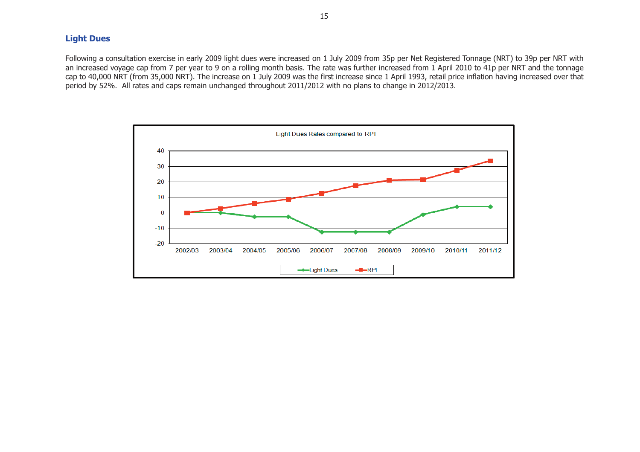# **Light Dues**

Following a consultation exercise in early 2009 light dues were increased on 1 July 2009 from 35p per Net Registered Tonnage (NRT) to 39p per NRT with an increased voyage cap from 7 per year to 9 on a rolling month basis. The rate was further increased from 1 April 2010 to 41p per NRT and the tonnage cap to 40,000 NRT (from 35,000 NRT). The increase on 1 July 2009 was the first increase since 1 April 1993, retail price inflation having increased over that period by 52%. All rates and caps remain unchanged throughout 2011/2012 with no plans to change in 2012/2013.

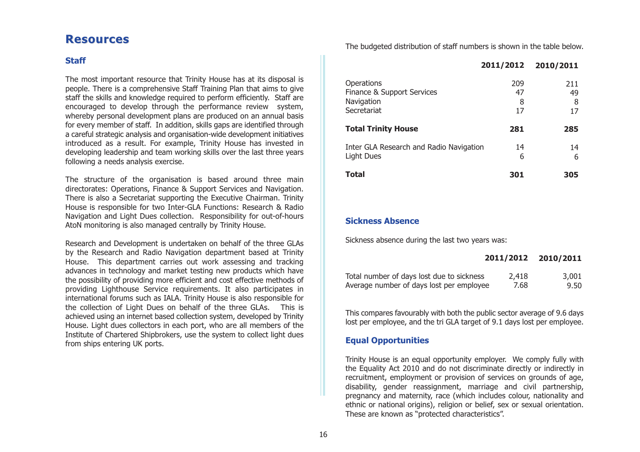# **Resources Resources**

# **Staff**

The most important resource that Trinity House has at its disposal is people. There is a comprehensive Staff Training Plan that aims to give staff the skills and knowledge required to perform efficiently. Staff are encouraged to develop through the performance review system, whereby personal development plans are produced on an annual basis for every member of staff. In addition, skills gaps are identified through a careful strategic analysis and organisation-wide development initiatives introduced as a result. For example, Trinity House has invested in developing leadership and team working skills over the last three years following a needs analysis exercise.

The structure of the organisation is based around three main directorates: Operations, Finance & Support Services and Navigation. There is also a Secretariat supporting the Executive Chairman. Trinity House is responsible for two Inter-GLA Functions: Research & Radio Navigation and Light Dues collection. Responsibility for out-of-hours AtoN monitoring is also managed centrally by Trinity House.

Research and Development is undertaken on behalf of the three GLAs by the Research and Radio Navigation department based at Trinity House. This department carries out work assessing and tracking advances in technology and market testing new products which have the possibility of providing more efficient and cost effective methods of providing Lighthouse Service requirements. It also participates in international forums such as IALA. Trinity House is also responsible for the collection of Light Dues on behalf of the three GLAs. This is achieved using an internet based collection system, developed by Trinity House. Light dues collectors in each port, who are all members of the Institute of Chartered Shipbrokers, use the system to collect light dues from ships entering UK ports.

The budgeted distribution of staff numbers is shown in the table below.

|                                                                       | 2011/2012            | 2010/2011            |
|-----------------------------------------------------------------------|----------------------|----------------------|
| Operations<br>Finance & Support Services<br>Navigation<br>Secretariat | 209<br>47<br>8<br>17 | 211<br>49<br>8<br>17 |
| <b>Total Trinity House</b>                                            | 281                  | 285                  |
| Inter GLA Research and Radio Navigation<br>Light Dues                 | 14<br>6              | 14<br>6              |
| <b>Total</b>                                                          | 301                  | 305                  |

#### **Sickness Absence**

Sickness absence during the last two years was:

|                                           |       | 2011/2012 2010/2011 |
|-------------------------------------------|-------|---------------------|
| Total number of days lost due to sickness | 2,418 | 3,001               |
| Average number of days lost per employee  | 7.68  | 9.50                |

This compares favourably with both the public sector average of 9.6 days lost per employee, and the tri GLA target of 9.1 days lost per employee.

#### **Equal Opportunities**

Trinity House is an equal opportunity employer. We comply fully with the Equality Act 2010 and do not discriminate directly or indirectly in recruitment, employment or provision of services on grounds of age, disability, gender reassignment, marriage and civil partnership, pregnancy and maternity, race (which includes colour, nationality and ethnic or national origins), religion or belief, sex or sexual orientation. These are known as "protected characteristics".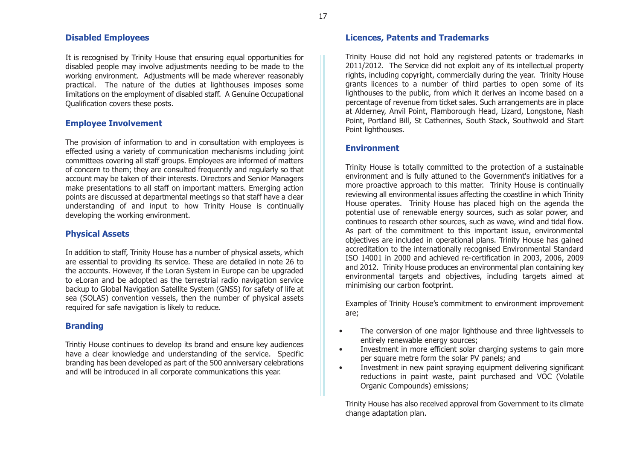#### **Disabled Employees**

It is recognised by Trinity House that ensuring equal opportunities for disabled people may involve adjustments needing to be made to the working environment. Adjustments will be made wherever reasonably practical. The nature of the duties at lighthouses imposes some limitations on the employment of disabled staff. A Genuine Occupational Qualification covers these posts.

# **Employee Involvement**

The provision of information to and in consultation with employees is effected using a variety of communication mechanisms including joint committees covering all staff groups. Employees are informed of matters of concern to them; they are consulted frequently and regularly so that account may be taken of their interests. Directors and Senior Managers make presentations to all staff on important matters. Emerging action points are discussed at departmental meetings so that staff have a clear understanding of and input to how Trinity House is continually developing the working environment.

# **Physical Assets**

In addition to staff, Trinity House has a number of physical assets, which are essential to providing its service. These are detailed in note 26 to the accounts. However, if the Loran System in Europe can be upgraded to eLoran and be adopted as the terrestrial radio navigation service backup to Global Navigation Satellite System (GNSS) for safety of life at sea (SOLAS) convention vessels, then the number of physical assets required for safe navigation is likely to reduce.

# **Branding**

Trintiy House continues to develop its brand and ensure key audiences have a clear knowledge and understanding of the service. Specific branding has been developed as part of the 500 anniversary celebrations and will be introduced in all corporate communications this year.

# **Licences, Patents and Trademarks**

Trinity House did not hold any registered patents or trademarks in 2011/2012. The Service did not exploit any of its intellectual property rights, including copyright, commercially during the year. Trinity House grants licences to a number of third parties to open some of its lighthouses to the public, from which it derives an income based on a percentage of revenue from ticket sales. Such arrangements are in place at Alderney, Anvil Point, Flamborough Head, Lizard, Longstone, Nash Point, Portland Bill, St Catherines, South Stack, Southwold and Start Point lighthouses.

# **Environment**

Trinity House is totally committed to the protection of a sustainable environment and is fully attuned to the Government's initiatives for a more proactive approach to this matter. Trinity House is continually reviewing all environmental issues affecting the coastline in which Trinity House operates. Trinity House has placed high on the agenda the potential use of renewable energy sources, such as solar power, and continues to research other sources, such as wave, wind and tidal flow. As part of the commitment to this important issue, environmental objectives are included in operational plans. Trinity House has gained accreditation to the internationally recognised Environmental Standard ISO 14001 in 2000 and achieved re-certification in 2003, 2006, 2009 and 2012. Trinity House produces an environmental plan containing key environmental targets and objectives, including targets aimed at minimising our carbon footprint.

Examples of Trinity House's commitment to environment improvement are;

- • The conversion of one major lighthouse and three lightvessels to entirely renewable energy sources;
- • Investment in more efficient solar charging systems to gain more per square metre form the solar PV panels; and
- • Investment in new paint spraying equipment delivering significant reductions in paint waste, paint purchased and VOC (Volatile Organic Compounds) emissions;

Trinity House has also received approval from Government to its climate change adaptation plan.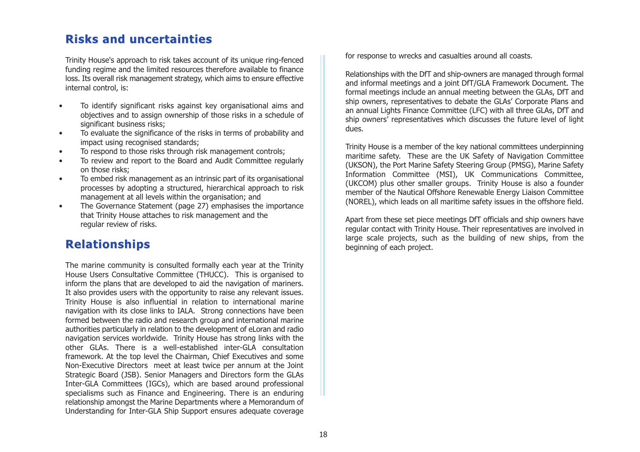# **Risks and uncertainties Risks and uncertainties**

Trinity House's approach to risk takes account of its unique ring-fenced funding regime and the limited resources therefore available to finance loss. Its overall risk management strategy, which aims to ensure effective internal control, is:

- • To identify significant risks against key organisational aims and objectives and to assign ownership of those risks in a schedule of significant business risks:
- • To evaluate the significance of the risks in terms of probability and impact using recognised standards;
- •To respond to those risks through risk management controls;
- • To review and report to the Board and Audit Committee regularly on those risks;
- • To embed risk management as an intrinsic part of its organisational processes by adopting a structured, hierarchical approach to risk management at all levels within the organisation; and
- • The Governance Statement (page 27) emphasises the importance that Trinity House attaches to risk management and the regular review of risks.

# **Relationships Relationships**

The marine community is consulted formally each year at the Trinity House Users Consultative Committee (THUCC). This is organised to inform the plans that are developed to aid the navigation of mariners. It also provides users with the opportunity to raise any relevant issues. Trinity House is also influential in relation to international marine navigation with its close links to IALA. Strong connections have been formed between the radio and research group and international marine authorities particularly in relation to the development of eLoran and radio navigation services worldwide. Trinity House has strong links with the other GLAs. There is a well-established inter-GLA consultationframework. At the top level the Chairman, Chief Executives and some Non-Executive Directors meet at least twice per annum at the Joint Strategic Board (JSB). Senior Managers and Directors form the GLAs Inter-GLA Committees (IGCs), which are based around professional specialisms such as Finance and Engineering. There is an enduring relationship amongst the Marine Departments where a Memorandum of Understanding for Inter-GLA Ship Support ensures adequate coverage

for response to wrecks and casualties around all coasts.

Relationships with the DfT and ship-owners are managed through formal and informal meetings and a joint DfT/GLA Framework Document. The formal meetings include an annual meeting between the GLAs, DfT and ship owners, representatives to debate the GLAs' Corporate Plans and an annual Lights Finance Committee (LFC) with all three GLAs, DfT and ship owners' representatives which discusses the future level of light dues.

Trinity House is a member of the key national committees underpinning maritime safety. These are the UK Safety of Navigation Committee (UKSON), the Port Marine Safety Steering Group (PMSG), Marine Safety Information Committee (MSI), UK Communications Committee, (UKCOM) plus other smaller groups. Trinity House is also a founder member of the Nautical Offshore Renewable Energy Liaison Committee (NOREL), which leads on all maritime safety issues in the offshore field.

Apart from these set piece meetings DfT officials and ship owners have regular contact with Trinity House. Their representatives are involved in large scale projects, such as the building of new ships, from the beginning of each project.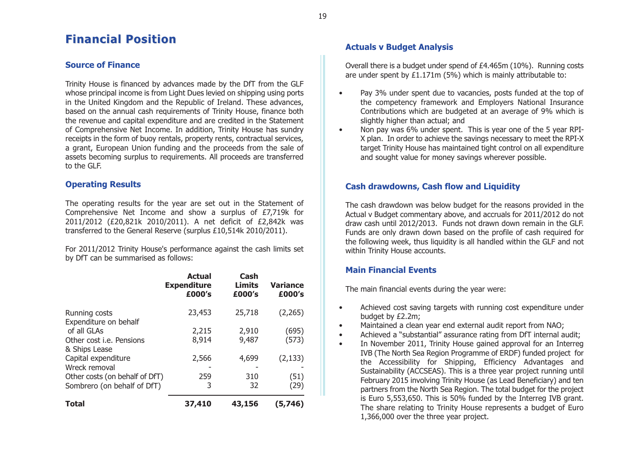# **Financial Position Financial Position**

# **Source of Finance**

Trinity House is financed by advances made by the DfT from the GLF whose principal income is from Light Dues levied on shipping using ports in the United Kingdom and the Republic of Ireland. These advances, based on the annual cash requirements of Trinity House, finance both the revenue and capital expenditure and are credited in the Statement of Comprehensive Net Income. In addition, Trinity House has sundry receipts in the form of buoy rentals, property rents, contractual services, a grant, European Union funding and the proceeds from the sale of assets becoming surplus to requirements. All proceeds are transferred to the GLF.

# **Operating Results**

The operating results for the year are set out in the Statement of Comprehensive Net Income and show a surplus of £7,719k for 2011/2012 (£20,821k 2010/2011). A net deficit of £2,842k was transferred to the General Reserve (surplus £10,514k 2010/2011).

For 2011/2012 Trinity House's performance against the cash limits set by DfT can be summarised as follows:

|                                | <b>Actual</b><br><b>Expenditure</b><br>£000's | Cash<br>Limits<br>£000's | <b>Variance</b><br>£000's |
|--------------------------------|-----------------------------------------------|--------------------------|---------------------------|
| Running costs                  | 23,453                                        | 25,718                   | (2,265)                   |
| Expenditure on behalf          |                                               |                          |                           |
| of all GLAs                    | 2,215                                         | 2,910                    | (695)                     |
| Other cost i.e. Pensions       | 8,914                                         | 9,487                    | (573)                     |
| & Ships Lease                  |                                               |                          |                           |
| Capital expenditure            | 2,566                                         | 4,699                    | (2, 133)                  |
| Wreck removal                  |                                               |                          |                           |
| Other costs (on behalf of DfT) | 259                                           | 310                      | (51)                      |
| Sombrero (on behalf of DfT)    | 3                                             | 32                       | (29)                      |
| Total                          | 37,410                                        | 43,156                   | (5,746)                   |

# **Actuals v Budget Analysis**

Overall there is a budget under spend of £4.465m (10%). Running costs are under spent by £1.171m (5%) which is mainly attributable to:

- • Pay 3% under spent due to vacancies, posts funded at the top of the competency framework and Employers National Insurance Contributions which are budgeted at an average of 9% which is slightly higher than actual; and
- • Non pay was 6% under spent. This is year one of the 5 year RPI-X plan. In order to achieve the savings necessary to meet the RPI-X target Trinity House has maintained tight control on all expenditure and sought value for money savings wherever possible.

# **Cash drawdowns, Cash flow and Liquidity**

The cash drawdown was below budget for the reasons provided in the Actual v Budget commentary above, and accruals for 2011/2012 do not draw cash until 2012/2013. Funds not drawn down remain in the GLF. Funds are only drawn down based on the profile of cash required for the following week, thus liquidity is all handled within the GLF and not within Trinity House accounts.

# **Main Financial Events**

The main financial events during the year were:

- • Achieved cost saving targets with running cost expenditure under budget by £2.2m;
- •Maintained a clean year end external audit report from NAO;
- •Achieved a "substantial" assurance rating from DfT internal audit;
- • In November 2011, Trinity House gained approval for an Interreg IVB (The North Sea Region Programme of ERDF) funded project for the Accessibility for Shipping, Efficiency Advantages and Sustainability (ACCSEAS). This is a three year project running until February 2015 involving Trinity House (as Lead Beneficiary) and ten partners from the North Sea Region. The total budget for the project is Euro 5,553,650. This is 50% funded by the Interreg IVB grant. The share relating to Trinity House represents a budget of Euro 1,366,000 over the three year project.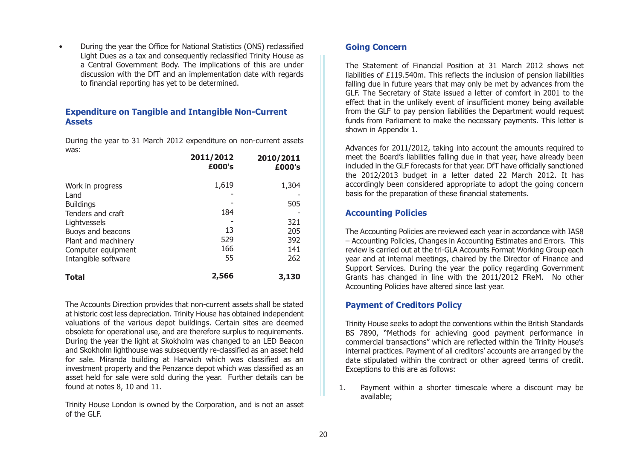• During the year the Office for National Statistics (ONS) reclassified Light Dues as a tax and consequently reclassified Trinity House as a Central Government Body. The implications of this are under discussion with the DfT and an implementation date with regards to financial reporting has yet to be determined.

#### **Expenditure on Tangible and Intangible Non-Current Assets**

During the year to 31 March 2012 expenditure on non-current assets was:**2011/2012**

|                          | 2011/2012<br>£000's | 2010/2011<br>£000's |
|--------------------------|---------------------|---------------------|
| Work in progress<br>Land | 1,619               | 1,304               |
| <b>Buildings</b>         |                     | 505                 |
| Tenders and craft        | 184                 |                     |
| Lightvessels             |                     | 321                 |
| Buoys and beacons        | 13                  | 205                 |
| Plant and machinery      | 529                 | 392                 |
| Computer equipment       | 166                 | 141                 |
| Intangible software      | 55                  | 262                 |
| <b>Total</b>             | 2,566               | 3,130               |

The Accounts Direction provides that non-current assets shall be stated at historic cost less depreciation. Trinity House has obtained independent valuations of the various depot buildings. Certain sites are deemed obsolete for operational use, and are therefore surplus to requirements. During the year the light at Skokholm was changed to an LED Beacon and Skokholm lighthouse was subsequently re-classified as an asset held for sale. Miranda building at Harwich which was classified as an investment property and the Penzance depot which was classified as an asset held for sale were sold during the year. Further details can be found at notes 8, 10 and 11.

Trinity House London is owned by the Corporation, and is not an asset of the GLF.

# **Going Concern**

The Statement of Financial Position at 31 March 2012 shows netliabilities of £119.540m. This reflects the inclusion of pension liabilities falling due in future years that may only be met by advances from the GLF. The Secretary of State issued a letter of comfort in 2001 to the effect that in the unlikely event of insufficient money being available from the GLF to pay pension liabilities the Department would request funds from Parliament to make the necessary payments. This letter is shown in Appendix 1.

Advances for 2011/2012, taking into account the amounts required to meet the Board's liabilities falling due in that year, have already been included in the GLF forecasts for that year. DfT have officially sanctioned the 2012/2013 budget in a letter dated 22 March 2012. It has accordingly been considered appropriate to adopt the going concern basis for the preparation of these financial statements.

#### **Accounting Policies**

The Accounting Policies are reviewed each year in accordance with IAS8 – Accounting Policies, Changes in Accounting Estimates and Errors. This review is carried out at the tri-GLA Accounts Format Working Group each year and at internal meetings, chaired by the Director of Finance and Support Services. During the year the policy regarding Government Grants has changed in line with the 2011/2012 FReM. No other Accounting Policies have altered since last year.

# **Payment of Creditors Policy**

Trinity House seeks to adopt the conventions within the British Standards BS 7890, "Methods for achieving good payment performance in commercial transactions" which are reflected within the Trinity House's internal practices. Payment of all creditors' accounts are arranged by the date stipulated within the contract or other agreed terms of credit. Exceptions to this are as follows:

1. Payment within a shorter timescale where a discount may be available;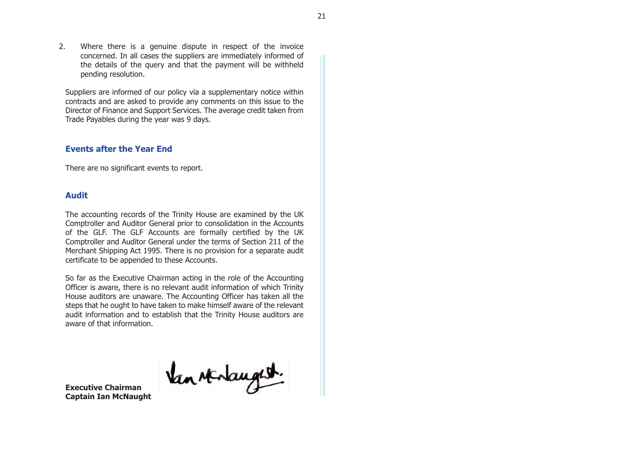2. Where there is a genuine dispute in respect of the invoice concerned. In all cases the suppliers are immediately informed of the details of the query and that the payment will be withheld pending resolution.

Suppliers are informed of our policy via a supplementary notice within contracts and are asked to provide any comments on this issue to the Director of Finance and Support Services. The average credit taken from Trade Payables during the year was 9 days.

#### **Events after the Year End**

There are no significant events to report.

#### **Audit**

The accounting records of the Trinity House are examined by the UK Comptroller and Auditor General prior to consolidation in the Accounts of the GLF. The GLF Accounts are formally certified by the UK Comptroller and Auditor General under the terms of Section 211 of the Merchant Shipping Act 1995. There is no provision for a separate audit certificate to be appended to these Accounts.

So far as the Executive Chairman acting in the role of the Accounting Officer is aware, there is no relevant audit information of which Trinity House auditors are unaware. The Accounting Officer has taken all the steps that he ought to have taken to make himself aware of the relevant audit information and to establish that the Trinity House auditors are aware of that information.

Van sterlaught.

**Executive ChairmanCaptain Ian McNaught**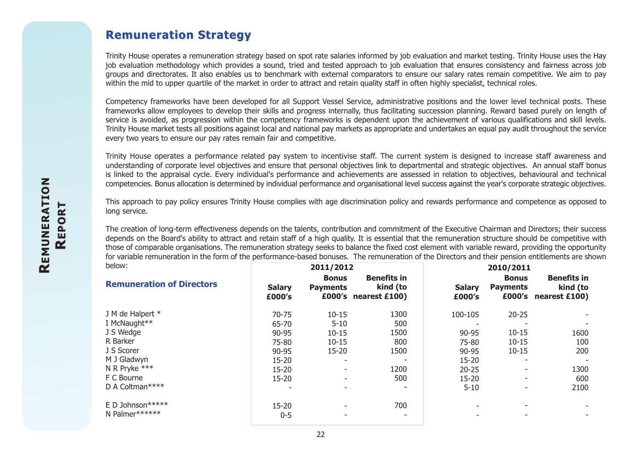# **Remuneration Strategy Remuneration Strategy**

Trinity House operates a remuneration strategy based on spot rate salaries informed by job evaluation and market testing. Trinity House uses the Hay job evaluation methodology which provides a sound, tried and tested approach to job evaluation that ensures consistency and fairness across job groups and directorates. It also enables us to benchmark with external comparators to ensure our salary rates remain competitive. We aim to pay within the mid to upper quartile of the market in order to attract and retain quality staff in often highly specialist, technical roles.

Competency frameworks have been developed for all Support Vessel Service, administrative positions and the lower level technical posts. These frameworks allow employees to develop their skills and progress internally, thus facilitating succession planning. Reward based purely on length of service is avoided, as progression within the competency frameworks is dependent upon the achievement of various qualifications and skill levels. Trinity House market tests all positions against local and national pay markets as appropriate and undertakes an equal pay audit throughout the service every two years to ensure our pay rates remain fair and competitive.

Trinity House operates a performance related pay system to incentivise staff. The current system is designed to increase staff awareness and understanding of corporate level objectives and ensure that personal objectives link to departmental and strategic objectives. An annual staff bonus is linked to the appraisal cycle. Every individual's performance and achievements are assessed in relation to objectives, behavioural and technical competencies. Bonus allocation is determined by individual performance and organisational level success against the year's corporate strategic objectives.

This approach to pay policy ensures Trinity House complies with age discrimination policy and rewards performance and competence as opposed to long service.

The creation of long-term effectiveness depends on the talents, contribution and commitment of the Executive Chairman and Directors; their success depends on the Board's ability to attract and retain staff of a high quality. It is essential that the remuneration structure should be competitive with those of comparable organisations. The remuneration strategy seeks to balance the fixed cost element with variable reward, providing the opportunity for variable remuneration in the form of the performance-based bonuses. The remuneration of the Directors and their pension entitlements are shown

|                         |                                 |                                | 2010/2011                             |                                 |                                                        |  |
|-------------------------|---------------------------------|--------------------------------|---------------------------------------|---------------------------------|--------------------------------------------------------|--|
| <b>Salary</b><br>£000's | <b>Bonus</b><br><b>Payments</b> | <b>Benefits in</b><br>kind (to | <b>Salary</b><br>£000's               | <b>Bonus</b><br><b>Payments</b> | <b>Benefits in</b><br>kind (to<br>£000's nearest £100) |  |
| $70 - 75$               | $10 - 15$                       | 1300                           | 100-105                               | $20 - 25$                       |                                                        |  |
| 65-70                   | $5 - 10$                        | 500                            |                                       |                                 |                                                        |  |
| 90-95                   | $10 - 15$                       | 1500                           | 90-95                                 | $10 - 15$                       | 1600                                                   |  |
| 75-80                   | $10 - 15$                       | 800                            | 75-80                                 | $10 - 15$                       | 100                                                    |  |
| 90-95                   | $15 - 20$                       | 1500                           | 90-95                                 | $10 - 15$                       | 200                                                    |  |
| $15 - 20$               |                                 | ۰.                             | 15-20                                 |                                 |                                                        |  |
| $15 - 20$               |                                 | 1200                           | $20 - 25$                             |                                 | 1300                                                   |  |
| $15 - 20$               |                                 | 500                            | $15 - 20$                             | ۰                               | 600                                                    |  |
|                         |                                 | ۰.                             | $5 - 10$                              |                                 | 2100                                                   |  |
| $15 - 20$               |                                 | 700                            |                                       |                                 |                                                        |  |
| $0 - 5$                 |                                 | $\overline{\phantom{a}}$       |                                       |                                 |                                                        |  |
|                         |                                 |                                | 2011/2012<br>$£000's$ nearest $£100)$ |                                 |                                                        |  |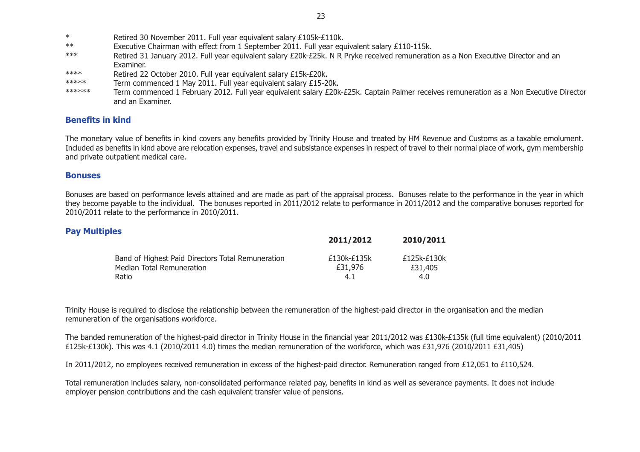- $\ast$ Retired 30 November 2011. Full year equivalent salary £105k-£110k.
- \*\* Executive Chairman with effect from 1 September 2011. Full year equivalent salary £110-115k.
- \*\*\* Retired 31 January 2012. Full year equivalent salary £20k-£25k. N R Pryke received remuneration as a Non Executive Director and an Examiner.
- \*\*\*\* Retired 22 October 2010. Full year equivalent salary £15k-£20k.
- \*\*\*\*\* Term commenced 1 May 2011. Full year equivalent salary £15-20k.
- \*\*\*\*\*\* Term commenced 1 February 2012. Full year equivalent salary £20k-£25k. Captain Palmer receives remuneration as a Non Executive Director and an Examiner.

# **Benefits in kind**

The monetary value of benefits in kind covers any benefits provided by Trinity House and treated by HM Revenue and Customs as a taxable emolument. Included as benefits in kind above are relocation expenses, travel and subsistance expenses in respect of travel to their normal place of work, gym membership and private outpatient medical care.

#### **Bonuses**

Bonuses are based on performance levels attained and are made as part of the appraisal process. Bonuses relate to the performance in the year in which they become payable to the individual. The bonuses reported in 2011/2012 relate to performance in 2011/2012 and the comparative bonuses reported for 2010/2011 relate to the performance in 2010/2011.

# **Pay Multiples**

|                                                   | 2011/2012   | 2010/2011   |
|---------------------------------------------------|-------------|-------------|
| Band of Highest Paid Directors Total Remuneration | £130k-£135k | £125k-£130k |
| Median Total Remuneration                         | £31,976     | £31,405     |
| Ratio                                             | 4.1         | 4.0         |

Trinity House is required to disclose the relationship between the remuneration of the highest-paid director in the organisation and the median remuneration of the organisations workforce.

The banded remuneration of the highest-paid director in Trinity House in the financial year 2011/2012 was £130k-£135k (full time equivalent) (2010/2011 £125k-£130k). This was 4.1 (2010/2011 4.0) times the median remuneration of the workforce, which was £31,976 (2010/2011 £31,405)

In 2011/2012, no employees received remuneration in excess of the highest-paid director. Remuneration ranged from £12,051 to £110,524.

Total remuneration includes salary, non-consolidated performance related pay, benefits in kind as well as severance payments. It does not include employer pension contributions and the cash equivalent transfer value of pensions.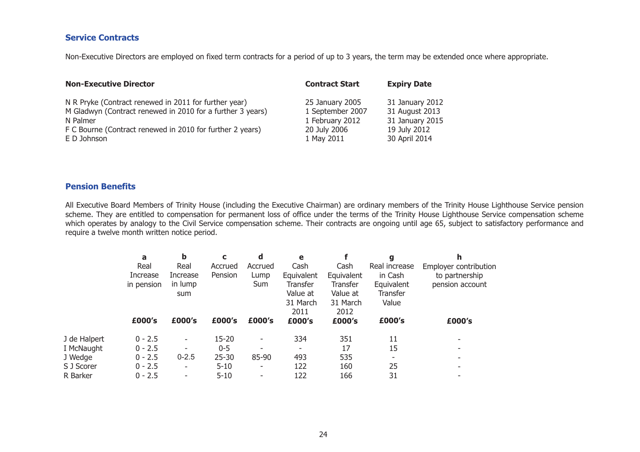# **Service Contracts**

Non-Executive Directors are employed on fixed term contracts for a period of up to 3 years, the term may be extended once where appropriate.

| <b>Non-Executive Director</b>                              | <b>Contract Start</b> | <b>Expiry Date</b> |
|------------------------------------------------------------|-----------------------|--------------------|
| N R Pryke (Contract renewed in 2011 for further year)      | 25 January 2005       | 31 January 2012    |
| M Gladwyn (Contract renewed in 2010 for a further 3 years) | 1 September 2007      | 31 August 2013     |
| N Palmer                                                   | 1 February 2012       | 31 January 2015    |
| F C Bourne (Contract renewed in 2010 for further 2 years)  | 20 July 2006          | 19 July 2012       |
| E D Johnson                                                | 1 May 2011            | 30 April 2014      |

#### **Pension Benefits**

All Executive Board Members of Trinity House (including the Executive Chairman) are ordinary members of the Trinity House Lighthouse Service pension scheme. They are entitled to compensation for permanent loss of office under the terms of the Trinity House Lighthouse Service compensation scheme which operates by analogy to the Civil Service compensation scheme. Their contracts are ongoing until age 65, subject to satisfactory performance and require a twelve month written notice period.

|              | a          | b                        | C         | a          | e               |            | g             |                       |
|--------------|------------|--------------------------|-----------|------------|-----------------|------------|---------------|-----------------------|
|              | Real       | Real                     | Accrued   | Accrued    | Cash            | Cash       | Real increase | Employer contribution |
|              | Increase   | Increase                 | Pension   | Lump       | Equivalent      | Equivalent | in Cash       | to partnership        |
|              | in pension | in lump                  |           | <b>Sum</b> | <b>Transfer</b> | Transfer   | Equivalent    | pension account       |
|              |            | sum                      |           |            | Value at        | Value at   | Transfer      |                       |
|              |            |                          |           |            | 31 March        | 31 March   | Value         |                       |
|              |            |                          |           |            | 2011            | 2012       |               |                       |
|              | £000's     | £000's                   | £000's    | £000's     | £000's          | £000's     | £000's        | £000's                |
| J de Halpert | $0 - 2.5$  | $\overline{\phantom{a}}$ | 15-20     | ۰          | 334             | 351        | 11            |                       |
| I McNaught   | $0 - 2.5$  | -                        | $0 - 5$   |            | -               | 17         | 15            |                       |
| J Wedge      | $0 - 2.5$  | $0 - 2.5$                | $25 - 30$ | 85-90      | 493             | 535        |               |                       |
| S J Scorer   | $0 - 2.5$  | $\overline{\phantom{0}}$ | $5 - 10$  | ٠          | 122             | 160        | 25            |                       |
| R Barker     | $0 - 2.5$  | ۰                        | $5 - 10$  | ۰          | 122             | 166        | 31            |                       |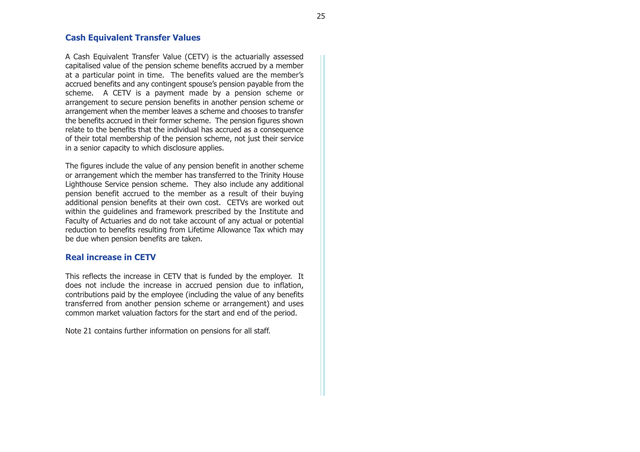#### **Cash Equivalent Transfer Values**

A Cash Equivalent Transfer Value (CETV) is the actuarially assessed capitalised value of the pension scheme benefits accrued by a member at a particular point in time. The benefits valued are the member's accrued benefits and any contingent spouse's pension payable from the scheme. A CETV is a payment made by a pension scheme or arrangement to secure pension benefits in another pension scheme or arrangement when the member leaves a scheme and chooses to transfer the benefits accrued in their former scheme. The pension figures shown relate to the benefits that the individual has accrued as a consequence of their total membership of the pension scheme, not just their service in a senior capacity to which disclosure applies.

The figures include the value of any pension benefit in another scheme or arrangement which the member has transferred to the Trinity House Lighthouse Service pension scheme. They also include any additional pension benefit accrued to the member as a result of their buying additional pension benefits at their own cost. CETVs are worked out within the guidelines and framework prescribed by the Institute and Faculty of Actuaries and do not take account of any actual or potential reduction to benefits resulting from Lifetime Allowance Tax which may be due when pension benefits are taken.

#### **Real increase in CETV**

This reflects the increase in CETV that is funded by the employer. It does not include the increase in accrued pension due to inflation, contributions paid by the employee (including the value of any benefits transferred from another pension scheme or arrangement) and uses common market valuation factors for the start and end of the period.

Note 21 contains further information on pensions for all staff.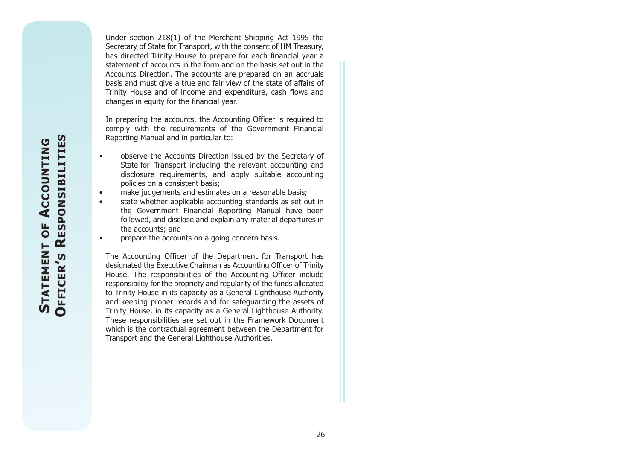**RESPONSIBILITIES ESPONSIBILITIES** ACCOUNTING **ACCOUNTING CCOUNTING**  $\overline{0}$ **STATEMENT TATEMENT OF STATEMENT ' S OFFICER**

Under section 218(1) of the Merchant Shipping Act 1995 the Secretary of State for Transport, with the consent of HM Treasury, has directed Trinity House to prepare for each financial year a statement of accounts in the form and on the basis set out in theAccounts Direction. The accounts are prepared on an accruals basis and must give a true and fair view of the state of affairs of Trinity House and of income and expenditure, cash flows and changes in equity for the financial year.

In preparing the accounts, the Accounting Officer is required to comply with the requirements of the Government Financial Reporting Manual and in particular to:

- • observe the Accounts Direction issued by the Secretary of State for Transport including the relevant accounting and disclosure requirements, and apply suitable accounting policies on a consistent basis;
- •make judgements and estimates on a reasonable basis;
- • state whether applicable accounting standards as set out in the Government Financial Reporting Manual have been followed, and disclose and explain any material departures in the accounts; and
- •prepare the accounts on a going concern basis.

The Accounting Officer of the Department for Transport has designated the Executive Chairman as Accounting Officer of Trinity House. The responsibilities of the Accounting Officer include responsibility for the propriety and regularity of the funds allocated to Trinity House in its capacity as a General Lighthouse Authority and keeping proper records and for safeguarding the assets of Trinity House, in its capacity as a General Lighthouse Authority. These responsibilities are set out in the Framework Document which is the contractual agreement between the Department for Transport and the General Lighthouse Authorities.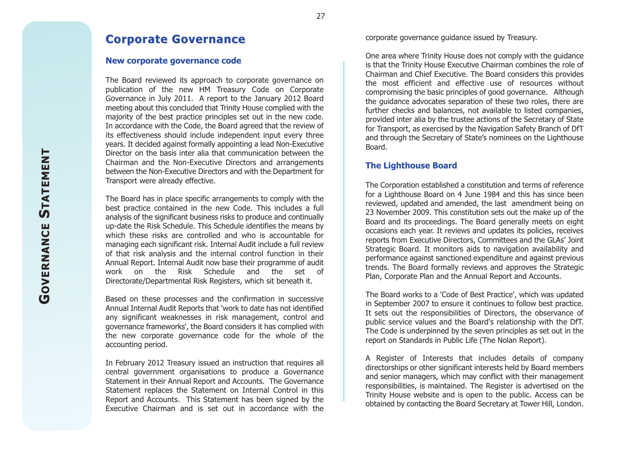# **Corporate Governance Corporate Governance**

#### **New corporate governance code**

The Board reviewed its approach to corporate governance on publication of the new HM Treasury Code on Corporate Governance in July 2011. A report to the January 2012 Board meeting about this concluded that Trinity House complied with the majority of the best practice principles set out in the new code. In accordance with the Code, the Board agreed that the review of its effectiveness should include independent input every three years. It decided against formally appointing a lead Non-Executive Director on the basis inter alia that communication between theChairman and the Non-Executive Directors and arrangements between the Non-Executive Directors and with the Department for Transport were already effective.

The Board has in place specific arrangements to comply with the best practice contained in the new Code. This includes a full analysis of the significant business risks to produce and continually up-date the Risk Schedule. This Schedule identifies the means by which these risks are controlled and who is accountable formanaging each significant risk. Internal Audit include a full review of that risk analysis and the internal control function in their Annual Report. Internal Audit now base their programme of audit work on the Risk Schedule and the set of Directorate/Departmental Risk Registers, which sit beneath it.

Based on these processes and the confirmation in successive Annual Internal Audit Reports that 'work to date has not identified any significant weaknesses in risk management, control and governance frameworks', the Board considers it has complied with the new corporate governance code for the whole of the accounting period.

In February 2012 Treasury issued an instruction that requires all central government organisations to produce a Governance Statement in their Annual Report and Accounts. The Governance Statement replaces the Statement on Internal Control in this Report and Accounts. This Statement has been signed by the Executive Chairman and is set out in accordance with the

corporate governance guidance issued by Treasury.

One area where Trinity House does not comply with the guidance is that the Trinity House Executive Chairman combines the role of Chairman and Chief Executive. The Board considers this provides the most efficient and effective use of resources withoutcompromising the basic principles of good governance. Although the guidance advocates separation of these two roles, there are further checks and balances, not available to listed companies, provided inter alia by the trustee actions of the Secretary of State for Transport, as exercised by the Navigation Safety Branch of DfT and through the Secretary of State's nominees on the Lighthouse Board.

#### **The Lighthouse Board**

The Corporation established a constitution and terms of reference for a Lighthouse Board on 4 June 1984 and this has since been reviewed, updated and amended, the last amendment being on 23 November 2009. This constitution sets out the make up of the Board and its proceedings. The Board generally meets on eight occasions each year. It reviews and updates its policies, receives reports from Executive Directors, Committees and the GLAs' Joint Strategic Board. It monitors aids to navigation availability and performance against sanctioned expenditure and against previous trends. The Board formally reviews and approves the Strategic Plan, Corporate Plan and the Annual Report and Accounts.

The Board works to a 'Code of Best Practice', which was updated in September 2007 to ensure it continues to follow best practice. It sets out the responsibilities of Directors, the observance of public service values and the Board's relationship with the DfT. The Code is underpinned by the seven principles as set out in the report on Standards in Public Life (The Nolan Report).

A Register of Interests that includes details of company directorships or other significant interests held by Board members and senior managers, which may conflict with their management responsibilities, is maintained. The Register is advertised on the Trinity House website and is open to the public. Access can be obtained by contacting the Board Secretary at Tower Hill, London.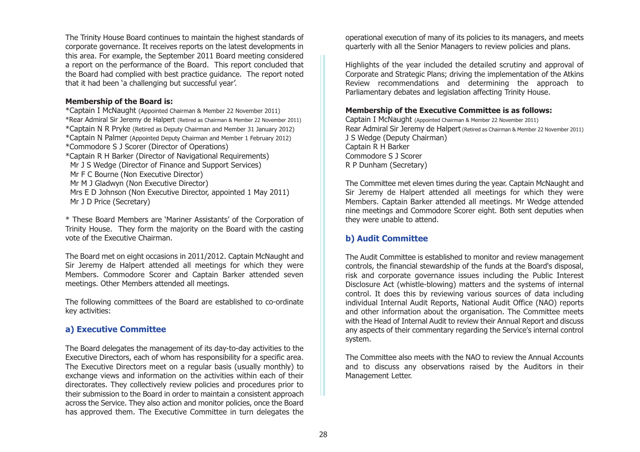The Trinity House Board continues to maintain the highest standards of corporate governance. It receives reports on the latest developments in this area. For example, the September 2011 Board meeting considered a report on the performance of the Board. This report concluded that the Board had complied with best practice guidance. The report noted that it had been 'a challenging but successful year'.

#### **Membership of the Board is:**

\*Captain I McNaught (Appointed Chairman & Member 22 November 2011) \*Rear Admiral Sir Jeremy de Halpert (Retired as Chairman & Member 22 November 2011) \*Captain N R Pryke (Retired as Deputy Chairman and Member 31 January 2012) \*Captain N Palmer (Appointed Deputy Chairman and Member 1 February 2012) \*Commodore S J Scorer (Director of Operations) \*Captain R H Barker (Director of Navigational Requirements) Mr J S Wedge (Director of Finance and Support Services) Mr F C Bourne (Non Executive Director) Mr M J Gladwyn (Non Executive Director) Mrs E D Johnson (Non Executive Director, appointed 1 May 2011) Mr J D Price (Secretary)

\* These Board Members are 'Mariner Assistants' of the Corporation of Trinity House. They form the majority on the Board with the casting vote of the Executive Chairman.

The Board met on eight occasions in 2011/2012. Captain McNaught and Sir Jeremy de Halpert attended all meetings for which they were Members. Commodore Scorer and Captain Barker attended seven meetings. Other Members attended all meetings.

The following committees of the Board are established to co-ordinate key activities:

# **a) Executive Committee**

The Board delegates the management of its day-to-day activities to the Executive Directors, each of whom has responsibility for a specific area. The Executive Directors meet on a regular basis (usually monthly) to exchange views and information on the activities within each of their directorates. They collectively review policies and procedures prior to their submission to the Board in order to maintain a consistent approach across the Service. They also action and monitor policies, once the Board has approved them. The Executive Committee in turn delegates the

operational execution of many of its policies to its managers, and meets quarterly with all the Senior Managers to review policies and plans.

Highlights of the year included the detailed scrutiny and approval of Corporate and Strategic Plans; driving the implementation of the Atkins Review recommendations and determining the approach to Parliamentary debates and legislation affecting Trinity House.

#### **Membership of the Executive Committee is as follows:**

Captain I McNaught (Appointed Chairman & Member 22 November 2011) Rear Admiral Sir Jeremy de Halpert (Retired as Chairman & Member 22 November 2011) J S Wedge (Deputy Chairman) Captain R H Barker Commodore S J ScorerR P Dunham (Secretary)

The Committee met eleven times during the year. Captain McNaught and Sir Jeremy de Halpert attended all meetings for which they were Members. Captain Barker attended all meetings. Mr Wedge attended nine meetings and Commodore Scorer eight. Both sent deputies when they were unable to attend.

# **b) Audit Committee**

The Audit Committee is established to monitor and review management controls, the financial stewardship of the funds at the Board's disposal, risk and corporate governance issues including the Public Interest Disclosure Act (whistle-blowing) matters and the systems of internal control. It does this by reviewing various sources of data including individual Internal Audit Reports, National Audit Office (NAO) reports and other information about the organisation. The Committee meets with the Head of Internal Audit to review their Annual Report and discuss any aspects of their commentary regarding the Service's internal control system.

The Committee also meets with the NAO to review the Annual Accountsand to discuss any observations raised by the Auditors in their Management Letter.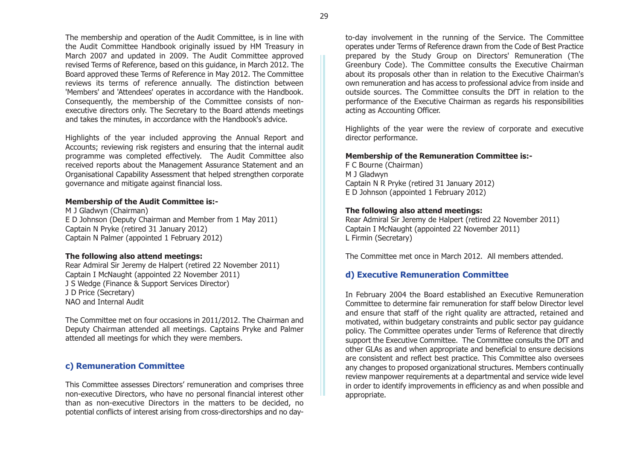The membership and operation of the Audit Committee, is in line with the Audit Committee Handbook originally issued by HM Treasury in March 2007 and updated in 2009. The Audit Committee approved revised Terms of Reference, based on this guidance, in March 2012. The Board approved these Terms of Reference in May 2012. The Committee reviews its terms of reference annually. The distinction between 'Members' and 'Attendees' operates in accordance with the Handbook. Consequently, the membership of the Committee consists of nonexecutive directors only. The Secretary to the Board attends meetings and takes the minutes, in accordance with the Handbook's advice.

Highlights of the year included approving the Annual Report and Accounts; reviewing risk registers and ensuring that the internal audit programme was completed effectively. The Audit Committee also received reports about the Management Assurance Statement and an Organisational Capability Assessment that helped strengthen corporate governance and mitigate against financial loss.

#### **Membership of the Audit Committee is:-**

M J Gladwyn (Chairman) E D Johnson (Deputy Chairman and Member from 1 May 2011) Captain N Pryke (retired 31 January 2012) Captain N Palmer (appointed 1 February 2012)

#### **The following also attend meetings:**

Rear Admiral Sir Jeremy de Halpert (retired 22 November 2011) Captain I McNaught (appointed 22 November 2011) J S Wedge (Finance & Support Services Director) J D Price (Secretary) NAO and Internal Audit

The Committee met on four occasions in 2011/2012. The Chairman and Deputy Chairman attended all meetings. Captains Pryke and Palmer attended all meetings for which they were members.

# **c) Remuneration Committee**

This Committee assesses Directors' remuneration and comprises three non-executive Directors, who have no personal financial interest other than as non-executive Directors in the matters to be decided, no potential conflicts of interest arising from cross-directorships and no day-

to-day involvement in the running of the Service. The Committee operates under Terms of Reference drawn from the Code of Best Practice prepared by the Study Group on Directors' Remuneration (The Greenbury Code). The Committee consults the Executive Chairman about its proposals other than in relation to the Executive Chairman's own remuneration and has access to professional advice from inside and outside sources. The Committee consults the DfT in relation to the performance of the Executive Chairman as regards his responsibilities acting as Accounting Officer.

Highlights of the year were the review of corporate and executive director performance.

#### **Membership of the Remuneration Committee is:-**

F C Bourne (Chairman) M J Gladwyn Captain N R Pryke (retired 31 January 2012) E D Johnson (appointed 1 February 2012)

#### **The following also attend meetings:**

Rear Admiral Sir Jeremy de Halpert (retired 22 November 2011) Captain I McNaught (appointed 22 November 2011) L Firmin (Secretary) The Committee met once in March 2012. All members attended.

# **d) Executive Remuneration Committee**

In February 2004 the Board established an Executive Remuneration Committee to determine fair remuneration for staff below Director leveland ensure that staff of the right quality are attracted, retained and motivated, within budgetary constraints and public sector pay guidance policy. The Committee operates under Terms of Reference that directly support the Executive Committee. The Committee consults the DfT and other GLAs as and when appropriate and beneficial to ensure decisions are consistent and reflect best practice. This Committee also oversees any changes to proposed organizational structures. Members continually review manpower requirements at a departmental and service wide level in order to identify improvements in efficiency as and when possible and appropriate.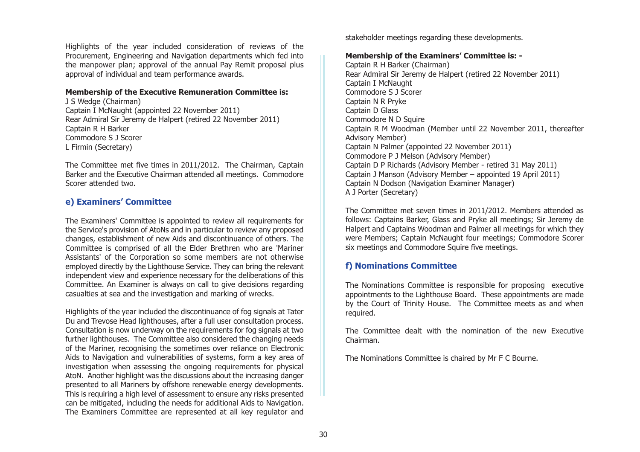Highlights of the year included consideration of reviews of the Procurement, Engineering and Navigation departments which fed into the manpower plan; approval of the annual Pay Remit proposal plus approval of individual and team performance awards.

#### **Membership of the Executive Remuneration Committee is:**

J S Wedge (Chairman) Captain I McNaught (appointed 22 November 2011) Rear Admiral Sir Jeremy de Halpert (retired 22 November 2011) Captain R H Barker Commodore S J ScorerL Firmin (Secretary)

The Committee met five times in 2011/2012. The Chairman, Captain Barker and the Executive Chairman attended all meetings. Commodore Scorer attended two.

#### **e) Examiners' Committee**

The Examiners' Committee is appointed to review all requirements for the Service's provision of AtoNs and in particular to review any proposed changes, establishment of new Aids and discontinuance of others. The Committee is comprised of all the Elder Brethren who are 'Mariner Assistants' of the Corporation so some members are not otherwise employed directly by the Lighthouse Service. They can bring the relevant independent view and experience necessary for the deliberations of this Committee. An Examiner is always on call to give decisions regarding casualties at sea and the investigation and marking of wrecks.

Highlights of the year included the discontinuance of fog signals at Tater Du and Trevose Head lighthouses, after a full user consultation process. Consultation is now underway on the requirements for fog signals at two further lighthouses. The Committee also considered the changing needs of the Mariner, recognising the sometimes over reliance on Electronic Aids to Navigation and vulnerabilities of systems, form a key area of investigation when assessing the ongoing requirements for physical AtoN. Another highlight was the discussions about the increasing danger presented to all Mariners by offshore renewable energy developments. This is requiring a high level of assessment to ensure any risks presented can be mitigated, including the needs for additional Aids to Navigation. The Examiners Committee are represented at all key regulator and

stakeholder meetings regarding these developments.

#### **Membership of the Examiners' Committee is: -**

Captain R H Barker (Chairman) Rear Admiral Sir Jeremy de Halpert (retired 22 November 2011) Captain I McNaught Commodore S J ScorerCaptain N R Pryke Captain D Glass Commodore N D Squire Captain R M Woodman (Member until 22 November 2011, thereafter Advisory Member) Captain N Palmer (appointed 22 November 2011) Commodore P J Melson (Advisory Member) Captain D P Richards (Advisory Member - retired 31 May 2011) Captain J Manson (Advisory Member – appointed 19 April 2011) Captain N Dodson (Navigation Examiner Manager) A J Porter (Secretary)

The Committee met seven times in 2011/2012. Members attended as follows: Captains Barker, Glass and Pryke all meetings; Sir Jeremy de Halpert and Captains Woodman and Palmer all meetings for which they were Members; Captain McNaught four meetings; Commodore Scorer six meetings and Commodore Squire five meetings.

#### **f) Nominations Committee**

The Nominations Committee is responsible for proposing executive appointments to the Lighthouse Board. These appointments are made by the Court of Trinity House. The Committee meets as and when required.

The Committee dealt with the nomination of the new ExecutiveChairman.

The Nominations Committee is chaired by Mr F C Bourne.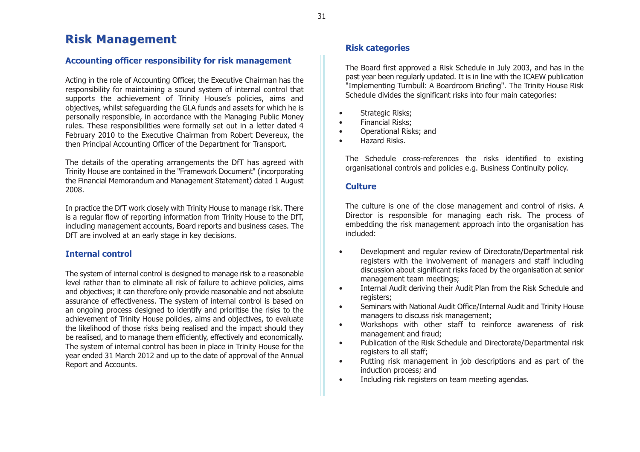# **Risk Management Risk Management**

# **Accounting officer responsibility for risk management**

Acting in the role of Accounting Officer, the Executive Chairman has the responsibility for maintaining a sound system of internal control that supports the achievement of Trinity House's policies, aims and objectives, whilst safeguarding the GLA funds and assets for which he is personally responsible, in accordance with the Managing Public Money rules. These responsibilities were formally set out in a letter dated 4 February 2010 to the Executive Chairman from Robert Devereux, the then Principal Accounting Officer of the Department for Transport.

The details of the operating arrangements the DfT has agreed with Trinity House are contained in the "Framework Document" (incorporating the Financial Memorandum and Management Statement) dated 1 August 2008.

In practice the DfT work closely with Trinity House to manage risk. There is a regular flow of reporting information from Trinity House to the DfT, including management accounts, Board reports and business cases. The DfT are involved at an early stage in key decisions.

# **Internal control**

The system of internal control is designed to manage risk to a reasonable level rather than to eliminate all risk of failure to achieve policies, aims and objectives; it can therefore only provide reasonable and not absolute assurance of effectiveness. The system of internal control is based on an ongoing process designed to identify and prioritise the risks to the achievement of Trinity House policies, aims and objectives, to evaluate the likelihood of those risks being realised and the impact should they be realised, and to manage them efficiently, effectively and economically. The system of internal control has been in place in Trinity House for the year ended 31 March 2012 and up to the date of approval of the Annual Report and Accounts.

# **Risk categories**

The Board first approved a Risk Schedule in July 2003, and has in the past year been regularly updated. It is in line with the ICAEW publication "Implementing Turnbull: A Boardroom Briefing". The Trinity House Risk Schedule divides the significant risks into four main categories:

- Strategic Risks;
- Financial Risks;
- Operational Risks; and
- •Hazard Risks.

The Schedule cross-references the risks identified to existing organisational controls and policies e.g. Business Continuity policy.

# **Culture**

The culture is one of the close management and control of risks. A Director is responsible for managing each risk. The process of embedding the risk management approach into the organisation has included:

- • Development and regular review of Directorate/Departmental risk registers with the involvement of managers and staff including discussion about significant risks faced by the organisation at senior management team meetings;
- • Internal Audit deriving their Audit Plan from the Risk Schedule and registers;
- • Seminars with National Audit Office/Internal Audit and Trinity House managers to discuss risk management;
- • Workshops with other staff to reinforce awareness of risk management and fraud;
- • Publication of the Risk Schedule and Directorate/Departmental risk registers to all staff;
- • Putting risk management in job descriptions and as part of the induction process; and
- •Including risk registers on team meeting agendas.

31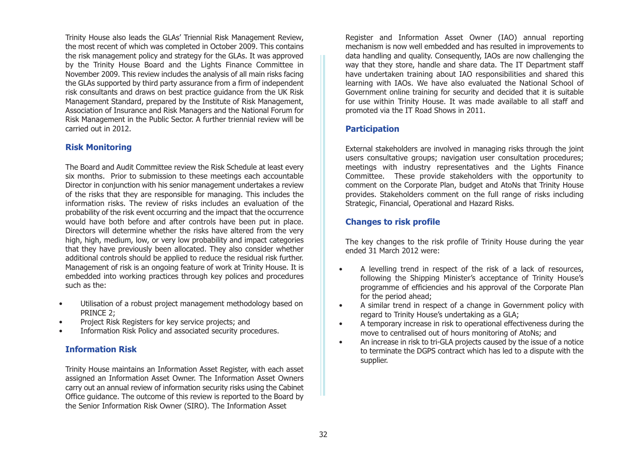Trinity House also leads the GLAs' Triennial Risk Management Review, the most recent of which was completed in October 2009. This contains the risk management policy and strategy for the GLAs. It was approved by the Trinity House Board and the Lights Finance Committee in November 2009. This review includes the analysis of all main risks facing the GLAs supported by third party assurance from a firm of independent risk consultants and draws on best practice guidance from the UK Risk Management Standard, prepared by the Institute of Risk Management, Association of Insurance and Risk Managers and the National Forum for Risk Management in the Public Sector. A further triennial review will be carried out in 2012.

# **Risk Monitoring**

The Board and Audit Committee review the Risk Schedule at least every six months. Prior to submission to these meetings each accountable Director in conjunction with his senior management undertakes a review of the risks that they are responsible for managing. This includes the information risks. The review of risks includes an evaluation of theprobability of the risk event occurring and the impact that the occurrence would have both before and after controls have been put in place. Directors will determine whether the risks have altered from the very high, high, medium, low, or very low probability and impact categories that they have previously been allocated. They also consider whether additional controls should be applied to reduce the residual risk further. Management of risk is an ongoing feature of work at Trinity House. It is embedded into working practices through key polices and procedures such as the:

- Utilisation of a robust project management methodology based on PRINCE 2;
- Project Risk Registers for key service projects; and
- Information Risk Policy and associated security procedures.

# **Information Risk**

Trinity House maintains an Information Asset Register, with each asset assigned an Information Asset Owner. The Information Asset Owners carry out an annual review of information security risks using the Cabinet Office guidance. The outcome of this review is reported to the Board by the Senior Information Risk Owner (SIRO). The Information Asset

Register and Information Asset Owner (IAO) annual reporting mechanism is now well embedded and has resulted in improvements to data handling and quality. Consequently, IAOs are now challenging the way that they store, handle and share data. The IT Department staff have undertaken training about IAO responsibilities and shared this learning with IAOs. We have also evaluated the National School of Government online training for security and decided that it is suitable for use within Trinity House. It was made available to all staff and promoted via the IT Road Shows in 2011.

# **Participation**

External stakeholders are involved in managing risks through the joint users consultative groups; navigation user consultation procedures; meetings with industry representatives and the Lights Finance Committee. These provide stakeholders with the opportunity to comment on the Corporate Plan, budget and AtoNs that Trinity House provides. Stakeholders comment on the full range of risks including Strategic, Financial, Operational and Hazard Risks.

# **Changes to risk profile**

The key changes to the risk profile of Trinity House during the year ended 31 March 2012 were:

- • A levelling trend in respect of the risk of a lack of resources, following the Shipping Minister's acceptance of Trinity House's programme of efficiencies and his approval of the Corporate Plan for the period ahead;
- • A similar trend in respect of a change in Government policy with regard to Trinity House's undertaking as a GLA;
- • A temporary increase in risk to operational effectiveness during the move to centralised out of hours monitoring of AtoNs; and
- • An increase in risk to tri-GLA projects caused by the issue of a notice to terminate the DGPS contract which has led to a dispute with the supplier.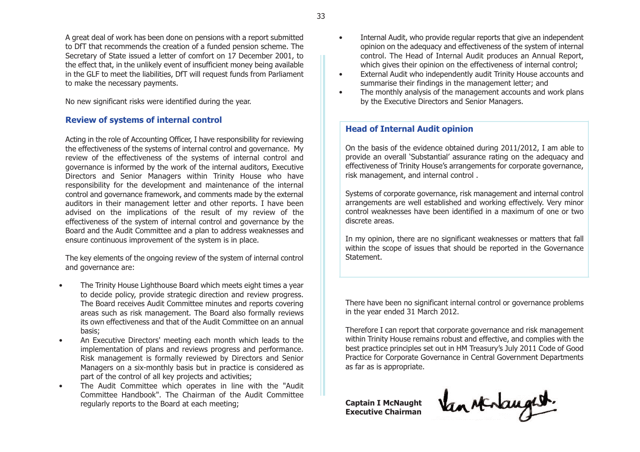A great deal of work has been done on pensions with a report submitted to DfT that recommends the creation of a funded pension scheme. The Secretary of State issued a letter of comfort on 17 December 2001, to the effect that, in the unlikely event of insufficient money being available in the GLF to meet the liabilities, DfT will request funds from Parliament to make the necessary payments.

No new significant risks were identified during the year.

# **Review of systems of internal control**

Acting in the role of Accounting Officer, I have responsibility for reviewing the effectiveness of the systems of internal control and governance. My review of the effectiveness of the systems of internal control and governance is informed by the work of the internal auditors, Executive Directors and Senior Managers within Trinity House who have responsibility for the development and maintenance of the internal control and governance framework, and comments made by the external auditors in their management letter and other reports. I have been advised on the implications of the result of my review of the effectiveness of the system of internal control and governance by the Board and the Audit Committee and a plan to address weaknesses and ensure continuous improvement of the system is in place.

The key elements of the ongoing review of the system of internal control and governance are:

- The Trinity House Lighthouse Board which meets eight times a year to decide policy, provide strategic direction and review progress. The Board receives Audit Committee minutes and reports covering areas such as risk management. The Board also formally reviews its own effectiveness and that of the Audit Committee on an annualbasis;
- An Executive Directors' meeting each month which leads to the implementation of plans and reviews progress and performance. Risk management is formally reviewed by Directors and Senior Managers on a six-monthly basis but in practice is considered as part of the control of all key projects and activities;
- The Audit Committee which operates in line with the "Audit Committee Handbook". The Chairman of the Audit Committeeregularly reports to the Board at each meeting;
- Internal Audit, who provide regular reports that give an independent opinion on the adequacy and effectiveness of the system of internal control. The Head of Internal Audit produces an Annual Report, which gives their opinion on the effectiveness of internal control:
- External Audit who independently audit Trinity House accounts and summarise their findings in the management letter; and
- The monthly analysis of the management accounts and work plans by the Executive Directors and Senior Managers.

# **Head of Internal Audit opinion**

On the basis of the evidence obtained during 2011/2012, I am able to provide an overall 'Substantial' assurance rating on the adequacy and effectiveness of Trinity House's arrangements for corporate governance, risk management, and internal control .

Systems of corporate governance, risk management and internal control arrangements are well established and working effectively. Very minor control weaknesses have been identified in a maximum of one or twodiscrete areas.

In my opinion, there are no significant weaknesses or matters that fall within the scope of issues that should be reported in the Governance Statement.

There have been no significant internal control or governance problems in the year ended 31 March 2012.

Therefore I can report that corporate governance and risk management within Trinity House remains robust and effective, and complies with the best practice principles set out in HM Treasury's July 2011 Code of Good Practice for Corporate Governance in Central Government Departments as far as is appropriate.

**Captain I McNaught Executive Chairman**

Van sterlangest.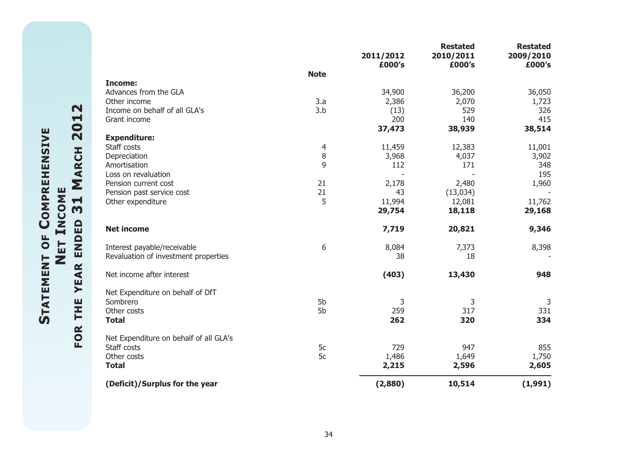|                                        |             | 2011/2012<br>£000's | <b>Restated</b><br>2010/2011<br>£000's | <b>Restated</b><br>2009/2010<br>£000's |
|----------------------------------------|-------------|---------------------|----------------------------------------|----------------------------------------|
|                                        | <b>Note</b> |                     |                                        |                                        |
| <b>Income:</b>                         |             |                     |                                        |                                        |
| Advances from the GLA                  |             | 34,900              | 36,200                                 | 36,050                                 |
| Other income                           | 3.a         | 2,386               | 2,070                                  | 1,723                                  |
| Income on behalf of all GLA's          | 3.b         | (13)                | 529                                    | 326                                    |
| Grant income                           |             | 200                 | 140                                    | 415                                    |
|                                        |             | 37,473              | 38,939                                 | 38,514                                 |
| <b>Expenditure:</b>                    |             |                     |                                        |                                        |
| Staff costs                            | 4           | 11,459              | 12,383                                 | 11,001                                 |
| Depreciation                           | $\, 8$      | 3,968               | 4,037                                  | 3,902                                  |
| Amortisation                           | 9           | 112                 | 171                                    | 348                                    |
| Loss on revaluation                    |             |                     |                                        | 195                                    |
| Pension current cost                   | 21          | 2,178               | 2,480                                  | 1,960                                  |
| Pension past service cost              | 21          | 43                  | (13,034)                               |                                        |
| Other expenditure                      | 5           | 11,994              | 12,081                                 | 11,762                                 |
|                                        |             | 29,754              | 18,118                                 | 29,168                                 |
| <b>Net income</b>                      |             | 7,719               | 20,821                                 | 9,346                                  |
| Interest payable/receivable            | 6           | 8,084               | 7,373                                  | 8,398                                  |
| Revaluation of investment properties   |             | 38                  | 18                                     |                                        |
| Net income after interest              |             | (403)               | 13,430                                 | 948                                    |
| Net Expenditure on behalf of DfT       |             |                     |                                        |                                        |
| Sombrero                               | 5b          | 3                   | 3                                      | 3                                      |
| Other costs                            | 5b          | 259                 | 317                                    | 331                                    |
| <b>Total</b>                           |             | 262                 | 320                                    | 334                                    |
| Net Expenditure on behalf of all GLA's |             |                     |                                        |                                        |
| Staff costs                            | 5c          | 729                 | 947                                    | 855                                    |
| Other costs                            | 5c          | 1,486               | 1,649                                  | 1,750                                  |
| <b>Total</b>                           |             | 2,215               | 2,596                                  | 2,605                                  |
| (Deficit)/Surplus for the year         |             | (2,880)             | 10,514                                 | (1,991)                                |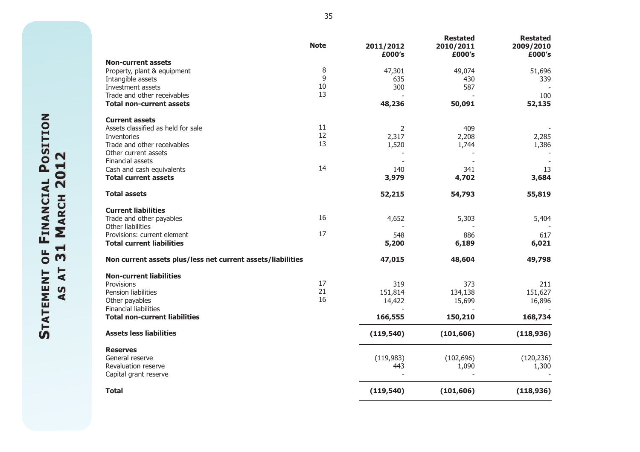|                                                             | <b>Note</b> | 2011/2012<br>£000's | <b>Restated</b><br>2010/2011<br>£000's | <b>Restated</b><br>2009/2010<br>£000's |
|-------------------------------------------------------------|-------------|---------------------|----------------------------------------|----------------------------------------|
| <b>Non-current assets</b>                                   |             |                     |                                        |                                        |
| Property, plant & equipment                                 | 8           | 47,301              | 49,074                                 | 51,696                                 |
| Intangible assets                                           | 9           | 635                 | 430                                    | 339                                    |
| Investment assets                                           | 10          | 300                 | 587                                    |                                        |
| Trade and other receivables                                 | 13          |                     |                                        | 100                                    |
| <b>Total non-current assets</b>                             |             | 48,236              | 50,091                                 | 52,135                                 |
| <b>Current assets</b>                                       | 11          |                     |                                        |                                        |
| Assets classified as held for sale                          | 12          | 2                   | 409                                    |                                        |
| Inventories                                                 | 13          | 2,317               | 2,208                                  | 2,285                                  |
| Trade and other receivables<br>Other current assets         |             | 1,520               | 1,744                                  | 1,386                                  |
| Financial assets                                            |             |                     |                                        |                                        |
| Cash and cash equivalents                                   | 14          | 140                 | 341                                    | 13                                     |
| <b>Total current assets</b>                                 |             | 3,979               | 4,702                                  | 3,684                                  |
| <b>Total assets</b>                                         |             | 52,215              | 54,793                                 | 55,819                                 |
| <b>Current liabilities</b>                                  |             |                     |                                        |                                        |
| Trade and other payables                                    | 16          | 4,652               | 5,303                                  | 5,404                                  |
| Other liabilities                                           |             |                     |                                        |                                        |
| Provisions: current element                                 | 17          | 548                 | 886                                    | 617                                    |
| <b>Total current liabilities</b>                            |             | 5,200               | 6,189                                  | 6,021                                  |
| Non current assets plus/less net current assets/liabilities |             | 47,015              | 48,604                                 | 49,798                                 |
| <b>Non-current liabilities</b>                              |             |                     |                                        |                                        |
| Provisions                                                  | 17          | 319                 | 373                                    | 211                                    |
| Pension liabilities                                         | 21          | 151,814             | 134,138                                | 151,627                                |
| Other payables                                              | 16          | 14,422              | 15,699                                 | 16,896                                 |
| <b>Financial liabilities</b>                                |             |                     |                                        |                                        |
| <b>Total non-current liabilities</b>                        |             | 166,555             | 150,210                                | 168,734                                |
| <b>Assets less liabilities</b>                              |             | (119, 540)          | (101, 606)                             | (118, 936)                             |
| <b>Reserves</b>                                             |             |                     |                                        |                                        |
| General reserve                                             |             | (119,983)           | (102, 696)                             | (120, 236)                             |
| Revaluation reserve                                         |             | 443                 | 1,090                                  | 1,300                                  |
| Capital grant reserve                                       |             |                     |                                        |                                        |
| <b>Total</b>                                                |             | (119, 540)          | (101, 606)                             | (118, 936)                             |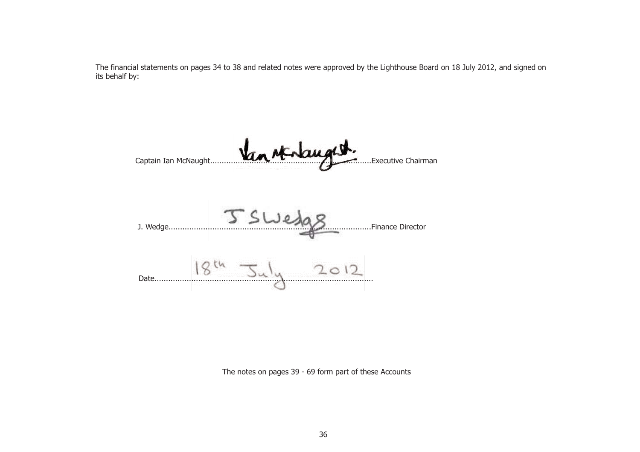The financial statements on pages 34 to 38 and related notes were approved by the Lighthouse Board on 18 July 2012, and signed on its behalf by:

Captain Ian McNaught......................................................................Executive Chairman J. Wedge........................................................................................Finance Director  $18^{th}$   $34^{th}$   $2012$ 

The notes on pages 39 - 69 form part of these Accounts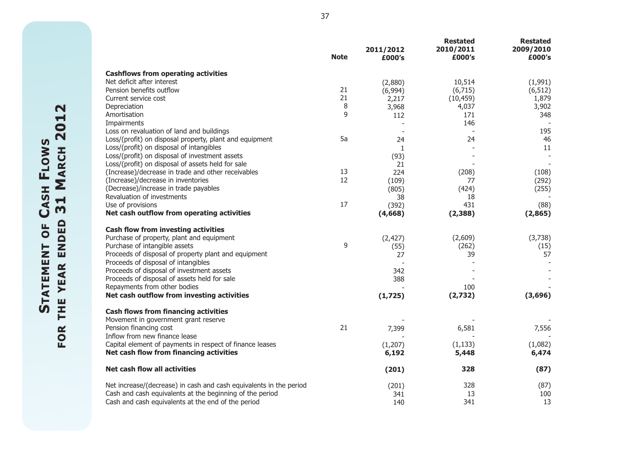|                                                                    | <b>Note</b> | 2011/2012<br>£000's | <b>Restated</b><br>2010/2011<br>£000's | <b>Restated</b><br>2009/2010<br>£000's |
|--------------------------------------------------------------------|-------------|---------------------|----------------------------------------|----------------------------------------|
| <b>Cashflows from operating activities</b>                         |             |                     |                                        |                                        |
| Net deficit after interest                                         |             | (2,880)             | 10,514                                 | (1,991)                                |
| Pension benefits outflow                                           | 21          | (6,994)             | (6,715)                                | (6, 512)                               |
| Current service cost                                               | 21          | 2,217               | (10, 459)                              | 1,879                                  |
| Depreciation                                                       | 8           | 3,968               | 4,037                                  | 3,902                                  |
| Amortisation                                                       | 9           | 112                 | 171                                    | 348                                    |
| Impairments                                                        |             |                     | 146                                    |                                        |
| Loss on revaluation of land and buildings                          |             |                     |                                        | 195                                    |
| Loss/(profit) on disposal property, plant and equipment            | 5a          | 24                  | 24                                     | 46                                     |
| Loss/(profit) on disposal of intangibles                           |             | $\mathbf{1}$        |                                        | 11                                     |
| Loss/(profit) on disposal of investment assets                     |             | (93)                |                                        |                                        |
| Loss/(profit) on disposal of assets held for sale                  |             | 21                  |                                        |                                        |
| (Increase)/decrease in trade and other receivables                 | 13          | 224                 | (208)                                  | (108)                                  |
| (Increase)/decrease in inventories                                 | 12          | (109)               | 77                                     | (292)                                  |
| (Decrease)/increase in trade payables                              |             |                     | (424)                                  |                                        |
| Revaluation of investments                                         |             | (805)               |                                        | (255)                                  |
| Use of provisions                                                  | 17          | 38                  | 18                                     |                                        |
|                                                                    |             | (392)               | 431                                    | (88)                                   |
| Net cash outflow from operating activities                         |             | (4,668)             | (2,388)                                | (2,865)                                |
| <b>Cash flow from investing activities</b>                         |             |                     |                                        |                                        |
| Purchase of property, plant and equipment                          |             | (2, 427)            | (2,609)                                | (3,738)                                |
| Purchase of intangible assets                                      | 9           | (55)                | (262)                                  | (15)                                   |
| Proceeds of disposal of property plant and equipment               |             | 27                  | 39                                     | 57                                     |
| Proceeds of disposal of intangibles                                |             |                     |                                        |                                        |
| Proceeds of disposal of investment assets                          |             | 342                 |                                        |                                        |
| Proceeds of disposal of assets held for sale                       |             | 388                 |                                        |                                        |
| Repayments from other bodies                                       |             |                     | 100                                    |                                        |
| Net cash outflow from investing activities                         |             | (1,725)             | (2,732)                                | (3,696)                                |
|                                                                    |             |                     |                                        |                                        |
| <b>Cash flows from financing activities</b>                        |             |                     |                                        |                                        |
| Movement in government grant reserve                               |             |                     |                                        |                                        |
| Pension financing cost                                             | 21          | 7,399               | 6,581                                  | 7,556                                  |
| Inflow from new finance lease                                      |             |                     |                                        |                                        |
| Capital element of payments in respect of finance leases           |             | (1,207)             | (1, 133)                               | (1,082)                                |
| Net cash flow from financing activities                            |             | 6,192               | 5,448                                  | 6,474                                  |
| Net cash flow all activities                                       |             | (201)               | 328                                    | (87)                                   |
| Net increase/(decrease) in cash and cash equivalents in the period |             | (201)               | 328                                    | (87)                                   |
| Cash and cash equivalents at the beginning of the period           |             | 341                 | 13                                     | 100                                    |
| Cash and cash equivalents at the end of the period                 |             | 140                 | 341                                    | 13                                     |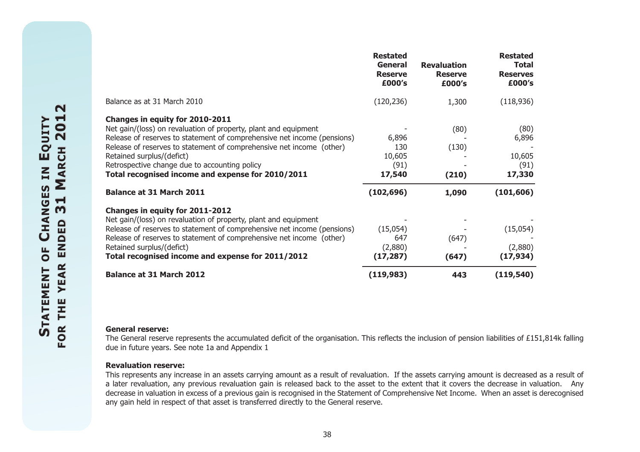|                                                                                                                                                                                | <b>Restated</b><br><b>General</b><br><b>Reserve</b><br>£000's | <b>Revaluation</b><br><b>Reserve</b><br>£000's | <b>Restated</b><br><b>Total</b><br><b>Reserves</b><br>£000's |
|--------------------------------------------------------------------------------------------------------------------------------------------------------------------------------|---------------------------------------------------------------|------------------------------------------------|--------------------------------------------------------------|
| Balance as at 31 March 2010                                                                                                                                                    | (120, 236)                                                    | 1,300                                          | (118,936)                                                    |
| Changes in equity for 2010-2011                                                                                                                                                |                                                               |                                                |                                                              |
| Net gain/(loss) on revaluation of property, plant and equipment                                                                                                                |                                                               | (80)                                           | (80)                                                         |
| Release of reserves to statement of comprehensive net income (pensions)                                                                                                        | 6,896                                                         |                                                | 6,896                                                        |
| Release of reserves to statement of comprehensive net income (other)                                                                                                           | 130                                                           | (130)                                          |                                                              |
| Retained surplus/(defict)                                                                                                                                                      | 10,605                                                        |                                                | 10,605                                                       |
| Retrospective change due to accounting policy                                                                                                                                  | (91)                                                          |                                                | (91)                                                         |
| Total recognised income and expense for 2010/2011                                                                                                                              | 17,540                                                        | (210)                                          | 17,330                                                       |
| <b>Balance at 31 March 2011</b>                                                                                                                                                | (102, 696)                                                    | 1,090                                          | (101, 606)                                                   |
| Changes in equity for 2011-2012                                                                                                                                                |                                                               |                                                |                                                              |
| Net gain/(loss) on revaluation of property, plant and equipment                                                                                                                |                                                               |                                                |                                                              |
| Release of reserves to statement of comprehensive net income (pensions)                                                                                                        | (15,054)                                                      |                                                | (15,054)                                                     |
| Release of reserves to statement of comprehensive net income (other)                                                                                                           | 647                                                           | (647)                                          |                                                              |
| Retained surplus/(defict)                                                                                                                                                      | (2,880)                                                       |                                                | (2,880)                                                      |
| Total recognised income and expense for 2011/2012                                                                                                                              | (17, 287)                                                     | (647)                                          | (17, 934)                                                    |
| <b>Balance at 31 March 2012</b>                                                                                                                                                | (119, 983)                                                    | 443                                            | (119, 540)                                                   |
|                                                                                                                                                                                |                                                               |                                                |                                                              |
| <b>General reserve:</b><br>The General reserve represents the accumulated deficit of the organisation. This reflects the inclusion of pension liabilities of £151,814k falling |                                                               |                                                |                                                              |

#### **Revaluation reserve:**

This represents any increase in an assets carrying amount as a result of revaluation. If the assets carrying amount is decreased as a result of a later revaluation, any previous revaluation gain is released back to the asset to the extent that it covers the decrease in valuation. Any decrease in valuation in excess of a previous gain is recognised in the Statement of Comprehensive Net Income. When an asset is derecognised any gain held in respect of that asset is transferred directly to the General reserve.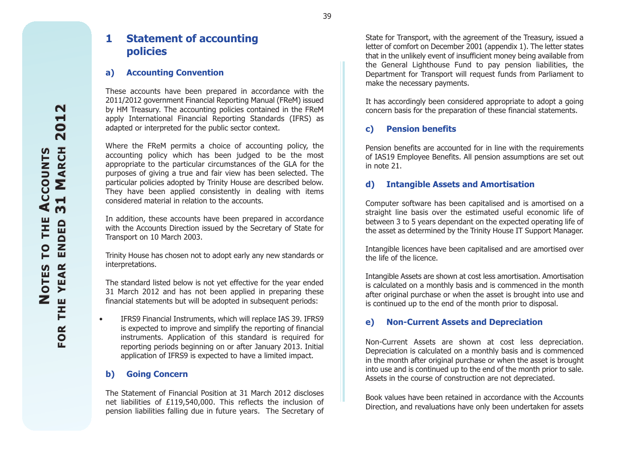### **1 Statement of accounting policies**

#### **a) Accounting Convention**

These accounts have been prepared in accordance with the 2011/2012 government Financial Reporting Manual (FReM) issued by HM Treasury. The accounting policies contained in the FReM apply International Financial Reporting Standards (IFRS) as adapted or interpreted for the public sector context.

Where the FReM permits a choice of accounting policy, the accounting policy which has been judged to be the most appropriate to the particular circumstances of the GLA for the purposes of giving a true and fair view has been selected. The particular policies adopted by Trinity House are described below. They have been applied consistently in dealing with items considered material in relation to the accounts.

In addition, these accounts have been prepared in accordance with the Accounts Direction issued by the Secretary of State for Transport on 10 March 2003.

Trinity House has chosen not to adopt early any new standards or interpretations.

The standard listed below is not yet effective for the year ended 31 March 2012 and has not been applied in preparing these financial statements but will be adopted in subsequent periods:

 $\bullet$  IFRS9 Financial Instruments, which will replace IAS 39. IFRS9 is expected to improve and simplify the reporting of financial instruments. Application of this standard is required for reporting periods beginning on or after January 2013. Initial application of IFRS9 is expected to have a limited impact.

#### **b) Going Concern**

The Statement of Financial Position at 31 March 2012 disclosesnet liabilities of £119,540,000. This reflects the inclusion of pension liabilities falling due in future years. The Secretary of

State for Transport, with the agreement of the Treasury, issued a letter of comfort on December 2001 (appendix 1). The letter states that in the unlikely event of insufficient money being available from the General Lighthouse Fund to pay pension liabilities, the Department for Transport will request funds from Parliament to make the necessary payments.

It has accordingly been considered appropriate to adopt a going concern basis for the preparation of these financial statements.

#### **c) Pension benefits**

Pension benefits are accounted for in line with the requirements of IAS19 Employee Benefits. All pension assumptions are set out in note 21.

#### **d) Intangible Assets and Amortisation**

Computer software has been capitalised and is amortised on a straight line basis over the estimated useful economic life of between 3 to 5 years dependant on the expected operating life of the asset as determined by the Trinity House IT Support Manager.

Intangible licences have been capitalised and are amortised over the life of the licence.

Intangible Assets are shown at cost less amortisation. Amortisation is calculated on a monthly basis and is commenced in the month after original purchase or when the asset is brought into use and is continued up to the end of the month prior to disposal.

#### **e) Non-Current Assets and Depreciation**

Non-Current Assets are shown at cost less depreciation. Depreciation is calculated on a monthly basis and is commenced in the month after original purchase or when the asset is brought into use and is continued up to the end of the month prior to sale. Assets in the course of construction are not depreciated.

Book values have been retained in accordance with the AccountsDirection, and revaluations have only been undertaken for assets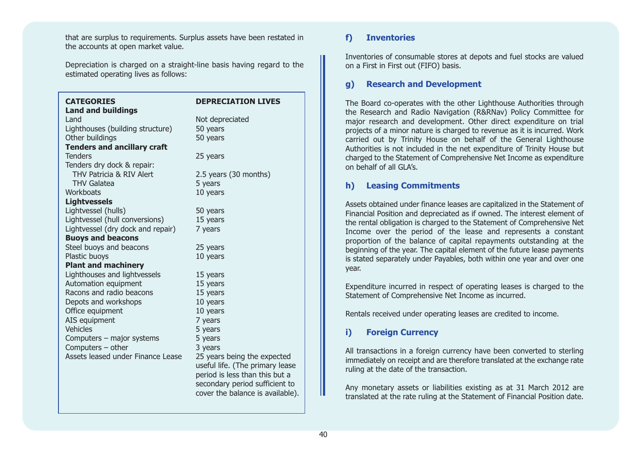that are surplus to requirements. Surplus assets have been restated in the accounts at open market value.

Depreciation is charged on a straight-line basis having regard to the estimated operating lives as follows:

| <b>CATEGORIES</b>                  | <b>DEPRECIATION LIVES</b>        |
|------------------------------------|----------------------------------|
| <b>Land and buildings</b>          |                                  |
| Land                               | Not depreciated                  |
| Lighthouses (building structure)   | 50 years                         |
| Other buildings                    | 50 years                         |
| <b>Tenders and ancillary craft</b> |                                  |
| <b>Tenders</b>                     | 25 years                         |
| Tenders dry dock & repair:         |                                  |
| THV Patricia & RIV Alert           | 2.5 years (30 months)            |
| <b>THV Galatea</b>                 | 5 years                          |
| Workboats                          | 10 years                         |
| <b>Lightvessels</b>                |                                  |
| Lightvessel (hulls)                | 50 years                         |
| Lightvessel (hull conversions)     | 15 years                         |
| Lightvessel (dry dock and repair)  | 7 years                          |
| <b>Buoys and beacons</b>           |                                  |
| Steel buoys and beacons            | 25 years                         |
| Plastic buoys                      | 10 years                         |
| <b>Plant and machinery</b>         |                                  |
| Lighthouses and lightvessels       | 15 years                         |
| Automation equipment               | 15 years                         |
| Racons and radio beacons           | 15 years                         |
| Depots and workshops               | 10 years                         |
| Office equipment                   | 10 years                         |
| AIS equipment                      | 7 years                          |
| <b>Vehicles</b>                    | 5 years                          |
| Computers - major systems          | 5 years                          |
| Computers - other                  | 3 years                          |
| Assets leased under Finance Lease  | 25 years being the expected      |
|                                    | useful life. (The primary lease  |
|                                    | period is less than this but a   |
|                                    | secondary period sufficient to   |
|                                    | cover the balance is available). |

#### **f) Inventories**

Inventories of consumable stores at depots and fuel stocks are valued on a First in First out (FIFO) basis.

#### **g) Research and Development**

The Board co-operates with the other Lighthouse Authorities through the Research and Radio Navigation (R&RNav) Policy Committee for major research and development. Other direct expenditure on trial projects of a minor nature is charged to revenue as it is incurred. Work carried out by Trinity House on behalf of the General Lighthouse Authorities is not included in the net expenditure of Trinity House but charged to the Statement of Comprehensive Net Income as expenditure on behalf of all GLA's.

#### **h) Leasing Commitments**

Assets obtained under finance leases are capitalized in the Statement of Financial Position and depreciated as if owned. The interest element of the rental obligation is charged to the Statement of Comprehensive Net Income over the period of the lease and represents a constant proportion of the balance of capital repayments outstanding at the beginning of the year. The capital element of the future lease payments is stated separately under Payables, both within one year and over one year.

Expenditure incurred in respect of operating leases is charged to the Statement of Comprehensive Net Income as incurred.

Rentals received under operating leases are credited to income.

### **i) Foreign Currency**

All transactions in a foreign currency have been converted to sterling immediately on receipt and are therefore translated at the exchange rate ruling at the date of the transaction.

Any monetary assets or liabilities existing as at 31 March 2012 are translated at the rate ruling at the Statement of Financial Position date.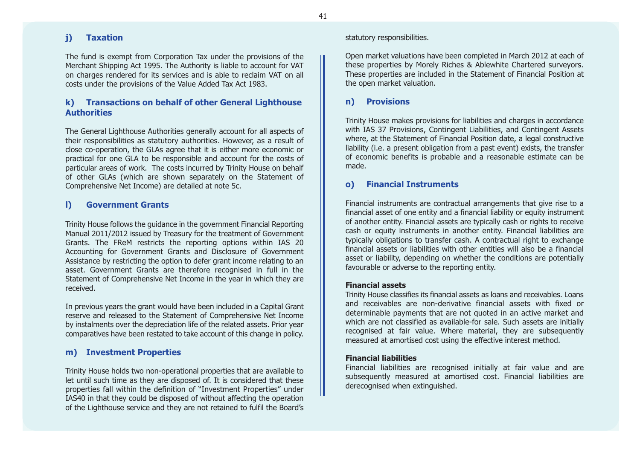#### **j) Taxation**

The fund is exempt from Corporation Tax under the provisions of the Merchant Shipping Act 1995. The Authority is liable to account for VAT on charges rendered for its services and is able to reclaim VAT on all costs under the provisions of the Value Added Tax Act 1983.

#### **k) Transactions on behalf of other General Lighthouse Authorities**

The General Lighthouse Authorities generally account for all aspects of their responsibilities as statutory authorities. However, as a result of close co-operation, the GLAs agree that it is either more economic or practical for one GLA to be responsible and account for the costs of particular areas of work. The costs incurred by Trinity House on behalf of other GLAs (which are shown separately on the Statement of Comprehensive Net Income) are detailed at note 5c.

#### **l) Government Grants**

Trinity House follows the guidance in the government Financial Reporting Manual 2011/2012 issued by Treasury for the treatment of Government Grants. The FReM restricts the reporting options within IAS 20 Accounting for Government Grants and Disclosure of Government Assistance by restricting the option to defer grant income relating to an asset. Government Grants are therefore recognised in full in the Statement of Comprehensive Net Income in the year in which they are received.

In previous years the grant would have been included in a Capital Grant reserve and released to the Statement of Comprehensive Net Income by instalments over the depreciation life of the related assets. Prior year comparatives have been restated to take account of this change in policy.

#### **m) Investment Properties**

Trinity House holds two non-operational properties that are available to let until such time as they are disposed of. It is considered that these properties fall within the definition of "Investment Properties" under IAS40 in that they could be disposed of without affecting the operation of the Lighthouse service and they are not retained to fulfil the Board's

#### statutory responsibilities.

Open market valuations have been completed in March 2012 at each of these properties by Morely Riches & Ablewhite Chartered surveyors. These properties are included in the Statement of Financial Position at the open market valuation.

#### **n) Provisions**

Trinity House makes provisions for liabilities and charges in accordance with IAS 37 Provisions, Contingent Liabilities, and Contingent Assets where, at the Statement of Financial Position date, a legal constructive liability (i.e. a present obligation from a past event) exists, the transfer of economic benefits is probable and a reasonable estimate can be made.

### **o) Financial Instruments**

Financial instruments are contractual arrangements that give rise to a financial asset of one entity and a financial liability or equity instrument of another entity. Financial assets are typically cash or rights to receive cash or equity instruments in another entity. Financial liabilities are typically obligations to transfer cash. A contractual right to exchange financial assets or liabilities with other entities will also be a financialasset or liability, depending on whether the conditions are potentially favourable or adverse to the reporting entity.

#### **Financial assets**

Trinity House classifies its financial assets as loans and receivables. Loans and receivables are non-derivative financial assets with fixed ordeterminable payments that are not quoted in an active market and which are not classified as available-for sale. Such assets are initially recognised at fair value. Where material, they are subsequently measured at amortised cost using the effective interest method.

#### **Financial liabilities**

Financial liabilities are recognised initially at fair value and are subsequently measured at amortised cost. Financial liabilities are derecognised when extinguished.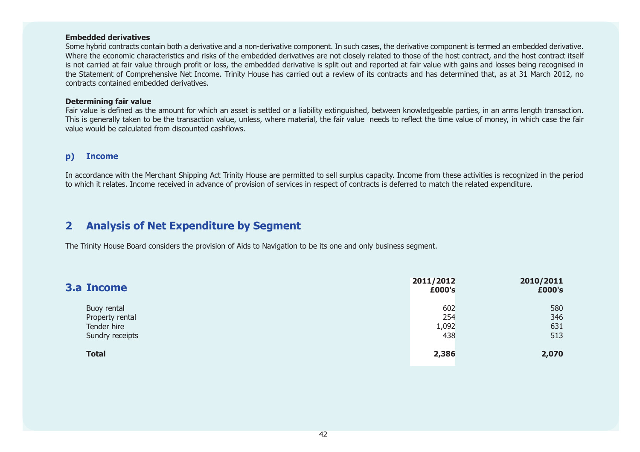#### **Embedded derivatives**

Some hybrid contracts contain both a derivative and a non-derivative component. In such cases, the derivative component is termed an embedded derivative. Where the economic characteristics and risks of the embedded derivatives are not closely related to those of the host contract, and the host contract itself is not carried at fair value through profit or loss, the embedded derivative is split out and reported at fair value with gains and losses being recognised in the Statement of Comprehensive Net Income. Trinity House has carried out a review of its contracts and has determined that, as at 31 March 2012, no contracts contained embedded derivatives.

#### **Determining fair value**

Fair value is defined as the amount for which an asset is settled or a liability extinguished, between knowledgeable parties, in an arms length transaction. This is generally taken to be the transaction value, unless, where material, the fair value needs to reflect the time value of money, in which case the fair value would be calculated from discounted cashflows.

#### **p) Income**

In accordance with the Merchant Shipping Act Trinity House are permitted to sell surplus capacity. Income from these activities is recognized in the period to which it relates. Income received in advance of provision of services in respect of contracts is deferred to match the related expenditure.

### **2 Analysis of Net Expenditure by Segment**

The Trinity House Board considers the provision of Aids to Navigation to be its one and only business segment.

| <b>3.a Income</b>                                                | 2011/2012<br>£000's        | 2010/2011<br>£000's      |
|------------------------------------------------------------------|----------------------------|--------------------------|
| Buoy rental<br>Property rental<br>Tender hire<br>Sundry receipts | 602<br>254<br>1,092<br>438 | 580<br>346<br>631<br>513 |
| <b>Total</b>                                                     | 2,386                      | 2,070                    |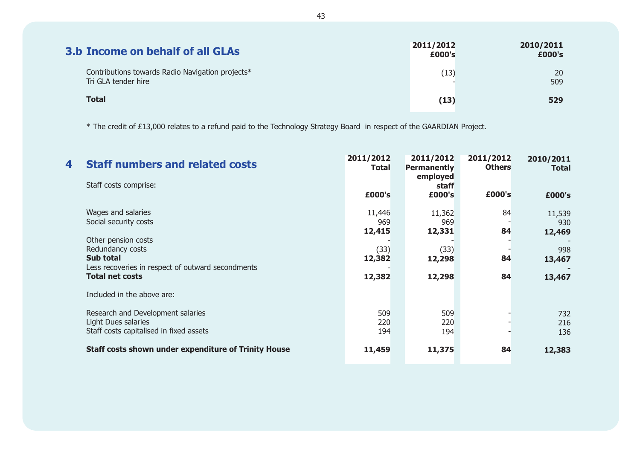| <b>3.b Income on behalf of all GLAs</b>                                 | 2011/2012<br>£000's | 2010/2011<br>£000's |
|-------------------------------------------------------------------------|---------------------|---------------------|
| Contributions towards Radio Navigation projects*<br>Tri GLA tender hire | (13)                | 20<br>509           |
| <b>Total</b>                                                            | (13)                | 529                 |

\* The credit of £13,000 relates to a refund paid to the Technology Strategy Board in respect of the GAARDIAN Project.

| 4 | <b>Staff numbers and related costs</b>                                                                    | 2011/2012<br><b>Total</b> | 2011/2012<br><b>Permanently</b><br>employed | 2011/2012<br><b>Others</b> | 2010/2011<br><b>Total</b> |
|---|-----------------------------------------------------------------------------------------------------------|---------------------------|---------------------------------------------|----------------------------|---------------------------|
|   | Staff costs comprise:                                                                                     | £000's                    | staff<br>£000's                             | £000's                     | £000's                    |
|   | Wages and salaries<br>Social security costs                                                               | 11,446<br>969<br>12,415   | 11,362<br>969<br>12,331                     | 84<br>84                   | 11,539<br>930<br>12,469   |
|   | Other pension costs<br>Redundancy costs<br>Sub total<br>Less recoveries in respect of outward secondments | (33)<br>12,382            | (33)<br>12,298                              | 84                         | 998<br>13,467             |
|   | <b>Total net costs</b><br>Included in the above are:                                                      | 12,382                    | 12,298                                      | 84                         | 13,467                    |
|   | Research and Development salaries<br>Light Dues salaries<br>Staff costs capitalised in fixed assets       | 509<br>220<br>194         | 509<br>220<br>194                           |                            | 732<br>216<br>136         |
|   | <b>Staff costs shown under expenditure of Trinity House</b>                                               | 11,459                    | 11,375                                      | 84                         | 12,383                    |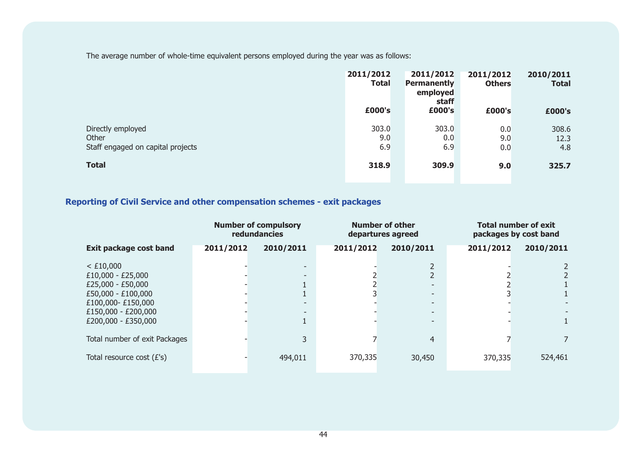The average number of whole-time equivalent persons employed during the year was as follows:

|                                                                 | 2011/2012<br><b>Total</b> | 2011/2012<br><b>Permanently</b><br>employed<br>staff | 2011/2012<br><b>Others</b> | 2010/2011<br><b>Total</b> |
|-----------------------------------------------------------------|---------------------------|------------------------------------------------------|----------------------------|---------------------------|
|                                                                 | £000's                    | £000's                                               | £000's                     | £000's                    |
| Directly employed<br>Other<br>Staff engaged on capital projects | 303.0<br>9.0<br>6.9       | 303.0<br>0.0<br>6.9                                  | 0.0<br>9.0<br>0.0          | 308.6<br>12.3<br>4.8      |
| <b>Total</b>                                                    | 318.9                     | 309.9                                                | 9.0                        | 325.7                     |

## **Reporting of Civil Service and other compensation schemes - exit packages**

|                                                                                                                                                    |           | <b>Number of compulsory</b><br>redundancies                                                                                    |           | <b>Number of other</b><br>departures agreed                                                                  |           | <b>Total number of exit</b><br>packages by cost band |
|----------------------------------------------------------------------------------------------------------------------------------------------------|-----------|--------------------------------------------------------------------------------------------------------------------------------|-----------|--------------------------------------------------------------------------------------------------------------|-----------|------------------------------------------------------|
| <b>Exit package cost band</b>                                                                                                                      | 2011/2012 | 2010/2011                                                                                                                      | 2011/2012 | 2010/2011                                                                                                    | 2011/2012 | 2010/2011                                            |
| $<$ £10,000<br>$£10,000 - £25,000$<br>$£25,000 - £50,000$<br>£50,000 - £100,000<br>£100,000-£150,000<br>£150,000 - £200,000<br>£200,000 - £350,000 |           | $\overline{\phantom{a}}$<br>$\overline{\phantom{a}}$<br>$\overline{\phantom{a}}$<br>$\overline{\phantom{a}}$<br>$\overline{1}$ |           | $\overline{\phantom{0}}$<br>$\overline{\phantom{0}}$<br>$\overline{\phantom{0}}$<br>$\overline{\phantom{0}}$ |           |                                                      |
| Total number of exit Packages                                                                                                                      |           | 3                                                                                                                              |           | $\overline{4}$                                                                                               |           |                                                      |
| Total resource cost $(E's)$                                                                                                                        |           | 494,011                                                                                                                        | 370,335   | 30,450                                                                                                       | 370,335   | 524,461                                              |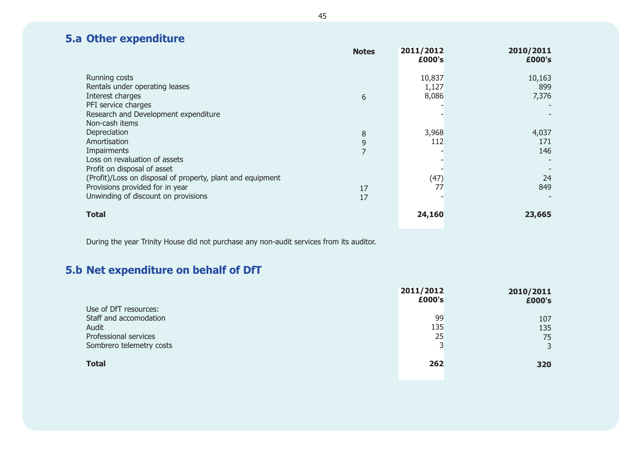# **5.a Other expenditure**

|                                                                                                                                      | <b>Notes</b> | 2011/2012<br>£000's      | 2010/2011<br>£000's    |
|--------------------------------------------------------------------------------------------------------------------------------------|--------------|--------------------------|------------------------|
| Running costs<br>Rentals under operating leases<br>Interest charges<br>PFI service charges                                           | 6            | 10,837<br>1,127<br>8,086 | 10,163<br>899<br>7,376 |
| Research and Development expenditure<br>Non-cash items                                                                               |              |                          |                        |
| Depreciation<br>Amortisation                                                                                                         | 8<br>9       | 3,968<br>112             | 4,037<br>171           |
| Impairments<br>Loss on revaluation of assets<br>Profit on disposal of asset                                                          | 7            |                          | 146                    |
| (Profit)/Loss on disposal of property, plant and equipment<br>Provisions provided for in year<br>Unwinding of discount on provisions | 17<br>17     | (47)<br>77               | 24<br>849              |
| <b>Total</b>                                                                                                                         |              | 24,160                   | 23,665                 |

During the year Trinity House did not purchase any non-audit services from its auditor.

# **5.b Net expenditure on behalf of DfT**

|                          | 2011/2012<br>£000's | 2010/2011<br>£000's |
|--------------------------|---------------------|---------------------|
| Use of DfT resources:    |                     |                     |
| Staff and accomodation   | 99                  | 107                 |
| Audit                    | 135                 | 135                 |
| Professional services    | 25                  | 75                  |
| Sombrero telemetry costs | っ                   | 3                   |
|                          |                     |                     |
| <b>Total</b>             | 262                 | 320                 |
|                          |                     |                     |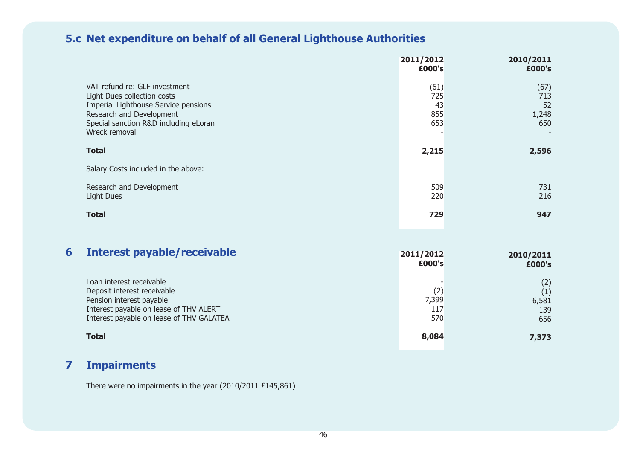# **5.c Net expenditure on behalf of all General Lighthouse Authorities**

|                                                                                                                                                                                            | 2011/2012<br>£000's             | 2010/2011<br>£000's               |
|--------------------------------------------------------------------------------------------------------------------------------------------------------------------------------------------|---------------------------------|-----------------------------------|
| VAT refund re: GLF investment<br>Light Dues collection costs<br>Imperial Lighthouse Service pensions<br>Research and Development<br>Special sanction R&D including eLoran<br>Wreck removal | (61)<br>725<br>43<br>855<br>653 | (67)<br>713<br>52<br>1,248<br>650 |
| <b>Total</b>                                                                                                                                                                               | 2,215                           | 2,596                             |
| Salary Costs included in the above:                                                                                                                                                        |                                 |                                   |
| Research and Development<br><b>Light Dues</b>                                                                                                                                              | 509<br>220                      | 731<br>216                        |
| <b>Total</b>                                                                                                                                                                               | 729                             | 947                               |
|                                                                                                                                                                                            |                                 |                                   |

| 6 | Interest payable/receivable                                                                                                                                               | 2011/2012<br>£000's        | 2010/2011<br>£000's               |
|---|---------------------------------------------------------------------------------------------------------------------------------------------------------------------------|----------------------------|-----------------------------------|
|   | Loan interest receivable<br>Deposit interest receivable<br>Pension interest payable<br>Interest payable on lease of THV ALERT<br>Interest payable on lease of THV GALATEA | (2)<br>7,399<br>117<br>570 | (2)<br>(1)<br>6,581<br>139<br>656 |
|   | Total                                                                                                                                                                     | 8,084                      | 7,373                             |

# **7 Impairments**

There were no impairments in the year (2010/2011 £145,861)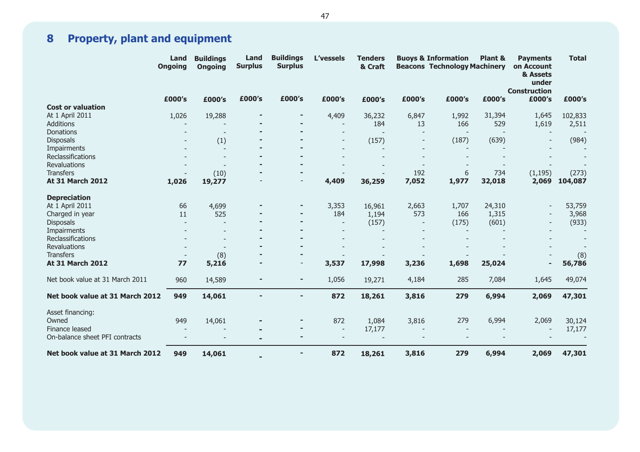# **8 Property, plant and equipment**

|                                 | Land<br><b>Ongoing</b>   | <b>Buildings</b><br><b>Ongoing</b> | Land<br><b>Surplus</b> | <b>Buildings</b><br><b>L'vessels</b><br><b>Tenders</b><br><b>Surplus</b><br>& Craft | <b>Buoys &amp; Information</b> |        |        | Plant &<br><b>Beacons Technology Machinery</b> |        |                          |         | <b>Payments</b><br>on Account<br>& Assets<br>under<br><b>Construction</b> | <b>Total</b> |
|---------------------------------|--------------------------|------------------------------------|------------------------|-------------------------------------------------------------------------------------|--------------------------------|--------|--------|------------------------------------------------|--------|--------------------------|---------|---------------------------------------------------------------------------|--------------|
|                                 | £000's                   | £000's                             | £000's                 | £000's                                                                              | £000's                         | £000's | £000's | £000's                                         | £000's | £000's                   | £000's  |                                                                           |              |
| <b>Cost or valuation</b>        |                          |                                    |                        |                                                                                     |                                |        |        |                                                |        |                          |         |                                                                           |              |
| At 1 April 2011                 | 1,026                    | 19,288                             |                        | $\blacksquare$                                                                      | 4,409                          | 36,232 | 6,847  | 1,992                                          | 31,394 | 1,645                    | 102,833 |                                                                           |              |
| <b>Additions</b>                |                          |                                    |                        |                                                                                     | $\overline{\phantom{a}}$       | 184    | 13     | 166                                            | 529    | 1,619                    | 2,511   |                                                                           |              |
| <b>Donations</b>                |                          |                                    |                        |                                                                                     |                                |        |        |                                                |        |                          |         |                                                                           |              |
| <b>Disposals</b>                |                          | (1)                                |                        |                                                                                     |                                | (157)  |        | (187)                                          | (639)  | $\overline{\phantom{a}}$ | (984)   |                                                                           |              |
| Impairments                     |                          | $\overline{\phantom{a}}$           |                        |                                                                                     |                                |        |        |                                                |        |                          |         |                                                                           |              |
| Reclassifications               |                          | $\overline{\phantom{a}}$           |                        |                                                                                     |                                |        |        |                                                |        |                          |         |                                                                           |              |
| <b>Revaluations</b>             |                          |                                    |                        |                                                                                     |                                |        |        |                                                |        |                          |         |                                                                           |              |
| <b>Transfers</b>                |                          | (10)                               |                        |                                                                                     |                                |        | 192    | 6                                              | 734    | (1, 195)                 | (273)   |                                                                           |              |
| <b>At 31 March 2012</b>         | 1,026                    | 19,277                             |                        |                                                                                     | 4,409                          | 36,259 | 7,052  | 1,977                                          | 32,018 | 2,069                    | 104,087 |                                                                           |              |
| <b>Depreciation</b>             |                          |                                    |                        |                                                                                     |                                |        |        |                                                |        |                          |         |                                                                           |              |
| At 1 April 2011                 | 66                       | 4,699                              |                        |                                                                                     | 3,353                          | 16,961 | 2,663  | 1,707                                          | 24,310 | $\overline{\phantom{a}}$ | 53,759  |                                                                           |              |
| Charged in year                 | 11                       | 525                                |                        |                                                                                     | 184                            | 1,194  | 573    | 166                                            | 1,315  |                          | 3,968   |                                                                           |              |
| <b>Disposals</b>                |                          |                                    |                        |                                                                                     | ٠                              | (157)  |        | (175)                                          | (601)  | $\qquad \qquad -$        | (933)   |                                                                           |              |
| Impairments                     |                          |                                    |                        |                                                                                     |                                |        |        |                                                |        |                          |         |                                                                           |              |
| Reclassifications               |                          |                                    |                        |                                                                                     |                                |        |        |                                                |        |                          |         |                                                                           |              |
| Revaluations                    |                          |                                    |                        |                                                                                     |                                |        |        |                                                |        |                          |         |                                                                           |              |
| <b>Transfers</b>                | $\overline{\phantom{a}}$ | (8)                                |                        |                                                                                     |                                |        |        |                                                |        |                          | (8)     |                                                                           |              |
| <b>At 31 March 2012</b>         | 77                       | 5,216                              |                        | $\overline{\phantom{a}}$                                                            | 3,537                          | 17,998 | 3,236  | 1,698                                          | 25,024 | $\overline{\phantom{a}}$ | 56,786  |                                                                           |              |
| Net book value at 31 March 2011 | 960                      | 14,589                             |                        | ٠                                                                                   | 1,056                          | 19,271 | 4,184  | 285                                            | 7,084  | 1,645                    | 49,074  |                                                                           |              |
| Net book value at 31 March 2012 | 949                      | 14,061                             |                        | $\blacksquare$                                                                      | 872                            | 18,261 | 3,816  | 279                                            | 6,994  | 2,069                    | 47,301  |                                                                           |              |
| Asset financing:                |                          |                                    |                        |                                                                                     |                                |        |        |                                                |        |                          |         |                                                                           |              |
| Owned                           | 949                      | 14,061                             |                        | ٠                                                                                   | 872                            | 1,084  | 3,816  | 279                                            | 6,994  | 2,069                    | 30,124  |                                                                           |              |
| Finance leased                  |                          |                                    |                        | $\blacksquare$                                                                      | $\overline{\phantom{a}}$       | 17,177 |        |                                                |        |                          | 17,177  |                                                                           |              |
| On-balance sheet PFI contracts  |                          |                                    |                        |                                                                                     |                                |        |        |                                                |        |                          |         |                                                                           |              |
| Net book value at 31 March 2012 | 949                      | 14,061                             |                        | ۰                                                                                   | 872                            | 18,261 | 3,816  | 279                                            | 6,994  | 2,069                    | 47,301  |                                                                           |              |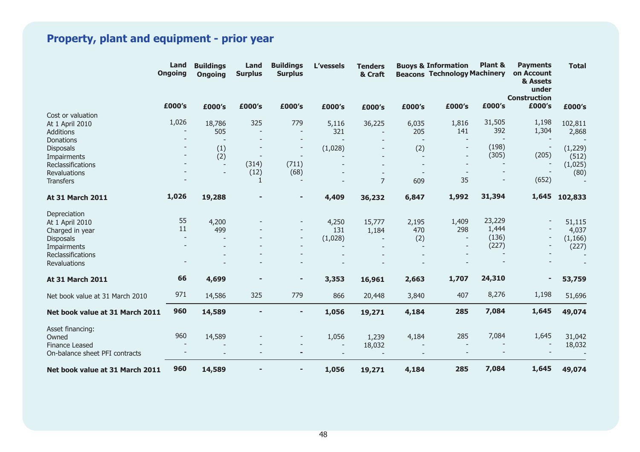# **Property, plant and equipment - prior year**

|                                         | Land<br><b>Ongoing</b> | <b>Buildings</b><br><b>Ongoing</b>         | Land<br><b>Surplus</b> | <b>Buildings</b><br><b>Surplus</b> | <b>L'vessels</b>         | <b>Tenders</b><br>& Craft |                                 | <b>Buoys &amp; Information</b><br><b>Beacons Technology Machinery</b> | Plant &                  | <b>Payments</b><br>on Account<br>& Assets<br>under<br><b>Construction</b> | <b>Total</b> |
|-----------------------------------------|------------------------|--------------------------------------------|------------------------|------------------------------------|--------------------------|---------------------------|---------------------------------|-----------------------------------------------------------------------|--------------------------|---------------------------------------------------------------------------|--------------|
|                                         | £000's                 | £000's                                     | £000's                 | £000's                             | £000's                   | £000's                    | £000's                          | £000's                                                                | £000's                   | £000's                                                                    | £000's       |
| Cost or valuation                       |                        |                                            |                        |                                    |                          |                           |                                 |                                                                       |                          |                                                                           |              |
| At 1 April 2010                         | 1,026                  | 18,786                                     | 325                    | 779                                | 5,116                    | 36,225                    | 6,035                           | 1,816                                                                 | 31,505                   | 1,198                                                                     | 102,811      |
| <b>Additions</b>                        |                        | 505                                        |                        | $\overline{\phantom{a}}$           | 321                      |                           | 205                             | 141                                                                   | 392                      | 1,304                                                                     | 2,868        |
| Donations                               |                        | $\overline{\phantom{a}}$                   |                        |                                    |                          |                           | $\blacksquare$                  |                                                                       |                          |                                                                           |              |
| <b>Disposals</b>                        |                        | (1)                                        |                        |                                    | (1,028)                  | $\overline{\phantom{a}}$  | (2)                             |                                                                       | (198)                    |                                                                           | (1, 229)     |
| Impairments                             |                        | (2)                                        |                        |                                    |                          |                           | $\blacksquare$                  |                                                                       | (305)                    | (205)                                                                     | (512)        |
| Reclassifications                       |                        | $\overline{\phantom{a}}$<br>$\overline{a}$ | (314)<br>(12)          | (711)<br>(68)                      |                          |                           |                                 |                                                                       | $\overline{\phantom{0}}$ |                                                                           | (1,025)      |
| <b>Revaluations</b><br><b>Transfers</b> |                        |                                            |                        |                                    |                          | $\overline{7}$            | $\overline{\phantom{a}}$<br>609 | 35                                                                    | $\overline{\phantom{a}}$ | (652)                                                                     | (80)         |
|                                         |                        |                                            |                        |                                    |                          |                           |                                 |                                                                       |                          |                                                                           |              |
| <b>At 31 March 2011</b>                 | 1,026                  | 19,288                                     |                        | $\blacksquare$                     | 4,409                    | 36,232                    | 6,847                           | 1,992                                                                 | 31,394                   | 1,645                                                                     | 102,833      |
| Depreciation                            |                        |                                            |                        |                                    |                          |                           |                                 |                                                                       |                          |                                                                           |              |
| At 1 April 2010                         | 55                     | 4,200                                      |                        | $\overline{\phantom{a}}$           | 4,250                    | 15,777                    | 2,195                           | 1,409                                                                 | 23,229                   |                                                                           | 51,115       |
| Charged in year                         | 11                     | 499                                        |                        | $\overline{\phantom{a}}$           | 131                      | 1,184                     | 470                             | 298                                                                   | 1,444                    |                                                                           | 4,037        |
| <b>Disposals</b>                        |                        |                                            |                        | $\overline{\phantom{a}}$           | (1,028)                  | $\overline{\phantom{a}}$  | (2)                             |                                                                       | (136)                    | $\overline{\phantom{a}}$                                                  | (1, 166)     |
| Impairments                             |                        |                                            |                        |                                    |                          |                           |                                 |                                                                       | (227)                    |                                                                           | (227)        |
| Reclassifications                       |                        |                                            |                        |                                    |                          |                           |                                 |                                                                       |                          |                                                                           |              |
| Revaluations                            |                        |                                            |                        |                                    |                          |                           |                                 |                                                                       |                          |                                                                           |              |
| <b>At 31 March 2011</b>                 | 66                     | 4,699                                      |                        | $\overline{\phantom{a}}$           | 3,353                    | 16,961                    | 2,663                           | 1,707                                                                 | 24,310                   | ٠                                                                         | 53,759       |
| Net book value at 31 March 2010         | 971                    | 14,586                                     | 325                    | 779                                | 866                      | 20,448                    | 3,840                           | 407                                                                   | 8,276                    | 1,198                                                                     | 51,696       |
| Net book value at 31 March 2011         | 960                    | 14,589                                     |                        |                                    | 1,056                    | 19,271                    | 4,184                           | 285                                                                   | 7,084                    | 1,645                                                                     | 49,074       |
|                                         |                        |                                            |                        |                                    |                          |                           |                                 |                                                                       |                          |                                                                           |              |
| Asset financing:                        | 960                    |                                            |                        |                                    |                          |                           |                                 |                                                                       | 7,084                    |                                                                           |              |
| Owned                                   |                        | 14,589                                     |                        |                                    | 1,056                    | 1,239                     | 4,184                           | 285                                                                   | $\overline{\phantom{0}}$ | 1,645                                                                     | 31,042       |
| <b>Finance Leased</b>                   |                        |                                            |                        |                                    | $\overline{\phantom{a}}$ | 18,032                    |                                 |                                                                       |                          |                                                                           | 18,032       |
| On-balance sheet PFI contracts          |                        |                                            |                        |                                    |                          |                           |                                 |                                                                       |                          |                                                                           |              |
| Net book value at 31 March 2011         | 960                    | 14,589                                     |                        | $\blacksquare$                     | 1,056                    | 19,271                    | 4,184                           | 285                                                                   | 7,084                    | 1,645                                                                     | 49,074       |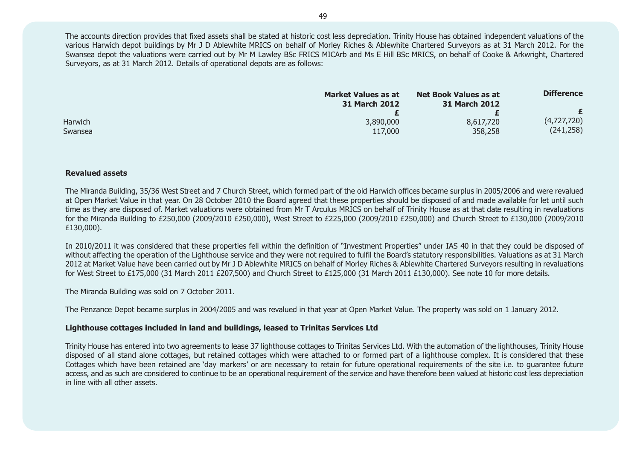The accounts direction provides that fixed assets shall be stated at historic cost less depreciation. Trinity House has obtained independent valuations of the various Harwich depot buildings by Mr J D Ablewhite MRICS on behalf of Morley Riches & Ablewhite Chartered Surveyors as at 31 March 2012. For the Swansea depot the valuations were carried out by Mr M Lawley BSc FRICS MICArb and Ms E Hill BSc MRICS, on behalf of Cooke & Arkwright, Chartered Surveyors, as at 31 March 2012. Details of operational depots are as follows:

|                    | <b>Market Values as at</b><br><b>31 March 2012</b> | <b>Net Book Values as at</b><br>31 March 2012 | <b>Difference</b>         |
|--------------------|----------------------------------------------------|-----------------------------------------------|---------------------------|
|                    |                                                    |                                               |                           |
| Harwich<br>Swansea | 3,890,000<br>117,000                               | 8,617,720<br>358,258                          | (4,727,720)<br>(241, 258) |
|                    |                                                    |                                               |                           |

#### **Revalued assets**

The Miranda Building, 35/36 West Street and 7 Church Street, which formed part of the old Harwich offices became surplus in 2005/2006 and were revalued at Open Market Value in that year. On 28 October 2010 the Board agreed that these properties should be disposed of and made available for let until such time as they are disposed of. Market valuations were obtained from Mr T Arculus MRICS on behalf of Trinity House as at that date resulting in revaluations for the Miranda Building to £250,000 (2009/2010 £250,000), West Street to £225,000 (2009/2010 £250,000) and Church Street to £130,000 (2009/2010 £130,000).

In 2010/2011 it was considered that these properties fell within the definition of "Investment Properties" under IAS 40 in that they could be disposed of without affecting the operation of the Lighthouse service and they were not required to fulfil the Board's statutory responsibilities. Valuations as at 31 March 2012 at Market Value have been carried out by Mr J D Ablewhite MRICS on behalf of Morley Riches & Ablewhite Chartered Surveyors resulting in revaluations for West Street to £175,000 (31 March 2011 £207,500) and Church Street to £125,000 (31 March 2011 £130,000). See note 10 for more details.

The Miranda Building was sold on 7 October 2011.

The Penzance Depot became surplus in 2004/2005 and was revalued in that year at Open Market Value. The property was sold on 1 January 2012.

#### **Lighthouse cottages included in land and buildings, leased to Trinitas Services Ltd**

Trinity House has entered into two agreements to lease 37 lighthouse cottages to Trinitas Services Ltd. With the automation of the lighthouses, Trinity House disposed of all stand alone cottages, but retained cottages which were attached to or formed part of a lighthouse complex. It is considered that these Cottages which have been retained are 'day markers' or are necessary to retain for future operational requirements of the site i.e. to guarantee future access, and as such are considered to continue to be an operational requirement of the service and have therefore been valued at historic cost less depreciation in line with all other assets.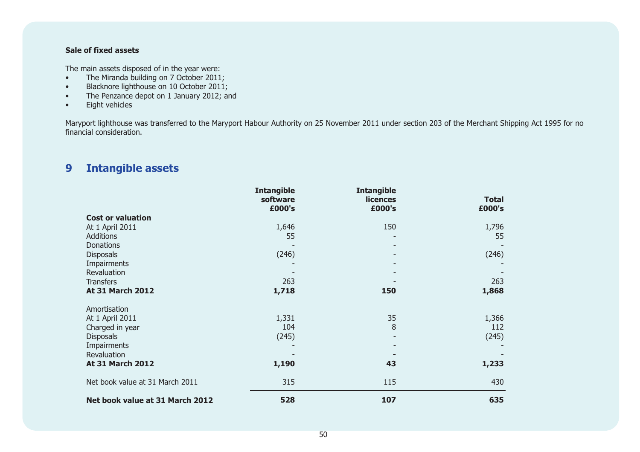#### **Sale of fixed assets**

The main assets disposed of in the year were:

- •The Miranda building on 7 October 2011;
- •Blacknore lighthouse on 10 October 2011;
- •The Penzance depot on 1 January 2012; and
- •Eight vehicles

Maryport lighthouse was transferred to the Maryport Habour Authority on 25 November 2011 under section 203 of the Merchant Shipping Act 1995 for no financial consideration.

# **9 Intangible assets**

|                                 | <b>Intangible</b><br>software<br>£000's | <b>Intangible</b><br><b>licences</b><br>£000's | <b>Total</b><br>£000's |
|---------------------------------|-----------------------------------------|------------------------------------------------|------------------------|
| <b>Cost or valuation</b>        |                                         |                                                |                        |
| At 1 April 2011                 | 1,646                                   | 150                                            | 1,796                  |
| <b>Additions</b>                | 55                                      |                                                | 55                     |
| <b>Donations</b>                |                                         |                                                |                        |
| <b>Disposals</b>                | (246)                                   | ٠                                              | (246)                  |
| Impairments                     |                                         |                                                |                        |
| Revaluation                     |                                         |                                                |                        |
| <b>Transfers</b>                | 263                                     |                                                | 263                    |
| <b>At 31 March 2012</b>         | 1,718                                   | 150                                            | 1,868                  |
| Amortisation                    |                                         |                                                |                        |
| At 1 April 2011                 | 1,331                                   | 35                                             | 1,366                  |
| Charged in year                 | 104                                     | 8                                              | 112                    |
| <b>Disposals</b>                | (245)                                   | $\overline{\phantom{a}}$                       | (245)                  |
| Impairments                     |                                         |                                                |                        |
| Revaluation                     |                                         |                                                |                        |
| <b>At 31 March 2012</b>         | 1,190                                   | 43                                             | 1,233                  |
| Net book value at 31 March 2011 | 315                                     | 115                                            | 430                    |
| Net book value at 31 March 2012 | 528                                     | 107                                            | 635                    |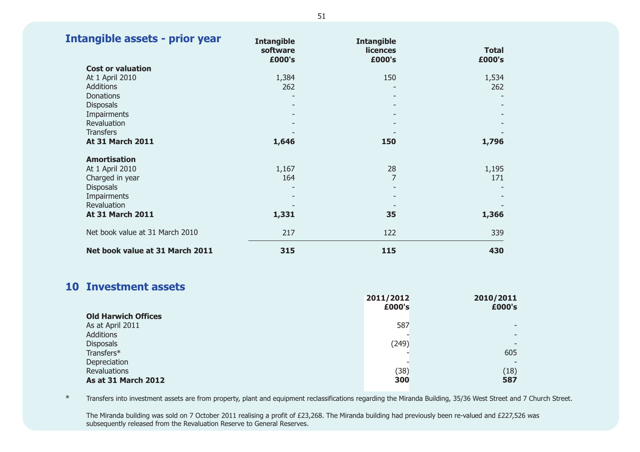| Intangible assets - prior year  | <b>Intangible</b><br>software<br>£000's | <b>Intangible</b><br><b>licences</b><br>£000's | <b>Total</b><br>£000's |
|---------------------------------|-----------------------------------------|------------------------------------------------|------------------------|
| <b>Cost or valuation</b>        |                                         |                                                |                        |
| At 1 April 2010                 | 1,384                                   | 150                                            | 1,534                  |
| <b>Additions</b>                | 262                                     |                                                | 262                    |
| <b>Donations</b>                |                                         | Ξ.                                             |                        |
| <b>Disposals</b>                |                                         |                                                |                        |
| Impairments                     |                                         |                                                |                        |
| Revaluation                     |                                         |                                                |                        |
| <b>Transfers</b>                |                                         |                                                |                        |
| <b>At 31 March 2011</b>         | 1,646                                   | 150                                            | 1,796                  |
| <b>Amortisation</b>             |                                         |                                                |                        |
| At 1 April 2010                 | 1,167                                   | 28                                             | 1,195                  |
| Charged in year                 | 164                                     | $\overline{7}$                                 | 171                    |
| <b>Disposals</b>                |                                         |                                                |                        |
| Impairments                     |                                         |                                                |                        |
| Revaluation                     |                                         |                                                |                        |
| <b>At 31 March 2011</b>         | 1,331                                   | 35                                             | 1,366                  |
| Net book value at 31 March 2010 | 217                                     | 122                                            | 339                    |
| Net book value at 31 March 2011 | 315                                     | 115                                            | 430                    |

### **10 Investment assets**

|                            | 2011/2012 | 2010/2011 |
|----------------------------|-----------|-----------|
| <b>Old Harwich Offices</b> | £000's    | £000's    |
| As at April 2011           | 587       |           |
| Additions                  |           |           |
| <b>Disposals</b>           | (249)     |           |
| Transfers*                 |           | 605       |
| Depreciation               |           |           |
| Revaluations               | (38)      | (18)      |
| <b>As at 31 March 2012</b> | 300       | 587       |

\*Transfers into investment assets are from property, plant and equipment reclassifications regarding the Miranda Building, 35/36 West Street and 7 Church Street.

The Miranda building was sold on 7 October 2011 realising a profit of £23,268. The Miranda building had previously been re-valued and £227,526 was subsequently released from the Revaluation Reserve to General Reserves.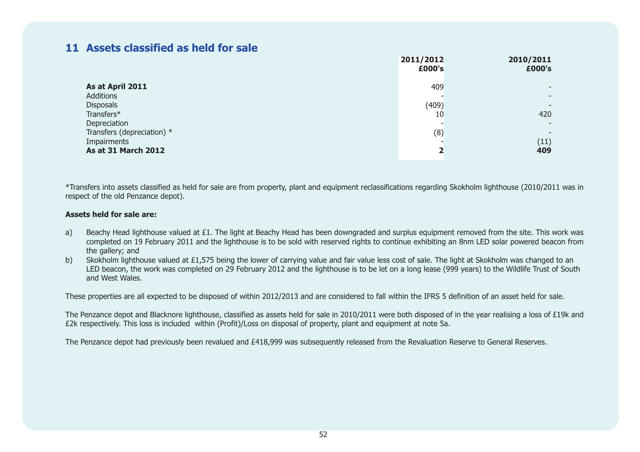### **11 Assets classified as held for sale**

|                                            | 2011/2012<br>£000's     | 2010/2011<br>£000's      |
|--------------------------------------------|-------------------------|--------------------------|
| As at April 2011<br>Additions              | 409                     | $\overline{\phantom{0}}$ |
| <b>Disposals</b><br>Transfers*             | (409)<br>10             | 420                      |
| Depreciation<br>Transfers (depreciation) * | (8)                     |                          |
| Impairments<br><b>As at 31 March 2012</b>  | $\overline{\mathbf{2}}$ | (11)<br>409              |

\*Transfers into assets classified as held for sale are from property, plant and equipment reclassifications regarding Skokholm lighthouse (2010/2011 was in respect of the old Penzance depot).

#### **Assets held for sale are:**

- a) Beachy Head lighthouse valued at £1. The light at Beachy Head has been downgraded and surplus equipment removed from the site. This work was completed on 19 February 2011 and the lighthouse is to be sold with reserved rights to continue exhibiting an 8nm LED solar powered beacon from the gallery; and
- b) Skokholm lighthouse valued at £1,575 being the lower of carrying value and fair value less cost of sale. The light at Skokholm was changed to an LED beacon, the work was completed on 29 February 2012 and the lighthouse is to be let on a long lease (999 years) to the Wildlife Trust of South and West Wales.

These properties are all expected to be disposed of within 2012/2013 and are considered to fall within the IFRS 5 definition of an asset held for sale.

The Penzance depot and Blacknore lighthouse, classified as assets held for sale in 2010/2011 were both disposed of in the year realising a loss of £19k and £2k respectively. This loss is included within (Profit)/Loss on disposal of property, plant and equipment at note 5a.

The Penzance depot had previously been revalued and £418,999 was subsequently released from the Revaluation Reserve to General Reserves.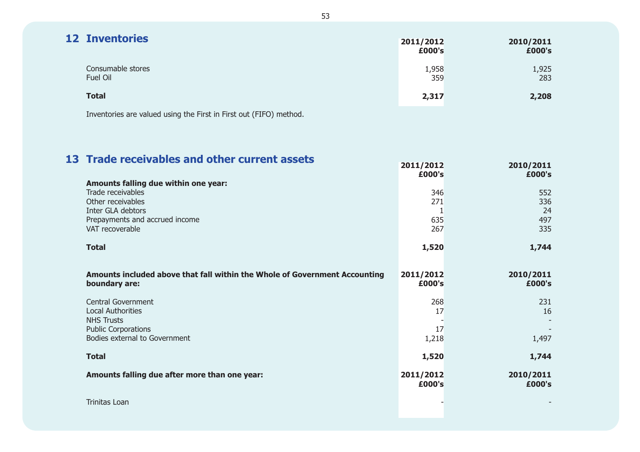| <b>12 Inventories</b>                                              | 2011/2012<br>£000's | 2010/2011<br>£000's |
|--------------------------------------------------------------------|---------------------|---------------------|
| Consumable stores<br>Fuel Oil                                      | 1,958<br>359        | 1,925<br>283        |
| <b>Total</b>                                                       | 2,317               | 2,208               |
| Inventories are valued using the First in First out (FIFO) method. |                     |                     |

**13 Trade receivables and other current assetsAmounts falling due within one year:** Trade receivablesOther receivablesInter GLA debtorsPrepayments and accrued income VAT recoverable**TotalAmounts included above that fall within the Whole of Government Accounting boundary are:** Central GovernmentLocal AuthoritiesNHS TrustsPublic Corporations Bodies external to Government**TotalAmounts falling due after more than one year: 2010/2011 2010/2011 2010/2011 2011/2012 £000's**3462711635267 **1,520 2011/2012 £000's** 268 17- 171,218 **1,520 2011/2012 £000's** 

Trinitas Loan

**£000's**

**1,744** 

**£000's** 

23116- -1,497

**1,744** 

**£000's**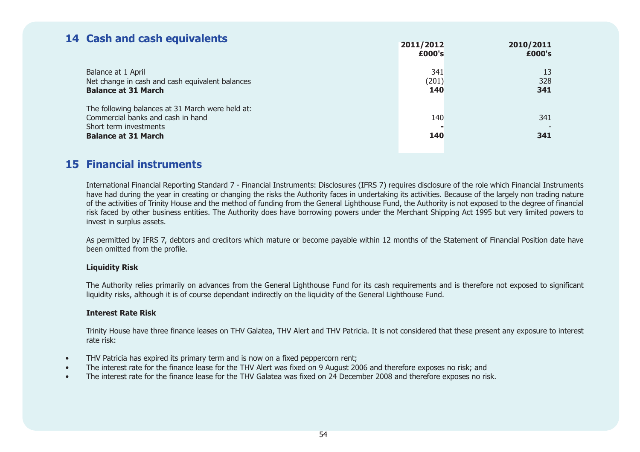## **14 Cash and cash equivalents**

| <u>. Sush und sush squivalents</u>                                                                              | 2011/2012<br>£000's | 2010/2011<br>£000's |
|-----------------------------------------------------------------------------------------------------------------|---------------------|---------------------|
| Balance at 1 April<br>Net change in cash and cash equivalent balances<br><b>Balance at 31 March</b>             | 341<br>(201)<br>140 | 13<br>328<br>341    |
| The following balances at 31 March were held at:<br>Commercial banks and cash in hand<br>Short term investments | 140                 | 341                 |
| <b>Balance at 31 March</b>                                                                                      | 140                 | 341                 |

### **15 Financial instruments**

International Financial Reporting Standard 7 - Financial Instruments: Disclosures (IFRS 7) requires disclosure of the role which Financial Instruments have had during the year in creating or changing the risks the Authority faces in undertaking its activities. Because of the largely non trading nature of the activities of Trinity House and the method of funding from the General Lighthouse Fund, the Authority is not exposed to the degree of financial risk faced by other business entities. The Authority does have borrowing powers under the Merchant Shipping Act 1995 but very limited powers to invest in surplus assets.

As permitted by IFRS 7, debtors and creditors which mature or become payable within 12 months of the Statement of Financial Position date have been omitted from the profile.

#### **Liquidity Risk**

The Authority relies primarily on advances from the General Lighthouse Fund for its cash requirements and is therefore not exposed to significant liquidity risks, although it is of course dependant indirectly on the liquidity of the General Lighthouse Fund.

#### **Interest Rate Risk**

Trinity House have three finance leases on THV Galatea, THV Alert and THV Patricia. It is not considered that these present any exposure to interest rate risk:

- •THV Patricia has expired its primary term and is now on a fixed peppercorn rent;
- •The interest rate for the finance lease for the THV Alert was fixed on 9 August 2006 and therefore exposes no risk; and
- •The interest rate for the finance lease for the THV Galatea was fixed on 24 December 2008 and therefore exposes no risk.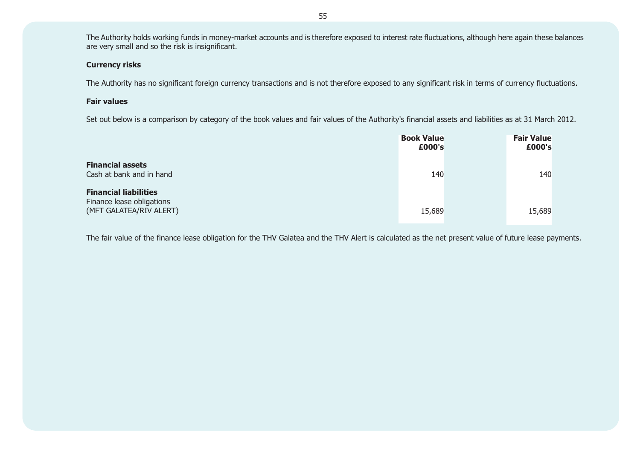The Authority holds working funds in money-market accounts and is therefore exposed to interest rate fluctuations, although here again these balances are very small and so the risk is insignificant.

#### **Currency risks**

The Authority has no significant foreign currency transactions and is not therefore exposed to any significant risk in terms of currency fluctuations.

#### **Fair values**

Set out below is a comparison by category of the book values and fair values of the Authority's financial assets and liabilities as at 31 March 2012.

|                                                                                      | <b>Book Value</b><br>£000's | <b>Fair Value</b><br>£000's |  |
|--------------------------------------------------------------------------------------|-----------------------------|-----------------------------|--|
| <b>Financial assets</b><br>Cash at bank and in hand                                  | 140                         | 140                         |  |
| <b>Financial liabilities</b><br>Finance lease obligations<br>(MFT GALATEA/RIV ALERT) | 15,689                      | 15,689                      |  |

The fair value of the finance lease obligation for the THV Galatea and the THV Alert is calculated as the net present value of future lease payments.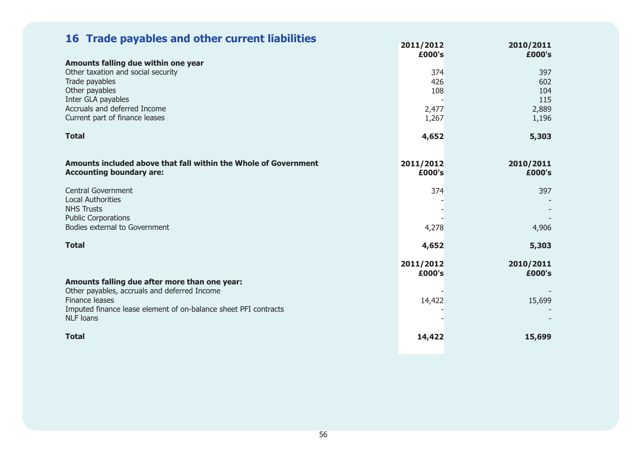| 16 Trade payables and other current liabilities                                                                                                                                                        | 2011/2012<br>£000's                 | 2010/2011<br>£000's                        |
|--------------------------------------------------------------------------------------------------------------------------------------------------------------------------------------------------------|-------------------------------------|--------------------------------------------|
| Amounts falling due within one year<br>Other taxation and social security<br>Trade payables<br>Other payables<br>Inter GLA payables<br>Accruals and deferred Income<br>Current part of finance leases  | 374<br>426<br>108<br>2,477<br>1,267 | 397<br>602<br>104<br>115<br>2,889<br>1,196 |
| <b>Total</b>                                                                                                                                                                                           | 4,652                               | 5,303                                      |
| Amounts included above that fall within the Whole of Government<br><b>Accounting boundary are:</b>                                                                                                     | 2011/2012<br>£000's                 | 2010/2011<br>£000's                        |
| <b>Central Government</b><br><b>Local Authorities</b><br><b>NHS Trusts</b>                                                                                                                             | 374                                 | 397                                        |
| <b>Public Corporations</b><br>Bodies external to Government                                                                                                                                            | 4,278                               | 4,906                                      |
| <b>Total</b>                                                                                                                                                                                           | 4,652                               | 5,303                                      |
|                                                                                                                                                                                                        | 2011/2012<br>£000's                 | 2010/2011<br>£000's                        |
| Amounts falling due after more than one year:<br>Other payables, accruals and deferred Income<br>Finance leases<br>Imputed finance lease element of on-balance sheet PFI contracts<br><b>NLF</b> loans | 14,422                              | 15,699                                     |
| <b>Total</b>                                                                                                                                                                                           | 14,422                              | 15,699                                     |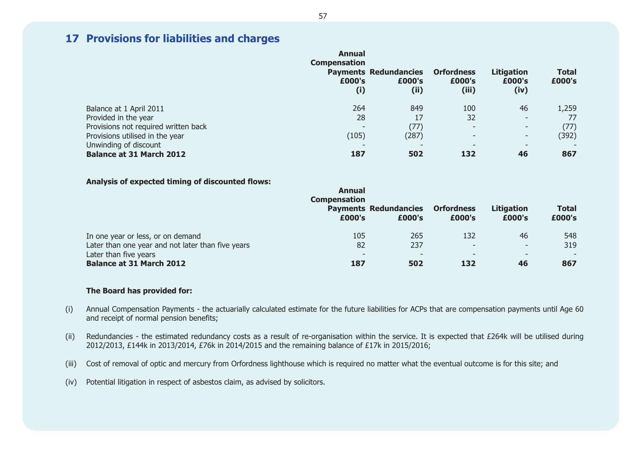### **17 Provisions for liabilities and charges**

|                                      | Annual<br><b>Compensation</b><br>£000's<br>(i) | <b>Payments Redundancies</b><br>£000's<br>(ii) | <b>Orfordness</b><br>£000's<br>(iii) | <b>Litigation</b><br>£000's<br>(iv) | <b>Total</b><br>£000's |
|--------------------------------------|------------------------------------------------|------------------------------------------------|--------------------------------------|-------------------------------------|------------------------|
| Balance at 1 April 2011              | 264                                            | 849                                            | 100                                  | 46                                  | 1,259                  |
| Provided in the year                 | 28                                             | 17                                             | 32                                   | $\overline{\phantom{a}}$            |                        |
| Provisions not required written back | $\overline{\phantom{0}}$                       | (77)                                           | $\overline{\phantom{a}}$             | $\sim$                              | (77)                   |
| Provisions utilised in the year      | (105)                                          | (287)                                          | $\overline{\phantom{a}}$             | ٠                                   | (392)                  |
| Unwinding of discount                |                                                |                                                | $\overline{\phantom{0}}$             | $\overline{\phantom{0}}$            |                        |
| <b>Balance at 31 March 2012</b>      | 187                                            | 502                                            | 132                                  | 46                                  | 867                    |

#### **Analysis of expected timing of discounted flows:**

|                                                          | Annual<br><b>Compensation</b> |                                        |                                 |                                |                        |
|----------------------------------------------------------|-------------------------------|----------------------------------------|---------------------------------|--------------------------------|------------------------|
|                                                          | £000's                        | <b>Payments Redundancies</b><br>£000's | <b>Orfordness</b><br>£000's     | <b>Litigation</b><br>£000's    | <b>Total</b><br>£000's |
| In one year or less, or on demand                        | 105                           | 265                                    | 132                             | 46                             | 548                    |
| Later than one year and not later than five years        | 82                            | 237                                    | $\overline{\phantom{a}}$        | -                              | 319                    |
| Later than five years<br><b>Balance at 31 March 2012</b> | 187                           | $\overline{\phantom{0}}$<br>502        | $\overline{\phantom{a}}$<br>132 | $\overline{\phantom{0}}$<br>46 | 867                    |

#### **The Board has provided for:**

- (i) Annual Compensation Payments the actuarially calculated estimate for the future liabilities for ACPs that are compensation payments until Age 60 and receipt of normal pension benefits;
- (ii) Redundancies the estimated redundancy costs as a result of re-organisation within the service. It is expected that £264k will be utilised during 2012/2013, £144k in 2013/2014, £76k in 2014/2015 and the remaining balance of £17k in 2015/2016;
- (iii) Cost of removal of optic and mercury from Orfordness lighthouse which is required no matter what the eventual outcome is for this site; and
- (iv) Potential litigation in respect of asbestos claim, as advised by solicitors.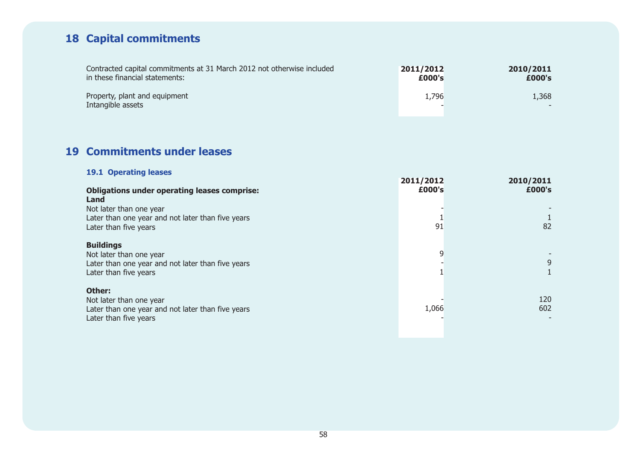# **18 Capital commitments**

| Contracted capital commitments at 31 March 2012 not otherwise included | 2011/2012 | 2010/2011 |
|------------------------------------------------------------------------|-----------|-----------|
| in these financial statements:                                         | £000's    | £000's    |
| Property, plant and equipment<br>Intangible assets                     | 1,796     | 1,368     |

### **19 Commitments under leases**

| <b>19.1 Operating leases</b>                                                                                              | 2011/2012 | 2010/2011  |
|---------------------------------------------------------------------------------------------------------------------------|-----------|------------|
| <b>Obligations under operating leases comprise:</b><br>Land                                                               | £000's    | £000's     |
| Not later than one year<br>Later than one year and not later than five years<br>Later than five years                     | 91        | 82         |
| <b>Buildings</b><br>Not later than one year<br>Later than one year and not later than five years<br>Later than five years | 9         | 9          |
| Other:<br>Not later than one year<br>Later than one year and not later than five years<br>Later than five years           | 1,066     | 120<br>602 |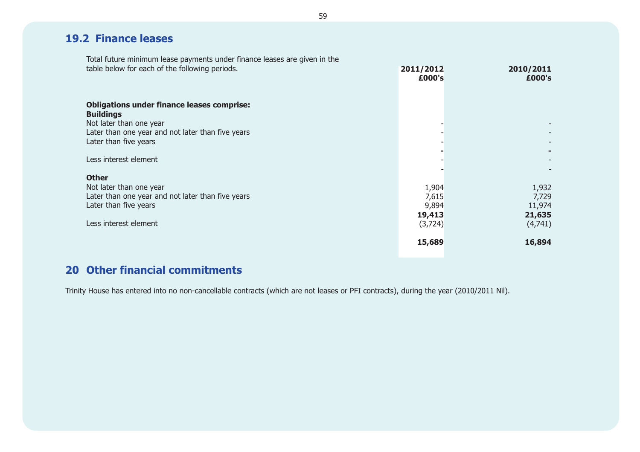## **19.2 Finance leases**

Total future minimum lease payments under finance leases are given in the table below for each of the following periods.

| table below for each of the following periods.                                                                                                                                 | 2011/2012<br>£000's                           | 2010/2011<br>£000's                           |
|--------------------------------------------------------------------------------------------------------------------------------------------------------------------------------|-----------------------------------------------|-----------------------------------------------|
| <b>Obligations under finance leases comprise:</b><br><b>Buildings</b><br>Not later than one year<br>Later than one year and not later than five years<br>Later than five years |                                               |                                               |
| Less interest element                                                                                                                                                          |                                               |                                               |
| <b>Other</b><br>Not later than one year<br>Later than one year and not later than five years<br>Later than five years<br>Less interest element                                 | 1,904<br>7,615<br>9,894<br>19,413<br>(3, 724) | 1,932<br>7,729<br>11,974<br>21,635<br>(4,741) |
|                                                                                                                                                                                | 15,689                                        | 16,894                                        |

### **20 Other financial commitments**

Trinity House has entered into no non-cancellable contracts (which are not leases or PFI contracts), during the year (2010/2011 Nil).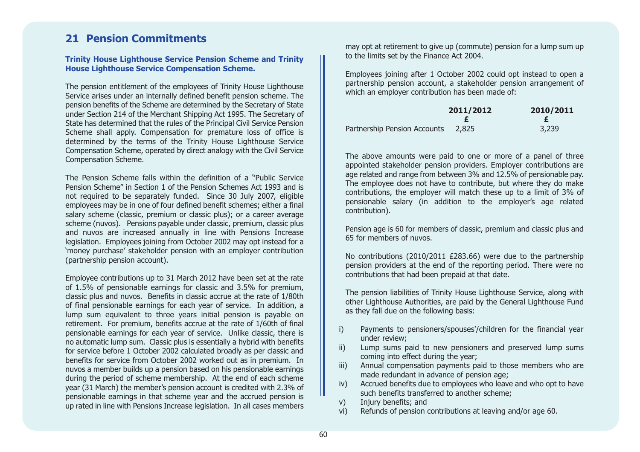### **21 Pension Commitments**

#### **Trinity House Lighthouse Service Pension Scheme and Trinity House Lighthouse Service Compensation Scheme.**

The pension entitlement of the employees of Trinity House Lighthouse Service arises under an internally defined benefit pension scheme. The pension benefits of the Scheme are determined by the Secretary of State under Section 214 of the Merchant Shipping Act 1995. The Secretary of State has determined that the rules of the Principal Civil Service Pension Scheme shall apply. Compensation for premature loss of office is determined by the terms of the Trinity House Lighthouse Service Compensation Scheme, operated by direct analogy with the Civil Service Compensation Scheme.

The Pension Scheme falls within the definition of a "Public ServicePension Scheme" in Section 1 of the Pension Schemes Act 1993 and isnot required to be separately funded. Since 30 July 2007, eligible employees may be in one of four defined benefit schemes; either a final salary scheme (classic, premium or classic plus); or a career average scheme (nuvos). Pensions payable under classic, premium, classic plus and nuvos are increased annually in line with Pensions Increase legislation. Employees joining from October 2002 may opt instead for a 'money purchase' stakeholder pension with an employer contribution (partnership pension account).

Employee contributions up to 31 March 2012 have been set at the rate of 1.5% of pensionable earnings for classic and 3.5% for premium, classic plus and nuvos. Benefits in classic accrue at the rate of 1/80th of final pensionable earnings for each year of service. In addition, a lump sum equivalent to three years initial pension is payable on retirement. For premium, benefits accrue at the rate of 1/60th of final pensionable earnings for each year of service. Unlike classic, there is no automatic lump sum. Classic plus is essentially a hybrid with benefits for service before 1 October 2002 calculated broadly as per classic and benefits for service from October 2002 worked out as in premium. In nuvos a member builds up a pension based on his pensionable earnings during the period of scheme membership. At the end of each scheme year (31 March) the member's pension account is credited with 2.3% of pensionable earnings in that scheme year and the accrued pension is up rated in line with Pensions Increase legislation. In all cases members

may opt at retirement to give up (commute) pension for a lump sum up to the limits set by the Finance Act 2004.

Employees joining after 1 October 2002 could opt instead to open a partnership pension account, a stakeholder pension arrangement of which an employer contribution has been made of:

|                              | 2011/2012 | 2010/2011 |
|------------------------------|-----------|-----------|
|                              |           |           |
| Partnership Pension Accounts | 2.825     | 3,239     |

The above amounts were paid to one or more of a panel of three appointed stakeholder pension providers. Employer contributions are age related and range from between 3% and 12.5% of pensionable pay. The employee does not have to contribute, but where they do make contributions, the employer will match these up to a limit of 3% of pensionable salary (in addition to the employer's age related contribution).

Pension age is 60 for members of classic, premium and classic plus and 65 for members of nuvos.

No contributions (2010/2011 £283.66) were due to the partnership pension providers at the end of the reporting period. There were no contributions that had been prepaid at that date.

The pension liabilities of Trinity House Lighthouse Service, along with other Lighthouse Authorities, are paid by the General Lighthouse Fund as they fall due on the following basis:

- i) Payments to pensioners/spouses'/children for the financial year under review;
- ii) Lump sums paid to new pensioners and preserved lump sums coming into effect during the year;
- iii) Annual compensation payments paid to those members who are made redundant in advance of pension age;
- iv) Accrued benefits due to employees who leave and who opt to have such benefits transferred to another scheme;
- v) Injury benefits; and
- vi) Refunds of pension contributions at leaving and/or age 60.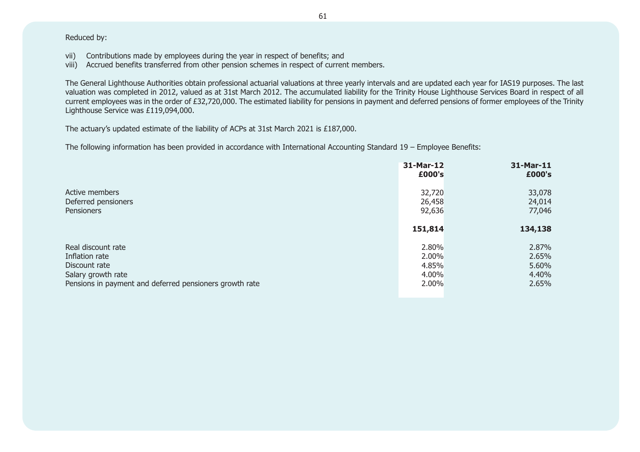Reduced by:

- vii) Contributions made by employees during the year in respect of benefits; and
- viii) Accrued benefits transferred from other pension schemes in respect of current members.

The General Lighthouse Authorities obtain professional actuarial valuations at three yearly intervals and are updated each year for IAS19 purposes. The last valuation was completed in 2012, valued as at 31st March 2012. The accumulated liability for the Trinity House Lighthouse Services Board in respect of all current employees was in the order of £32,720,000. The estimated liability for pensions in payment and deferred pensions of former employees of the Trinity Lighthouse Service was £119,094,000.

The actuary's updated estimate of the liability of ACPs at 31st March 2021 is £187,000.

The following information has been provided in accordance with International Accounting Standard 19 – Employee Benefits:

|                                                         | 31-Mar-12<br>£000's | 31-Mar-11<br>£000's |
|---------------------------------------------------------|---------------------|---------------------|
| Active members                                          | 32,720              | 33,078              |
| Deferred pensioners                                     | 26,458              | 24,014              |
| <b>Pensioners</b>                                       | 92,636              | 77,046              |
|                                                         | 151,814             | 134,138             |
| Real discount rate                                      | 2.80%               | 2.87%               |
| Inflation rate                                          | 2.00%               | 2.65%               |
| Discount rate                                           | 4.85%               | 5.60%               |
| Salary growth rate                                      | 4.00%               | 4.40%               |
| Pensions in payment and deferred pensioners growth rate | 2.00%               | 2.65%               |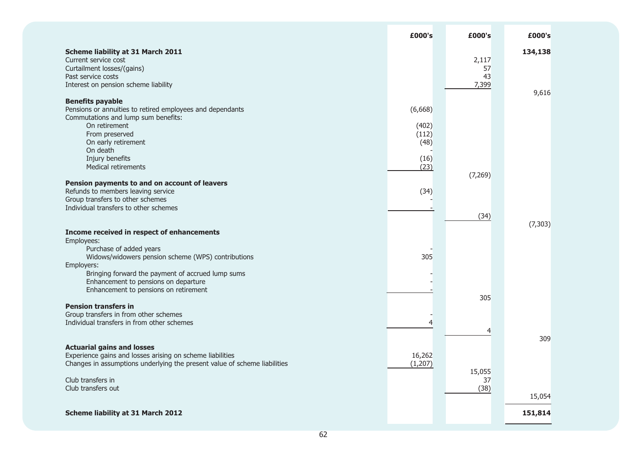|                                                                                                                                                                                                              | £000's                    | £000's                     | £000's            |
|--------------------------------------------------------------------------------------------------------------------------------------------------------------------------------------------------------------|---------------------------|----------------------------|-------------------|
| <b>Scheme liability at 31 March 2011</b><br>Current service cost<br>Curtailment losses/(gains)<br>Past service costs<br>Interest on pension scheme liability                                                 |                           | 2,117<br>57<br>43<br>7,399 | 134,138           |
| <b>Benefits payable</b><br>Pensions or annuities to retired employees and dependants<br>Commutations and lump sum benefits:<br>On retirement<br>From preserved                                               | (6,668)<br>(402)<br>(112) |                            | 9,616             |
| On early retirement<br>On death<br>Injury benefits<br>Medical retirements                                                                                                                                    | (48)<br>(16)<br>(23)      | (7, 269)                   |                   |
| Pension payments to and on account of leavers<br>Refunds to members leaving service<br>Group transfers to other schemes<br>Individual transfers to other schemes                                             | (34)                      | (34)                       | (7, 303)          |
| Income received in respect of enhancements<br>Employees:<br>Purchase of added years<br>Widows/widowers pension scheme (WPS) contributions<br>Employers:<br>Bringing forward the payment of accrued lump sums | 305                       |                            |                   |
| Enhancement to pensions on departure<br>Enhancement to pensions on retirement<br><b>Pension transfers in</b><br>Group transfers in from other schemes<br>Individual transfers in from other schemes          | $\overline{4}$            | 305                        |                   |
| <b>Actuarial gains and losses</b><br>Experience gains and losses arising on scheme liabilities<br>Changes in assumptions underlying the present value of scheme liabilities                                  | 16,262<br>(1, 207)        | 4<br>15,055                | 309               |
| Club transfers in<br>Club transfers out<br><b>Scheme liability at 31 March 2012</b>                                                                                                                          |                           | 37<br>(38)                 | 15,054<br>151,814 |
|                                                                                                                                                                                                              |                           |                            |                   |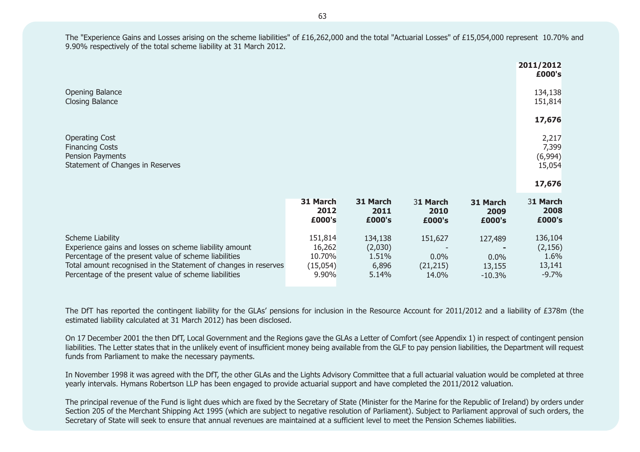The "Experience Gains and Losses arising on the scheme liabilities" of £16,262,000 and the total "Actuarial Losses" of £15,054,000 represent 10.70% and 9.90% respectively of the total scheme liability at 31 March 2012.

|                                         |                                      |                                 |                              | 2011/2012<br>£000's                              |
|-----------------------------------------|--------------------------------------|---------------------------------|------------------------------|--------------------------------------------------|
|                                         |                                      |                                 |                              | 134,138<br>151,814                               |
|                                         |                                      |                                 |                              | 17,676                                           |
|                                         |                                      |                                 |                              | 2,217<br>7,399<br>(6,994)<br>15,054              |
|                                         |                                      |                                 |                              | 17,676                                           |
| 31 March<br>2012<br>£000's              | 31 March<br>2011<br>£000's           | 31 March<br>2010<br>£000's      | 31 March<br>2009<br>£000's   | 31 March<br>2008<br>£000's                       |
| 151,814<br>16,262<br>10.70%<br>(15,054) | 134,138<br>(2,030)<br>1.51%<br>6,896 | 151,627<br>$0.0\%$<br>(21, 215) | 127,489<br>$0.0\%$<br>13,155 | 136,104<br>(2, 156)<br>1.6%<br>13,141<br>$-9.7%$ |
|                                         | 9.90%                                | 5.14%                           | 14.0%                        | $-10.3%$                                         |

The DfT has reported the contingent liability for the GLAs' pensions for inclusion in the Resource Account for 2011/2012 and a liability of £378m (the estimated liability calculated at 31 March 2012) has been disclosed.

On 17 December 2001 the then DfT, Local Government and the Regions gave the GLAs a Letter of Comfort (see Appendix 1) in respect of contingent pension liabilities. The Letter states that in the unlikely event of insufficient money being available from the GLF to pay pension liabilities, the Department will request funds from Parliament to make the necessary payments.

In November 1998 it was agreed with the DfT, the other GLAs and the Lights Advisory Committee that a full actuarial valuation would be completed at three yearly intervals. Hymans Robertson LLP has been engaged to provide actuarial support and have completed the 2011/2012 valuation.

The principal revenue of the Fund is light dues which are fixed by the Secretary of State (Minister for the Marine for the Republic of Ireland) by orders under Section 205 of the Merchant Shipping Act 1995 (which are subject to negative resolution of Parliament). Subject to Parliament approval of such orders, the Secretary of State will seek to ensure that annual revenues are maintained at a sufficient level to meet the Pension Schemes liabilities.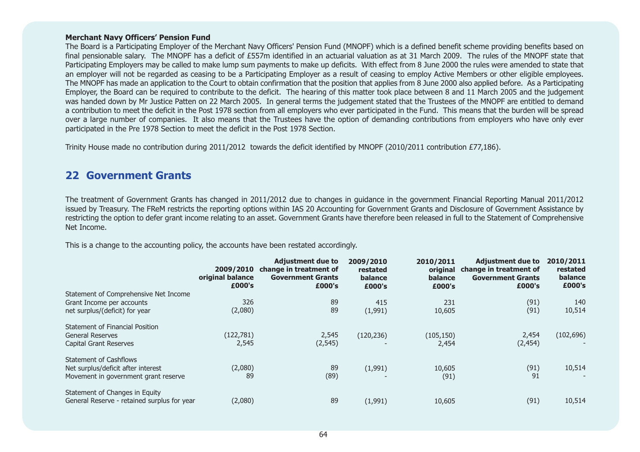#### **Merchant Navy Officers' Pension Fund**

final pensionable salary. The MNOPF has a deficit of £557m identified in an actuarial valuation as at 31 March 2009. The rules of the MNOPF state that Participating Employers may be called to make lump sum payments to make up deficits. With effect from 8 June 2000 the rules were amended to state that an employer will not be regarded as ceasing to be a Participating Employer as a result of ceasing to employ Active Members or other eligible employees. The MNOPF has made an application to the Court to obtain confirmation that the position that applies from 8 June 2000 also applied before. As a Participating Employer, the Board can be required to contribute to the deficit. The hearing of this matter took place between 8 and 11 March 2005 and the judgement was handed down by Mr Justice Patten on 22 March 2005. In general terms the judgement stated that the Trustees of the MNOPF are entitled to demand a contribution to meet the deficit in the Post 1978 section from all employers who ever participated in the Fund. This means that the burden will be spread over a large number of companies. It also means that the Trustees have the option of demanding contributions from employers who have only ever participated in the Pre 1978 Section to meet the deficit in the Post 1978 Section. **23 Contingent liabilities disclosed**  The Board is a Participating Employer of the Merchant Navy Officers' Pension Fund (MNOPF) which is a defined benefit scheme providing benefits based on

Trinity House made no contribution during 2011/2012 towards the deficit identified by MNOPF (2010/2011 contribution £77,186).

### judgement was handed down by Mr Justice Patten on 22 March 2005. **22 Government Grants**

The treatment of Government Grants has changed in 2011/2012 due to changes in guidance in the government Financial Reporting Manual 2011/2012 issued by Treasury. The FReM restricts the reporting options within IAS 20 Accounting for Government Grants and Disclosure of Government Assistance by restricting the option to defer grant income relating to an asset. Government Grants have therefore been released in full to the Statement of Comprehensive contributions from employers who have only ever participated in the Pressure participated in the Pressure participated in the Pressure of the Pressure participated in the Pressure of the Pressure participated in the Pressu Net Income.

 This is a change to the accounting policy, the accounts have been restated accordingly.  $g$ ly. The Club has advised that it does not anticipate that it does not anticipate that it does not anticipate

|                                             | 2009/2010<br>original balance<br>£000's | <b>Adjustment due to</b><br>change in treatment of<br><b>Government Grants</b><br>£000's | 2009/2010<br>restated<br>balance<br>£000's | 2010/2011<br>original<br>balance<br>£000's | <b>Adjustment due to</b><br>change in treatment of<br><b>Government Grants</b><br>£000's | 2010/2011<br>restated<br>balance<br>£000's |
|---------------------------------------------|-----------------------------------------|------------------------------------------------------------------------------------------|--------------------------------------------|--------------------------------------------|------------------------------------------------------------------------------------------|--------------------------------------------|
| Statement of Comprehensive Net Income       |                                         |                                                                                          |                                            |                                            |                                                                                          |                                            |
| Grant Income per accounts                   | 326                                     | 89                                                                                       | 415                                        | 231                                        | (91)                                                                                     | 140                                        |
| net surplus/(deficit) for year              | (2,080)                                 | 89                                                                                       | (1,991)                                    | 10,605                                     | (91)                                                                                     | 10,514                                     |
| <b>Statement of Financial Position</b>      |                                         |                                                                                          |                                            |                                            |                                                                                          |                                            |
| <b>General Reserves</b>                     | (122,781)                               | 2,545                                                                                    | (120, 236)                                 | (105, 150)                                 | 2,454                                                                                    | (102, 696)                                 |
| Capital Grant Reserves                      | 2,545                                   | (2, 545)                                                                                 |                                            | 2,454                                      | (2, 454)                                                                                 |                                            |
| <b>Statement of Cashflows</b>               |                                         |                                                                                          |                                            |                                            |                                                                                          |                                            |
| Net surplus/deficit after interest          | (2,080)                                 | 89                                                                                       | (1,991)                                    | 10,605                                     | (91)                                                                                     | 10,514                                     |
| Movement in government grant reserve        | 89                                      | (89)                                                                                     |                                            | (91)                                       | 91                                                                                       |                                            |
| Statement of Changes in Equity              |                                         |                                                                                          |                                            |                                            |                                                                                          |                                            |
| General Reserve - retained surplus for year | (2,080)                                 | 89                                                                                       | (1,991)                                    | 10,605                                     | (91)                                                                                     | 10,514                                     |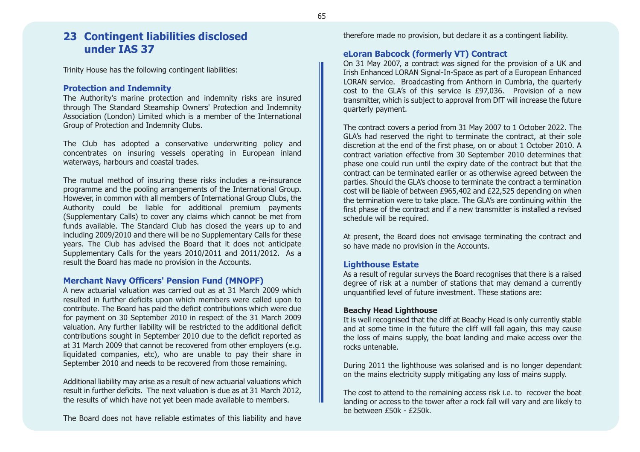### **23 Contingent liabilities disclosed under IAS 37**

Trinity House has the following contingent liabilities:

#### **Protection and Indemnity**

The Authority's marine protection and indemnity risks are insured through The Standard Steamship Owners' Protection and Indemnity Association (London) Limited which is a member of the International Group of Protection and Indemnity Clubs.

The Club has adopted a conservative underwriting policy and concentrates on insuring vessels operating in European inland waterways, harbours and coastal trades.

The mutual method of insuring these risks includes a re-insurance programme and the pooling arrangements of the International Group. However, in common with all members of International Group Clubs, the Authority could be liable for additional premium payments (Supplementary Calls) to cover any claims which cannot be met from funds available. The Standard Club has closed the years up to and including 2009/2010 and there will be no Supplementary Calls for these years. The Club has advised the Board that it does not anticipate Supplementary Calls for the years 2010/2011 and 2011/2012. As a result the Board has made no provision in the Accounts.

#### **Merchant Navy Officers' Pension Fund (MNOPF)**

A new actuarial valuation was carried out as at 31 March 2009 whichresulted in further deficits upon which members were called upon to contribute. The Board has paid the deficit contributions which were due for payment on 30 September 2010 in respect of the 31 March 2009 valuation. Any further liability will be restricted to the additional deficit contributions sought in September 2010 due to the deficit reported as at 31 March 2009 that cannot be recovered from other employers (e.g. liquidated companies, etc), who are unable to pay their share in September 2010 and needs to be recovered from those remaining.

Additional liability may arise as a result of new actuarial valuations which result in further deficits. The next valuation is due as at 31 March 2012, the results of which have not yet been made available to members.

The Board does not have reliable estimates of this liability and have

therefore made no provision, but declare it as a contingent liability.

#### **eLoran Babcock (formerly VT) Contract**

On 31 May 2007, a contract was signed for the provision of a UK and Irish Enhanced LORAN Signal-In-Space as part of a European Enhanced LORAN service. Broadcasting from Anthorn in Cumbria, the quarterly cost to the GLA's of this service is £97,036. Provision of a new transmitter, which is subject to approval from DfT will increase the future quarterly payment.

The contract covers a period from 31 May 2007 to 1 October 2022. The GLA's had reserved the right to terminate the contract, at their sole discretion at the end of the first phase, on or about 1 October 2010. A contract variation effective from 30 September 2010 determines that phase one could run until the expiry date of the contract but that the contract can be terminated earlier or as otherwise agreed between the parties. Should the GLA's choose to terminate the contract a termination cost will be liable of between £965,402 and £22,525 depending on when the termination were to take place. The GLA's are continuing within the first phase of the contract and if a new transmitter is installed a revised schedule will be required.

At present, the Board does not envisage terminating the contract and so have made no provision in the Accounts.

#### **Lighthouse Estate**

As a result of regular surveys the Board recognises that there is a raised degree of risk at a number of stations that may demand a currently unquantified level of future investment. These stations are:

#### **Beachy Head Lighthouse**

It is well recognised that the cliff at Beachy Head is only currently stable and at some time in the future the cliff will fall again, this may cause the loss of mains supply, the boat landing and make access over the rocks untenable.

During 2011 the lighthouse was solarised and is no longer dependant on the mains electricity supply mitigating any loss of mains supply.

The cost to attend to the remaining access risk i.e. to recover the boat landing or access to the tower after a rock fall will vary and are likely to be between £50k - £250k.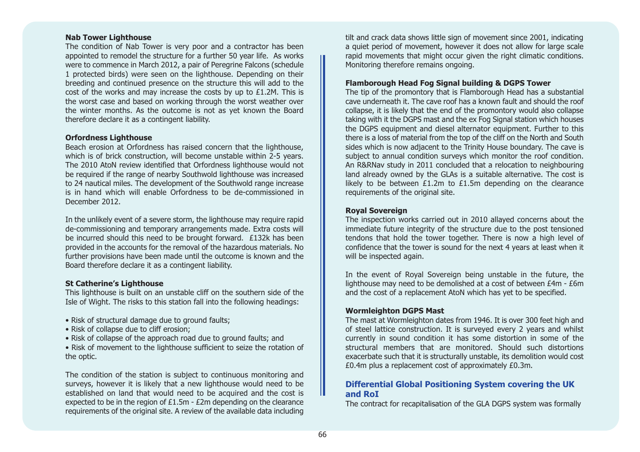#### **Nab Tower Lighthouse**

The condition of Nab Tower is very poor and a contractor has been appointed to remodel the structure for a further 50 year life. As works were to commence in March 2012, a pair of Peregrine Falcons (schedule 1 protected birds) were seen on the lighthouse. Depending on their breeding and continued presence on the structure this will add to the cost of the works and may increase the costs by up to £1.2M. This is the worst case and based on working through the worst weather over the winter months. As the outcome is not as yet known the Board therefore declare it as a contingent liability.

#### **Orfordness Lighthouse**

Beach erosion at Orfordness has raised concern that the lighthouse, which is of brick construction, will become unstable within 2-5 years. The 2010 AtoN review identified that Orfordness lighthouse would not be required if the range of nearby Southwold lighthouse was increased to 24 nautical miles. The development of the Southwold range increase is in hand which will enable Orfordness to be de-commissioned inDecember 2012.

In the unlikely event of a severe storm, the lighthouse may require rapid de-commissioning and temporary arrangements made. Extra costs will be incurred should this need to be brought forward. £132k has been provided in the accounts for the removal of the hazardous materials. No further provisions have been made until the outcome is known and the Board therefore declare it as a contingent liability.

#### **St Catherine's Lighthouse**

This lighthouse is built on an unstable cliff on the southern side of the Isle of Wight. The risks to this station fall into the following headings:

- Risk of structural damage due to ground faults;
- Risk of collapse due to cliff erosion;
- Risk of collapse of the approach road due to ground faults; and
- Risk of movement to the lighthouse sufficient to seize the rotation of the optic.

The condition of the station is subject to continuous monitoring and surveys, however it is likely that a new lighthouse would need to be established on land that would need to be acquired and the cost is expected to be in the region of  $£1.5m - £2m$  depending on the clearance requirements of the original site. A review of the available data including tilt and crack data shows little sign of movement since 2001, indicating a quiet period of movement, however it does not allow for large scale rapid movements that might occur given the right climatic conditions. Monitoring therefore remains ongoing.

#### **Flamborough Head Fog Signal building & DGPS Tower**

The tip of the promontory that is Flamborough Head has a substantial cave underneath it. The cave roof has a known fault and should the roofcollapse, it is likely that the end of the promontory would also collapse taking with it the DGPS mast and the ex Fog Signal station which houses the DGPS equipment and diesel alternator equipment. Further to this there is a loss of material from the top of the cliff on the North and South sides which is now adjacent to the Trinity House boundary. The cave is subject to annual condition surveys which monitor the roof condition. An R&RNav study in 2011 concluded that a relocation to neighbouring land already owned by the GLAs is a suitable alternative. The cost is likely to be between £1.2m to £1.5m depending on the clearance requirements of the original site.

#### **Royal Sovereign**

The inspection works carried out in 2010 allayed concerns about the immediate future integrity of the structure due to the post tensioned tendons that hold the tower together. There is now a high level of confidence that the tower is sound for the next 4 years at least when it will be inspected again.

In the event of Royal Sovereign being unstable in the future, the lighthouse may need to be demolished at a cost of between £4m - £6m and the cost of a replacement AtoN which has yet to be specified.

#### **Wormleighton DGPS Mast**

The mast at Wormleighton dates from 1946. It is over 300 feet high and of steel lattice construction. It is surveyed every 2 years and whilst currently in sound condition it has some distortion in some of the structural members that are monitored. Should such distortionsexacerbate such that it is structurally unstable, its demolition would cost £0.4m plus a replacement cost of approximately £0.3m.

#### **Differential Global Positioning System covering the UK and RoI**

The contract for recapitalisation of the GLA DGPS system was formally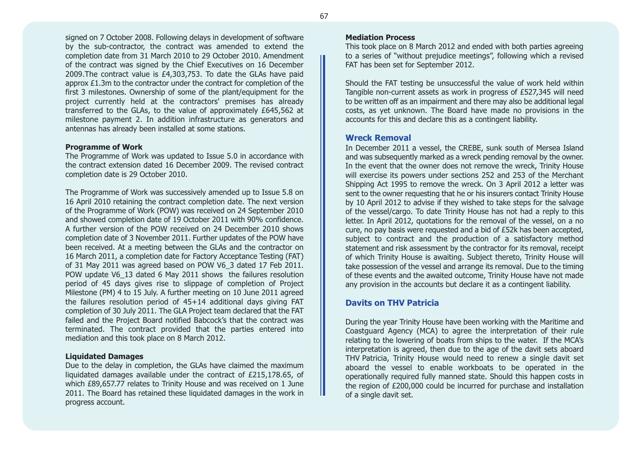signed on 7 October 2008. Following delays in development of software by the sub-contractor, the contract was amended to extend the completion date from 31 March 2010 to 29 October 2010. Amendment of the contract was signed by the Chief Executives on 16 December 2009.The contract value is £4,303,753. To date the GLAs have paid approx £1.3m to the contractor under the contract for completion of the first 3 milestones. Ownership of some of the plant/equipment for the project currently held at the contractors' premises has already transferred to the GLAs, to the value of approximately £645,562 at milestone payment 2. In addition infrastructure as generators and antennas has already been installed at some stations.

#### **Programme of Work**

The Programme of Work was updated to Issue 5.0 in accordance with the contract extension dated 16 December 2009. The revised contractcompletion date is 29 October 2010.

The Programme of Work was successively amended up to Issue 5.8 on 16 April 2010 retaining the contract completion date. The next version of the Programme of Work (POW) was received on 24 September 2010 and showed completion date of 19 October 2011 with 90% confidence. A further version of the POW received on 24 December 2010 showscompletion date of 3 November 2011. Further updates of the POW have been received. At a meeting between the GLAs and the contractor on 16 March 2011, a completion date for Factory Acceptance Testing (FAT) of 31 May 2011 was agreed based on POW V6\_3 dated 17 Feb 2011. POW update V6\_13 dated 6 May 2011 shows the failures resolution period of 45 days gives rise to slippage of completion of Project Milestone (PM) 4 to 15 July. A further meeting on 10 June 2011 agreed the failures resolution period of 45+14 additional days giving FAT completion of 30 July 2011. The GLA Project team declared that the FAT failed and the Project Board notified Babcock's that the contract was terminated. The contract provided that the parties entered into mediation and this took place on 8 March 2012.

#### **Liquidated Damages**

Due to the delay in completion, the GLAs have claimed the maximum liquidated damages available under the contract of £215,178.65, of which £89,657.77 relates to Trinity House and was received on 1 June 2011. The Board has retained these liquidated damages in the work in progress account.

#### **Mediation Process**

This took place on 8 March 2012 and ended with both parties agreeing to a series of "without prejudice meetings", following which a revised FAT has been set for September 2012.

Should the FAT testing be unsuccessful the value of work held within Tangible non-current assets as work in progress of £527,345 will need to be written off as an impairment and there may also be additional legal costs, as yet unknown. The Board have made no provisions in the accounts for this and declare this as a contingent liability.

#### **Wreck Removal**

In December 2011 a vessel, the CREBE, sunk south of Mersea Island and was subsequently marked as a wreck pending removal by the owner. In the event that the owner does not remove the wreck, Trinity House will exercise its powers under sections 252 and 253 of the Merchant Shipping Act 1995 to remove the wreck. On 3 April 2012 a letter was sent to the owner requesting that he or his insurers contact Trinity House by 10 April 2012 to advise if they wished to take steps for the salvage of the vessel/cargo. To date Trinity House has not had a reply to this letter. In April 2012, quotations for the removal of the vessel, on a no cure, no pay basis were requested and a bid of £52k has been accepted, subject to contract and the production of a satisfactory method statement and risk assessment by the contractor for its removal, receipt of which Trinity House is awaiting. Subject thereto, Trinity House will take possession of the vessel and arrange its removal. Due to the timing of these events and the awaited outcome, Trinity House have not made any provision in the accounts but declare it as a contingent liability.

#### **Davits on THV Patricia**

During the year Trinity House have been working with the Maritime and Coastguard Agency (MCA) to agree the interpretation of their rule relating to the lowering of boats from ships to the water. If the MCA's interpretation is agreed, then due to the age of the davit sets aboard THV Patricia, Trinity House would need to renew a single davit set aboard the vessel to enable workboats to be operated in the operationally required fully manned state. Should this happen costs in the region of £200,000 could be incurred for purchase and installation of a single davit set.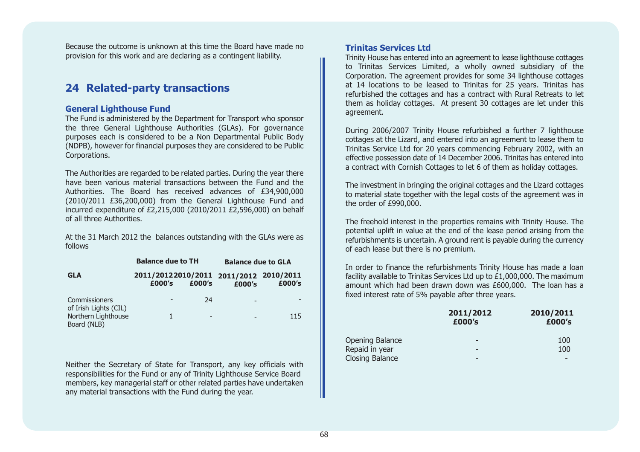Because the outcome is unknown at this time the Board have made noprovision for this work and are declaring as a contingent liability.

### **24 Related-party transactions**

#### **General Lighthouse Fund**

The Fund is administered by the Department for Transport who sponsor the three General Lighthouse Authorities (GLAs). For governance purposes each is considered to be a Non Departmental Public Body (NDPB), however for financial purposes they are considered to be Public Corporations.

The Authorities are regarded to be related parties. During the year there have been various material transactions between the Fund and theAuthorities. The Board has received advances of £34,900,000 (2010/2011 £36,200,000) from the General Lighthouse Fund and incurred expenditure of £2,215,000 (2010/2011 £2,596,000) on behalf of all three Authorities.

At the 31 March 2012 the balances outstanding with the GLAs were as follows

| <b>Balance due to TH</b>                      |                                                  |                          | <b>Balance due to GLA</b> |        |  |
|-----------------------------------------------|--------------------------------------------------|--------------------------|---------------------------|--------|--|
| <b>GLA</b>                                    | 2011/20122010/2011 2011/2012 2010/2011<br>£000's | £000's                   | £000's                    | £000's |  |
| <b>Commissioners</b><br>of Irish Lights (CIL) |                                                  | 24                       | $\overline{a}$            |        |  |
| Northern Lighthouse<br>Board (NLB)            |                                                  | $\overline{\phantom{0}}$ |                           | 115    |  |

Neither the Secretary of State for Transport, any key officials with responsibilities for the Fund or any of Trinity Lighthouse Service Board members, key managerial staff or other related parties have undertaken any material transactions with the Fund during the year.

#### **Trinitas Services Ltd**

Trinity House has entered into an agreement to lease lighthouse cottages to Trinitas Services Limited, a wholly owned subsidiary of the Corporation. The agreement provides for some 34 lighthouse cottages at 14 locations to be leased to Trinitas for 25 years. Trinitas has refurbished the cottages and has a contract with Rural Retreats to let them as holiday cottages. At present 30 cottages are let under this agreement.

During 2006/2007 Trinity House refurbished a further 7 lighthouse cottages at the Lizard, and entered into an agreement to lease them to Trinitas Service Ltd for 20 years commencing February 2002, with an effective possession date of 14 December 2006. Trinitas has entered into a contract with Cornish Cottages to let 6 of them as holiday cottages.

The investment in bringing the original cottages and the Lizard cottages to material state together with the legal costs of the agreement was in the order of £990,000.

The freehold interest in the properties remains with Trinity House. The potential uplift in value at the end of the lease period arising from the refurbishments is uncertain. A ground rent is payable during the currency of each lease but there is no premium.

In order to finance the refurbishments Trinity House has made a loan facility available to Trinitas Services Ltd up to £1,000,000. The maximum amount which had been drawn down was £600,000. The loan has a fixed interest rate of 5% payable after three years.

|                        | 2011/2012<br>£000's | 2010/2011<br>£000's |  |
|------------------------|---------------------|---------------------|--|
| Opening Balance        | -                   | 100                 |  |
| Repaid in year         | -                   | 100                 |  |
| <b>Closing Balance</b> | -                   |                     |  |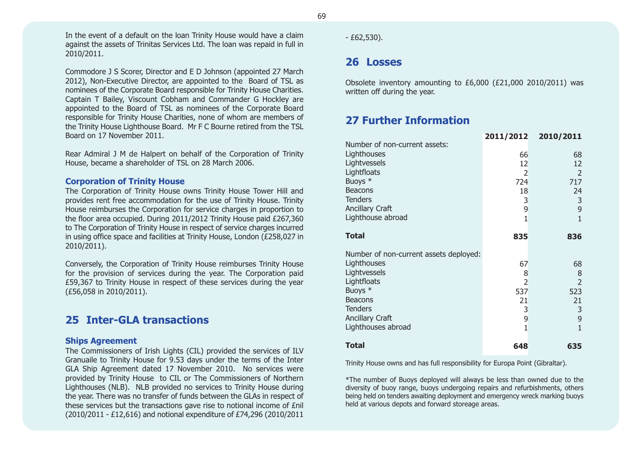In the event of a default on the loan Trinity House would have a claim against the assets of Trinitas Services Ltd. The loan was repaid in full in 2010/2011.

Commodore J S Scorer, Director and E D Johnson (appointed 27 March 2012), Non-Executive Director, are appointed to the Board of TSL as nominees of the Corporate Board responsible for Trinity House Charities. Captain T Bailey, Viscount Cobham and Commander G Hockley are appointed to the Board of TSL as nominees of the Corporate Board responsible for Trinity House Charities, none of whom are members of the Trinity House Lighthouse Board. Mr F C Bourne retired from the TSL Board on 17 November 2011.

Rear Admiral J M de Halpert on behalf of the Corporation of Trinity House, became a shareholder of TSL on 28 March 2006.

#### **Corporation of Trinity House**

The Corporation of Trinity House owns Trinity House Tower Hill and provides rent free accommodation for the use of Trinity House. Trinity House reimburses the Corporation for service charges in proportion to the floor area occupied. During 2011/2012 Trinity House paid £267,360 to The Corporation of Trinity House in respect of service charges incurred in using office space and facilities at Trinity House, London (£258,027 in 2010/2011).

Conversely, the Corporation of Trinity House reimburses Trinity House for the provision of services during the year. The Corporation paid £59,367 to Trinity House in respect of these services during the year (£56,058 in 2010/2011).

### **25 Inter-GLA transactions**

#### **Ships Agreement**

The Commissioners of Irish Lights (CIL) provided the services of ILV Granuaile to Trinity House for 9.53 days under the terms of the Inter GLA Ship Agreement dated 17 November 2010. No services were provided by Trinity House to CIL or The Commissioners of Northern Lighthouses (NLB). NLB provided no services to Trinity House during the year. There was no transfer of funds between the GLAs in respect of these services but the transactions gave rise to notional income of £nil (2010/2011 - £12,616) and notional expenditure of £74,296 (2010/2011 69

 $- E62,530$ ).

### **26 Losses**

Obsolete inventory amounting to £6,000 (£21,000 2010/2011) was written off during the year.

### **27 Further Information**

|                                        | 2011/2012      | 2010/2011      |
|----------------------------------------|----------------|----------------|
| Number of non-current assets:          |                |                |
| Lighthouses                            | 66             | 68             |
| Lightvessels                           | 12             | 12             |
|                                        |                |                |
| Lightfloats                            | 2              | 2              |
| Buoys *                                | 724            | 717            |
| <b>Beacons</b>                         | 18             | 24             |
| <b>Tenders</b>                         | 3              | 3              |
| <b>Ancillary Craft</b>                 | 9              | 9              |
| Lighthouse abroad                      | $\mathbf{1}$   | $\mathbf{1}$   |
|                                        |                |                |
| <b>Total</b>                           |                |                |
|                                        | 835            | 836            |
|                                        |                |                |
| Number of non-current assets deployed: |                |                |
| Lighthouses                            | 67             | 68             |
| Lightvessels                           | 8              | 8              |
| Lightfloats                            | $\overline{2}$ | $\overline{2}$ |
| Buoys *                                | 537            | 523            |
| <b>Beacons</b>                         | 21             | 21             |
| <b>Tenders</b>                         |                |                |
|                                        | 3              | 3              |
| <b>Ancillary Craft</b>                 | 9              | 9              |
| Lighthouses abroad                     | $\mathbf{1}$   | 1              |
| <b>Total</b>                           | 648            | 635            |
|                                        |                |                |

Trinity House owns and has full responsibility for Europa Point (Gibraltar).

\*The number of Buoys deployed will always be less than owned due to the diversity of buoy range, buoys undergoing repairs and refurbishments, others being held on tenders awaiting deployment and emergency wreck marking buoys held at various depots and forward storeage areas.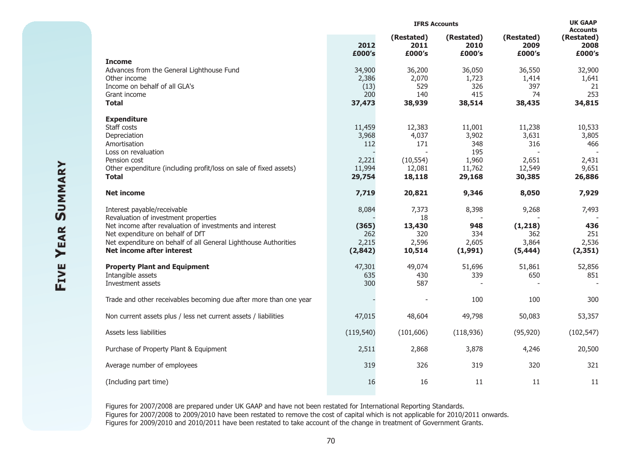|                                                                                                                                                                                              | <b>IFRS Accounts</b>              |                                  |                                |                                     | <b>UK GAAP</b><br><b>Accounts</b> |
|----------------------------------------------------------------------------------------------------------------------------------------------------------------------------------------------|-----------------------------------|----------------------------------|--------------------------------|-------------------------------------|-----------------------------------|
|                                                                                                                                                                                              | 2012<br>£000's                    | (Restated)<br>2011<br>£000's     | (Restated)<br>2010<br>£000's   | (Restated)<br>2009<br>£000's        | (Restated)<br>2008<br>£000's      |
| <b>Income</b><br>Advances from the General Lighthouse Fund<br>Other income                                                                                                                   | 34,900<br>2,386                   | 36,200<br>2,070                  | 36,050<br>1,723                | 36,550<br>1,414                     | 32,900<br>1,641                   |
| Income on behalf of all GLA's<br>Grant income                                                                                                                                                | (13)<br>200                       | 529<br>140                       | 326<br>415                     | 397<br>74                           | 21<br>253                         |
| <b>Total</b>                                                                                                                                                                                 | 37,473                            | 38,939                           | 38,514                         | 38,435                              | 34,815                            |
| <b>Expenditure</b><br>Staff costs<br>Depreciation<br>Amortisation<br>Loss on revaluation                                                                                                     | 11,459<br>3,968<br>112            | 12,383<br>4,037<br>171           | 11,001<br>3,902<br>348<br>195  | 11,238<br>3,631<br>316              | 10,533<br>3,805<br>466            |
| Pension cost<br>Other expenditure (including profit/loss on sale of fixed assets)<br><b>Total</b>                                                                                            | 2,221<br>11,994<br>29,754         | (10, 554)<br>12,081<br>18,118    | 1,960<br>11,762<br>29,168      | 2,651<br>12,549<br>30,385           | 2,431<br>9,651<br>26,886          |
| <b>Net income</b>                                                                                                                                                                            | 7,719                             | 20,821                           | 9,346                          | 8,050                               | 7,929                             |
| Interest payable/receivable<br>Revaluation of investment properties                                                                                                                          | 8,084                             | 7,373<br>18                      | 8,398                          | 9,268                               | 7,493                             |
| Net income after revaluation of investments and interest<br>Net expenditure on behalf of DfT<br>Net expenditure on behalf of all General Lighthouse Authorities<br>Net income after interest | (365)<br>262<br>2,215<br>(2, 842) | 13,430<br>320<br>2,596<br>10,514 | 948<br>334<br>2,605<br>(1,991) | (1,218)<br>362<br>3,864<br>(5, 444) | 436<br>251<br>2,536<br>(2, 351)   |
| <b>Property Plant and Equipment</b><br>Intangible assets<br>Investment assets                                                                                                                | 47,301<br>635<br>300              | 49,074<br>430<br>587             | 51,696<br>339                  | 51,861<br>650                       | 52,856<br>851                     |
| Trade and other receivables becoming due after more than one year                                                                                                                            |                                   |                                  | 100                            | 100                                 | 300                               |
| Non current assets plus / less net current assets / liabilities                                                                                                                              | 47,015                            | 48,604                           | 49,798                         | 50,083                              | 53,357                            |
| Assets less liabilities                                                                                                                                                                      | (119, 540)                        | (101, 606)                       | (118,936)                      | (95, 920)                           | (102, 547)                        |
| Purchase of Property Plant & Equipment                                                                                                                                                       | 2,511                             | 2,868                            | 3,878                          | 4,246                               | 20,500                            |
| Average number of employees                                                                                                                                                                  | 319                               | 326                              | 319                            | 320                                 | 321                               |
| (Including part time)                                                                                                                                                                        | 16                                | 16                               | 11                             | 11                                  | 11                                |

Figures for 2007/2008 are prepared under UK GAAP and have not been restated for International Reporting Standards. Figures for 2007/2008 to 2009/2010 have been restated to remove the cost of capital which is not applicable for 2010/2011 onwards. Figures for 2009/2010 and 2010/2011 have been restated to take account of the change in treatment of Government Grants.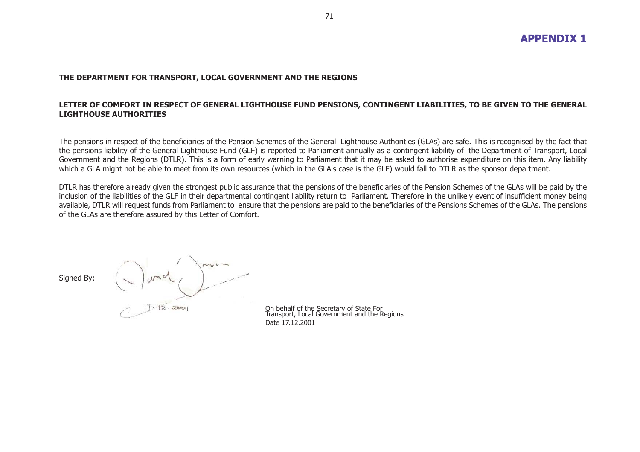#### **THE DEPARTMENT FOR TRANSPORT, LOCAL GOVERNMENT AND THE REGIONS**

#### **LETTER OF COMFORT IN RESPECT OF GENERAL LIGHTHOUSE FUND PENSIONS, CONTINGENT LIABILITIES, TO BE GIVEN TO THE GENERAL LIGHTHOUSE AUTHORITIES**

The pensions in respect of the beneficiaries of the Pension Schemes of the General Lighthouse Authorities (GLAs) are safe. This is recognised by the fact that the pensions liability of the General Lighthouse Fund (GLF) is reported to Parliament annually as a contingent liability of the Department of Transport, Local Government and the Regions (DTLR). This is a form of early warning to Parliament that it may be asked to authorise expenditure on this item. Any liability which a GLA might not be able to meet from its own resources (which in the GLA's case is the GLF) would fall to DTLR as the sponsor department.

DTLR has therefore already given the strongest public assurance that the pensions of the beneficiaries of the Pension Schemes of the GLAs will be paid by the inclusion of the liabilities of the GLF in their departmental contingent liability return to Parliament. Therefore in the unlikely event of insufficient money being available, DTLR will request funds from Parliament to ensure that the pensions are paid to the beneficiaries of the Pensions Schemes of the GLAs. The pensions of the GLAs are therefore assured by this Letter of Comfort.

Signed By:

On behalf of the Secretary of State For Transport, Local Government and the Regions Date 17.12.2001